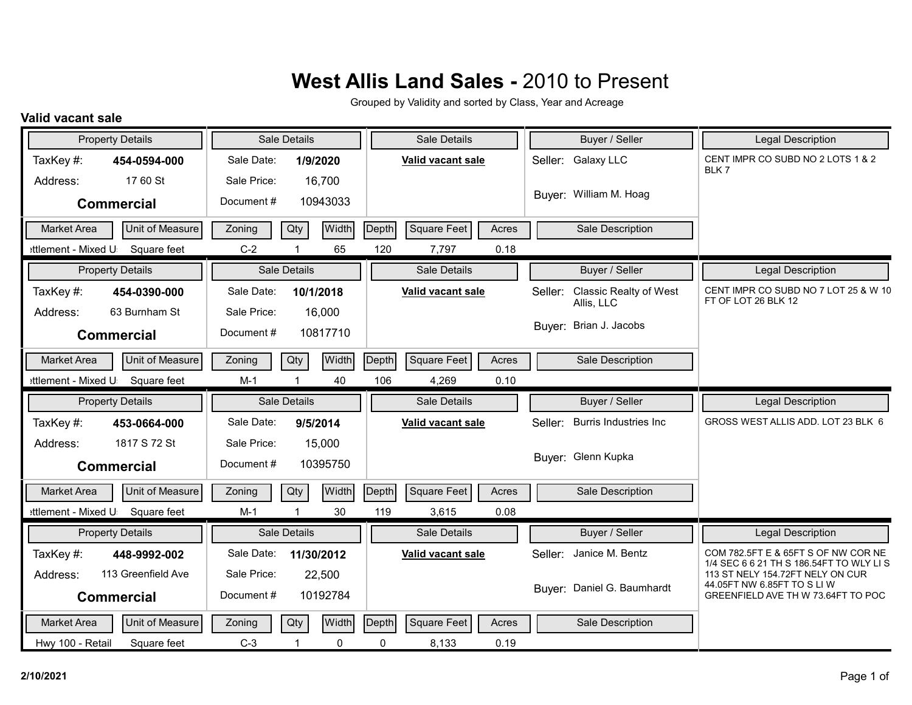Grouped by Validity and sorted by Class, Year and Acreage

#### **Valid vacant sale**

|                     | <b>Property Details</b> | Sale Details |              |              | Sale Details |                   |       | Buyer / Seller | <b>Legal Description</b>                    |                                                                             |
|---------------------|-------------------------|--------------|--------------|--------------|--------------|-------------------|-------|----------------|---------------------------------------------|-----------------------------------------------------------------------------|
| TaxKey#:            | 454-0594-000            | Sale Date:   |              | 1/9/2020     |              | Valid vacant sale |       |                | Seller: Galaxy LLC                          | CENT IMPR CO SUBD NO 2 LOTS 1 & 2<br>BLK7                                   |
| Address:            | 17 60 St                | Sale Price:  |              | 16,700       |              |                   |       |                |                                             |                                                                             |
|                     | <b>Commercial</b>       | Document#    |              | 10943033     |              |                   |       |                | Buyer: William M. Hoag                      |                                                                             |
| <b>Market Area</b>  | Unit of Measure         | Zoning       | Qty          | Width        | Depth        | Square Feet       | Acres |                | Sale Description                            |                                                                             |
| ettlement - Mixed U | Square feet             | $C-2$        |              | 65           | 120          | 7,797             | 0.18  |                |                                             |                                                                             |
|                     | <b>Property Details</b> |              | Sale Details |              |              | Sale Details      |       |                | Buyer / Seller                              | <b>Legal Description</b>                                                    |
| TaxKey #:           | 454-0390-000            | Sale Date:   |              | 10/1/2018    |              | Valid vacant sale |       | Seller:        | <b>Classic Realty of West</b><br>Allis, LLC | CENT IMPR CO SUBD NO 7 LOT 25 & W 10<br>FT OF LOT 26 BLK 12                 |
| Address:            | 63 Burnham St           | Sale Price:  |              | 16,000       |              |                   |       |                |                                             |                                                                             |
|                     | <b>Commercial</b>       | Document#    |              | 10817710     |              |                   |       |                | Buyer: Brian J. Jacobs                      |                                                                             |
| <b>Market Area</b>  | Unit of Measure         | Zoning       | Qty          | <b>Width</b> | Depth        | Square Feet       | Acres |                | Sale Description                            |                                                                             |
| ettlement - Mixed U | Square feet             | $M-1$        |              | 40           | 106          | 4,269             | 0.10  |                |                                             |                                                                             |
|                     |                         |              |              |              |              |                   |       |                |                                             |                                                                             |
|                     | <b>Property Details</b> |              | Sale Details |              |              | Sale Details      |       |                | Buyer / Seller                              | <b>Legal Description</b>                                                    |
| TaxKey#:            | 453-0664-000            | Sale Date:   |              | 9/5/2014     |              | Valid vacant sale |       | Seller:        | <b>Burris Industries Inc.</b>               | GROSS WEST ALLIS ADD. LOT 23 BLK 6                                          |
| Address:            | 1817 S 72 St            | Sale Price:  |              | 15,000       |              |                   |       |                |                                             |                                                                             |
|                     | <b>Commercial</b>       | Document#    |              | 10395750     |              |                   |       |                | Buyer: Glenn Kupka                          |                                                                             |
| <b>Market Area</b>  | Unit of Measure         | Zoning       | Qty          | <b>Width</b> | Depth        | Square Feet       | Acres |                | Sale Description                            |                                                                             |
| ettlement - Mixed U | Square feet             | $M-1$        |              | 30           | 119          | 3,615             | 0.08  |                |                                             |                                                                             |
|                     | <b>Property Details</b> |              | Sale Details |              |              | Sale Details      |       |                | Buyer / Seller                              | <b>Legal Description</b>                                                    |
| TaxKey#:            | 448-9992-002            | Sale Date:   |              | 11/30/2012   |              | Valid vacant sale |       |                | Seller: Janice M. Bentz                     | COM 782.5FT E & 65FT S OF NW COR NE                                         |
| Address:            | 113 Greenfield Ave      | Sale Price:  |              | 22,500       |              |                   |       |                |                                             | 1/4 SEC 6 6 21 TH S 186.54FT TO WLY LIS<br>113 ST NELY 154.72FT NELY ON CUR |
|                     | <b>Commercial</b>       | Document#    |              | 10192784     |              |                   |       |                | Buyer: Daniel G. Baumhardt                  | 44.05FT NW 6.85FT TO S LIW<br>GREENFIELD AVE TH W 73.64FT TO POC            |
| <b>Market Area</b>  | Unit of Measure         | Zoning       | Qty          | <b>Width</b> | Depth        | Square Feet       | Acres |                | Sale Description                            |                                                                             |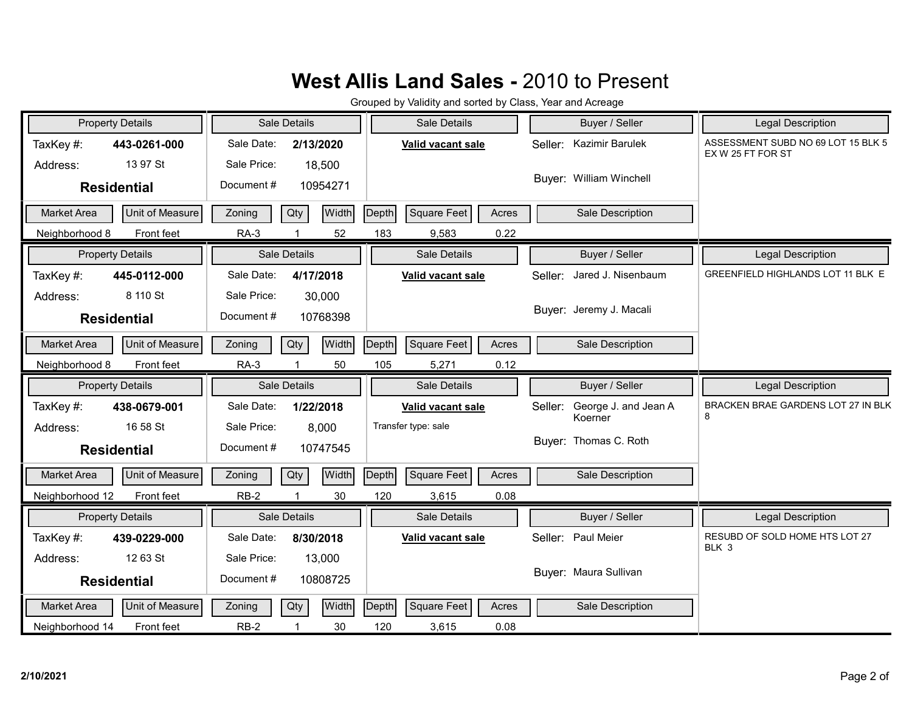| <b>Property Details</b>               | Sale Details            | Sale Details                                | Buyer / Seller                  | <b>Legal Description</b>                                |
|---------------------------------------|-------------------------|---------------------------------------------|---------------------------------|---------------------------------------------------------|
| TaxKey#:<br>443-0261-000              | Sale Date:<br>2/13/2020 | Valid vacant sale                           | Kazimir Barulek<br>Seller:      | ASSESSMENT SUBD NO 69 LOT 15 BLK 5<br>EX W 25 FT FOR ST |
| 13 97 St<br>Address:                  | Sale Price:<br>18,500   |                                             |                                 |                                                         |
| <b>Residential</b>                    | Document#<br>10954271   |                                             | Buyer: William Winchell         |                                                         |
| Unit of Measure<br><b>Market Area</b> | Qty<br>Width<br>Zoning  | Depth<br>Square Feet<br>Acres               | Sale Description                |                                                         |
| Front feet<br>Neighborhood 8          | $RA-3$<br>52            | 183<br>0.22<br>9,583                        |                                 |                                                         |
| <b>Property Details</b>               | Sale Details            | Sale Details                                | Buyer / Seller                  | Legal Description                                       |
| TaxKey#:<br>445-0112-000              | Sale Date:<br>4/17/2018 | Valid vacant sale                           | Jared J. Nisenbaum<br>Seller:   | GREENFIELD HIGHLANDS LOT 11 BLK E                       |
| 8 110 St<br>Address:                  | Sale Price:<br>30,000   |                                             |                                 |                                                         |
| <b>Residential</b>                    | Document#<br>10768398   |                                             | Buyer: Jeremy J. Macali         |                                                         |
| Unit of Measure<br>Market Area        | Width<br>Qty<br>Zoning  | Depth<br>Square Feet<br>Acres               | Sale Description                |                                                         |
| Front feet<br>Neighborhood 8          | $RA-3$<br>50            | 105<br>0.12<br>5,271                        |                                 |                                                         |
|                                       |                         |                                             |                                 |                                                         |
| <b>Property Details</b>               | Sale Details            | Sale Details                                | Buyer / Seller                  | Legal Description                                       |
| TaxKey#:<br>438-0679-001              | Sale Date:<br>1/22/2018 | Valid vacant sale                           | George J. and Jean A<br>Seller: | BRACKEN BRAE GARDENS LOT 27 IN BLK                      |
| 16 58 St<br>Address:                  | Sale Price:<br>8,000    | Transfer type: sale                         | Koerner                         | 8                                                       |
| <b>Residential</b>                    | Document#<br>10747545   |                                             | Buyer: Thomas C. Roth           |                                                         |
| <b>Market Area</b><br>Unit of Measure | Width<br>Qty<br>Zoning  | <b>Depth</b><br><b>Square Feet</b><br>Acres | Sale Description                |                                                         |
| Neighborhood 12<br>Front feet         | $RB-2$<br>30            | 120<br>0.08<br>3,615                        |                                 |                                                         |
| <b>Property Details</b>               | Sale Details            | Sale Details                                | Buyer / Seller                  | <b>Legal Description</b>                                |
| TaxKey#:<br>439-0229-000              | Sale Date:<br>8/30/2018 | Valid vacant sale                           | Seller: Paul Meier              | RESUBD OF SOLD HOME HTS LOT 27                          |
| 12 63 St<br>Address:                  | Sale Price:<br>13,000   |                                             |                                 | BLK 3                                                   |
| <b>Residential</b>                    | Document#<br>10808725   |                                             | Buyer: Maura Sullivan           |                                                         |
| Unit of Measure<br>Market Area        | Width<br>Zoning<br>Qty  | Depth<br><b>Square Feet</b><br>Acres        | Sale Description                |                                                         |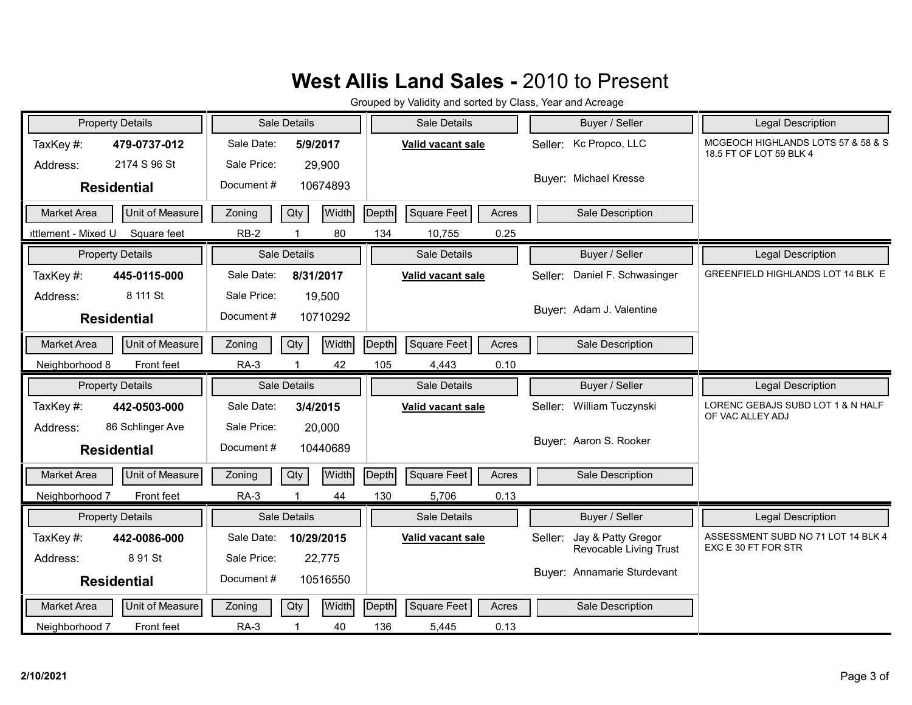|                     | <b>Property Details</b> |             | <b>Sale Details</b> |              |       | Sale Details      |       |         | Buyer / Seller              | <b>Legal Description</b>                                      |
|---------------------|-------------------------|-------------|---------------------|--------------|-------|-------------------|-------|---------|-----------------------------|---------------------------------------------------------------|
| TaxKey#:            | 479-0737-012            | Sale Date:  | 5/9/2017            |              |       | Valid vacant sale |       |         | Seller: Kc Propco, LLC      | MCGEOCH HIGHLANDS LOTS 57 & 58 & S<br>18.5 FT OF LOT 59 BLK 4 |
| Address:            | 2174 S 96 St            | Sale Price: |                     | 29,900       |       |                   |       |         |                             |                                                               |
|                     | <b>Residential</b>      | Document#   |                     | 10674893     |       |                   |       |         | Buyer: Michael Kresse       |                                                               |
| <b>Market Area</b>  | Unit of Measure         | Zoning      | Qty                 | Width        | Depth | Square Feet       | Acres |         | Sale Description            |                                                               |
| ettlement - Mixed U | Square feet             | $RB-2$      |                     | 80           | 134   | 10,755            | 0.25  |         |                             |                                                               |
|                     | <b>Property Details</b> |             | Sale Details        |              |       | Sale Details      |       |         | Buyer / Seller              | Legal Description                                             |
| TaxKey#:            | 445-0115-000            | Sale Date:  | 8/31/2017           |              |       | Valid vacant sale |       | Seller: | Daniel F. Schwasinger       | GREENFIELD HIGHLANDS LOT 14 BLK E                             |
| Address:            | 8 111 St                | Sale Price: |                     | 19,500       |       |                   |       |         |                             |                                                               |
|                     | <b>Residential</b>      | Document#   |                     | 10710292     |       |                   |       |         | Buyer: Adam J. Valentine    |                                                               |
| <b>Market Area</b>  | Unit of Measure         | Zoning      | Qty                 | Width        | Depth | Square Feet       | Acres |         | Sale Description            |                                                               |
| Neighborhood 8      | Front feet              | $RA-3$      |                     | 42           | 105   | 4,443             | 0.10  |         |                             |                                                               |
|                     |                         |             |                     |              |       |                   |       |         |                             |                                                               |
|                     | <b>Property Details</b> |             | Sale Details        |              |       | Sale Details      |       |         | Buyer / Seller              | Legal Description                                             |
| TaxKey#:            | 442-0503-000            | Sale Date:  | 3/4/2015            |              |       | Valid vacant sale |       | Seller: | William Tuczynski           | LORENC GEBAJS SUBD LOT 1 & N HALF                             |
| Address:            | 86 Schlinger Ave        | Sale Price: |                     | 20,000       |       |                   |       |         |                             | OF VAC ALLEY ADJ                                              |
|                     | <b>Residential</b>      | Document #  |                     | 10440689     |       |                   |       |         | Buyer: Aaron S. Rooker      |                                                               |
| Market Area         | Unit of Measure         | Zoning      | Qty                 | Width        | Depth | Square Feet       | Acres |         | Sale Description            |                                                               |
| Neighborhood 7      | Front feet              | $RA-3$      |                     | 44           | 130   | 5,706             | 0.13  |         |                             |                                                               |
|                     | <b>Property Details</b> |             | <b>Sale Details</b> |              |       | Sale Details      |       |         | Buyer / Seller              | <b>Legal Description</b>                                      |
| TaxKey#:            | 442-0086-000            | Sale Date:  | 10/29/2015          |              |       | Valid vacant sale |       | Seller: | Jay & Patty Gregor          | ASSESSMENT SUBD NO 71 LOT 14 BLK 4                            |
| Address:            | 8 91 St                 | Sale Price: |                     | 22,775       |       |                   |       |         | Revocable Living Trust      | EXC E 30 FT FOR STR                                           |
|                     | <b>Residential</b>      | Document#   |                     | 10516550     |       |                   |       |         | Buyer: Annamarie Sturdevant |                                                               |
| <b>Market Area</b>  | Unit of Measure         | Zoning      | Qty                 | <b>Width</b> | Depth | Square Feet       | Acres |         | Sale Description            |                                                               |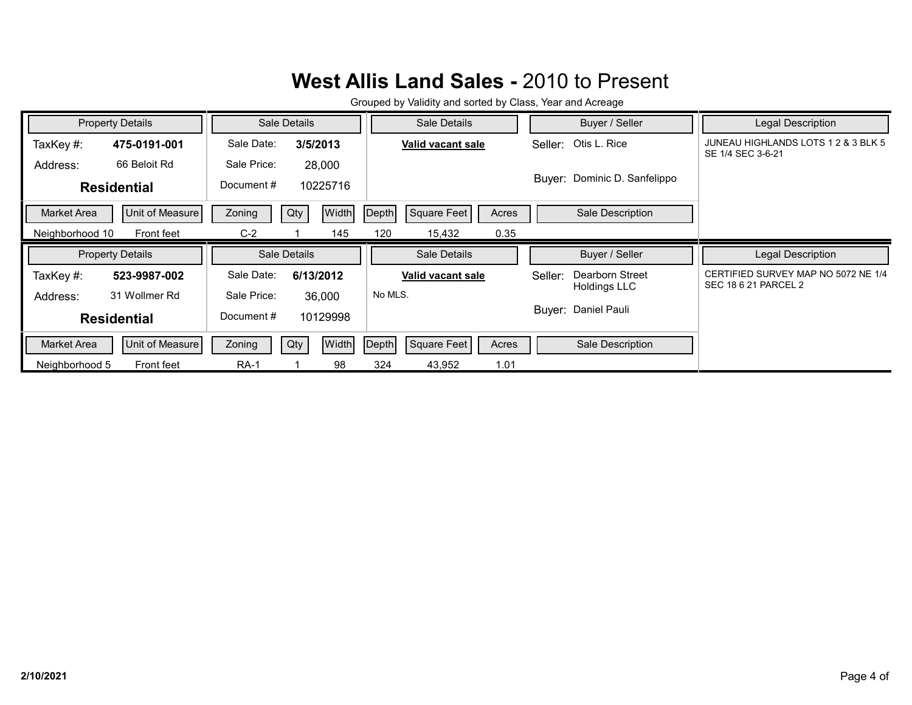|                 | <b>Property Details</b> | Sale Details |                     | Sale Details                         | Buyer / Seller               | Legal Description                                        |
|-----------------|-------------------------|--------------|---------------------|--------------------------------------|------------------------------|----------------------------------------------------------|
| TaxKey#:        | 475-0191-001            | Sale Date:   | 3/5/2013            | Valid vacant sale                    | Seller: Otis L. Rice         | JUNEAU HIGHLANDS LOTS 1 2 & 3 BLK 5<br>SE 1/4 SEC 3-6-21 |
| Address:        | 66 Beloit Rd            | Sale Price:  | 28,000              |                                      |                              |                                                          |
|                 | <b>Residential</b>      | Document#    | 10225716            |                                      | Buyer: Dominic D. Sanfelippo |                                                          |
| Market Area     | Unit of Measure         | Zoning       | <b>Width</b><br>Qty | <b>Square Feet</b><br>Depth<br>Acres | Sale Description             |                                                          |
| Neighborhood 10 | Front feet              | $C-2$        | 145                 | 0.35<br>120<br>15,432                |                              |                                                          |
|                 |                         |              |                     |                                      |                              |                                                          |
|                 | <b>Property Details</b> |              | Sale Details        | Sale Details                         | Buyer / Seller               | Legal Description                                        |
| TaxKey#:        | 523-9987-002            | Sale Date:   | 6/13/2012           | Valid vacant sale                    | Dearborn Street<br>Seller:   | CERTIFIED SURVEY MAP NO 5072 NE 1/4                      |
| Address:        | 31 Wollmer Rd           | Sale Price:  | 36,000              | No MLS.                              | <b>Holdings LLC</b>          | SEC 18 6 21 PARCEL 2                                     |
|                 | <b>Residential</b>      | Document#    | 10129998            |                                      | Buyer: Daniel Pauli          |                                                          |
| Market Area     | Unit of Measure         | Zoning       | <b>Width</b><br>Qty | Square Feet<br>Depth<br>Acres        | Sale Description             |                                                          |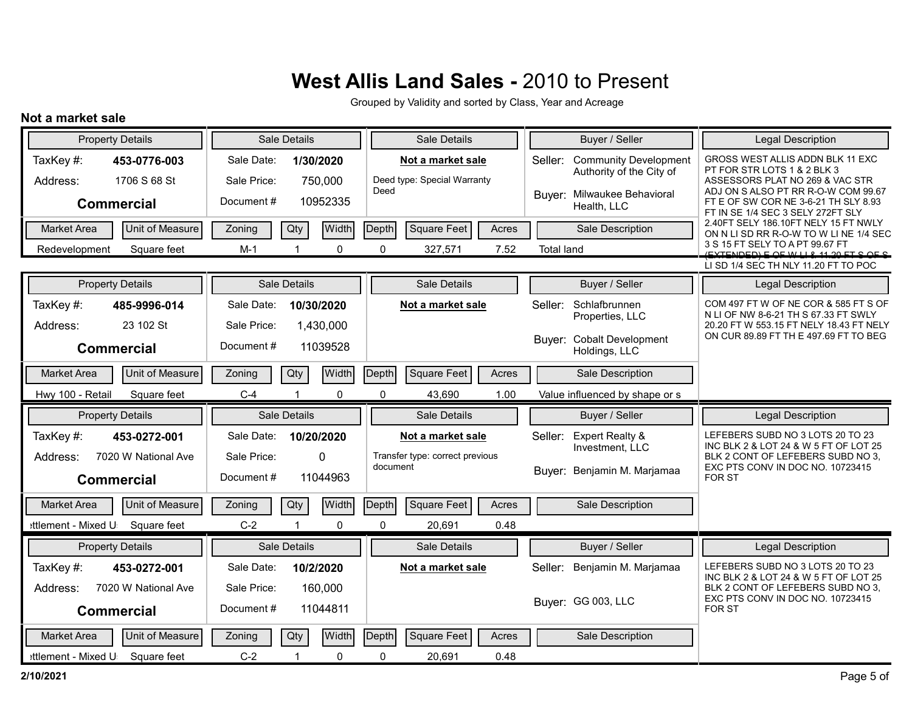Grouped by Validity and sorted by Class, Year and Acreage

#### **Not a market sale**

| <b>Property Details</b>                              | Sale Details                                         | Sale Details                                             | Buyer / Seller                                                      | <b>Legal Description</b>                                                                                                                 |
|------------------------------------------------------|------------------------------------------------------|----------------------------------------------------------|---------------------------------------------------------------------|------------------------------------------------------------------------------------------------------------------------------------------|
| TaxKey#:<br>453-0776-003<br>1706 S 68 St<br>Address: | Sale Date:<br>1/30/2020<br>Sale Price:<br>750,000    | Not a market sale<br>Deed type: Special Warranty<br>Deed | <b>Community Development</b><br>Seller:<br>Authority of the City of | GROSS WEST ALLIS ADDN BLK 11 EXC<br>PT FOR STR LOTS 1 & 2 BLK 3<br>ASSESSORS PLAT NO 269 & VAC STR<br>ADJ ON SALSO PT RR R-O-W COM 99.67 |
| <b>Commercial</b>                                    | Document#<br>10952335                                |                                                          | Buyer: Milwaukee Behavioral<br>Health, LLC                          | FT E OF SW COR NE 3-6-21 TH SLY 8.93<br>FT IN SE 1/4 SEC 3 SELY 272FT SLY                                                                |
| Unit of Measure<br><b>Market Area</b>                | <b>Width</b><br>Qty<br>Zoning                        | Square Feet<br>Depth<br>Acres                            | Sale Description                                                    | 2.40FT SELY 186.10FT NELY 15 FT NWLY<br>ON N LI SD RR R-O-W TO W LI NE 1/4 SEC                                                           |
| Square feet<br>Redevelopment                         | $\Omega$<br>$M-1$                                    | $\Omega$<br>327,571<br>7.52                              | <b>Total land</b>                                                   | 3 S 15 FT SELY TO A PT 99.67 FT<br>$I$ EVTENDED) E QE WILL 9 44 90 ET Q QE Q                                                             |
|                                                      |                                                      |                                                          |                                                                     | LI SD 1/4 SEC TH NLY 11.20 FT TO POC                                                                                                     |
| <b>Property Details</b>                              | Sale Details                                         | Sale Details                                             | Buyer / Seller                                                      | <b>Legal Description</b>                                                                                                                 |
| TaxKey#:<br>485-9996-014<br>23 102 St<br>Address:    | Sale Date:<br>10/30/2020<br>Sale Price:<br>1,430,000 | Not a market sale                                        | Schlafbrunnen<br>Seller:<br>Properties, LLC                         | COM 497 FT W OF NE COR & 585 FT S OF<br>N LI OF NW 8-6-21 TH S 67.33 FT SWLY<br>20.20 FT W 553.15 FT NELY 18.43 FT NELY                  |
| <b>Commercial</b>                                    | Document#<br>11039528                                |                                                          | Buver: Cobalt Development<br>Holdings, LLC                          | ON CUR 89.89 FT TH E 497.69 FT TO BEG                                                                                                    |
| Unit of Measure<br>Market Area                       | Qty<br>Width<br>Zoning                               | <b>Square Feet</b><br>Depth<br>Acres                     | Sale Description                                                    |                                                                                                                                          |
|                                                      |                                                      | $\Omega$                                                 |                                                                     |                                                                                                                                          |
| Hwy 100 - Retail<br>Square feet                      | $C-4$<br>0                                           | 43,690<br>1.00                                           | Value influenced by shape or s                                      |                                                                                                                                          |
| <b>Property Details</b>                              | Sale Details                                         | Sale Details                                             | Buyer / Seller                                                      | <b>Legal Description</b>                                                                                                                 |
| TaxKey#:<br>453-0272-001                             | Sale Date:<br>10/20/2020                             | Not a market sale                                        | <b>Expert Realty &amp;</b><br>Seller:<br>Investment, LLC            | LEFEBERS SUBD NO 3 LOTS 20 TO 23<br>INC BLK 2 & LOT 24 & W 5 FT OF LOT 25                                                                |
| 7020 W National Ave<br>Address:<br><b>Commercial</b> | Sale Price:<br>$\mathbf{0}$<br>Document#<br>11044963 | Transfer type: correct previous<br>document              | Buver: Benjamin M. Marjamaa                                         | BLK 2 CONT OF LEFEBERS SUBD NO 3.<br>EXC PTS CONV IN DOC NO. 10723415<br><b>FOR ST</b>                                                   |
| Unit of Measure<br>Market Area                       | <b>Width</b><br>Qty<br>Zoning                        | <b>Square Feet</b><br>Depth<br>Acres                     | Sale Description                                                    |                                                                                                                                          |
| ettlement - Mixed U<br>Square feet                   | $C-2$<br>0<br>1                                      | 0<br>20,691<br>0.48                                      |                                                                     |                                                                                                                                          |
| <b>Property Details</b>                              | Sale Details                                         | Sale Details                                             | Buyer / Seller                                                      | Legal Description                                                                                                                        |
| TaxKey#:<br>453-0272-001                             | Sale Date:<br>10/2/2020                              | Not a market sale                                        | Benjamin M. Marjamaa<br>Seller:                                     | LEFEBERS SUBD NO 3 LOTS 20 TO 23                                                                                                         |
| 7020 W National Ave<br>Address:<br><b>Commercial</b> | Sale Price:<br>160,000<br>Document#<br>11044811      |                                                          | Buyer: GG 003, LLC                                                  | INC BLK 2 & LOT 24 & W 5 FT OF LOT 25<br>BLK 2 CONT OF LEFEBERS SUBD NO 3.<br>EXC PTS CONV IN DOC NO. 10723415<br><b>FOR ST</b>          |
| Unit of Measure<br><b>Market Area</b>                | <b>Width</b><br>Zoning<br>Qty                        | <b>Square Feet</b><br>Depth<br>Acres                     | Sale Description                                                    |                                                                                                                                          |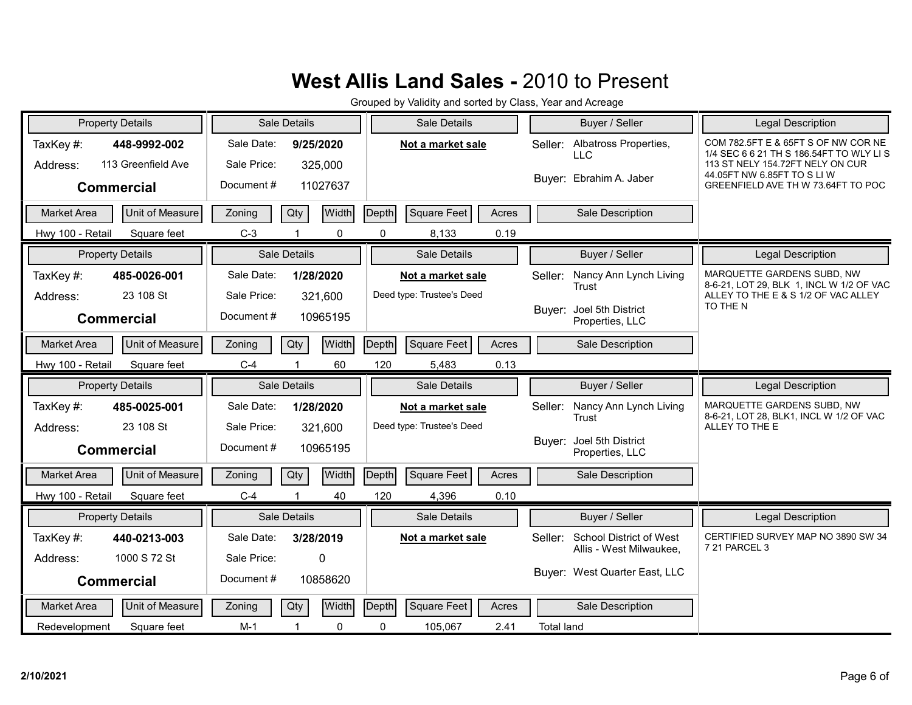| <b>Property Details</b>               | Sale Details                  | Sale Details                  | Buyer / Seller                                 | Legal Description                                                              |
|---------------------------------------|-------------------------------|-------------------------------|------------------------------------------------|--------------------------------------------------------------------------------|
| TaxKey#:<br>448-9992-002              | Sale Date:<br>9/25/2020       | Not a market sale             | Albatross Properties,<br>Seller:<br><b>LLC</b> | COM 782.5FT E & 65FT S OF NW COR NE<br>1/4 SEC 6 6 21 TH S 186.54FT TO WLY LIS |
| 113 Greenfield Ave<br>Address:        | Sale Price:<br>325,000        |                               |                                                | 113 ST NELY 154.72FT NELY ON CUR<br>44.05FT NW 6.85FT TO S LI W                |
| <b>Commercial</b>                     | Document#<br>11027637         |                               | Buyer: Ebrahim A. Jaber                        | GREENFIELD AVE TH W 73.64FT TO POC                                             |
| Unit of Measure<br><b>Market Area</b> | Width<br>Zoning<br>Qty        | Depth<br>Square Feet<br>Acres | Sale Description                               |                                                                                |
| Square feet<br>Hwy 100 - Retail       | $C-3$<br>0                    | 0.19<br>0<br>8,133            |                                                |                                                                                |
| <b>Property Details</b>               | Sale Details                  | Sale Details                  | Buyer / Seller                                 | <b>Legal Description</b>                                                       |
| TaxKey#:<br>485-0026-001              | Sale Date:<br>1/28/2020       | Not a market sale             | Nancy Ann Lynch Living<br>Seller:              | MARQUETTE GARDENS SUBD, NW<br>8-6-21, LOT 29, BLK 1, INCL W 1/2 OF VAC         |
| 23 108 St<br>Address:                 | Sale Price:<br>321,600        | Deed type: Trustee's Deed     | Trust                                          | ALLEY TO THE E & S 1/2 OF VAC ALLEY                                            |
| <b>Commercial</b>                     | Document#<br>10965195         |                               | Joel 5th District<br>Buyer:<br>Properties, LLC | TO THE N                                                                       |
| Unit of Measure<br><b>Market Area</b> | Width<br>Qty<br>Zoning        | Square Feet<br>Depth<br>Acres | Sale Description                               |                                                                                |
| Hwy 100 - Retail<br>Square feet       | $C-4$<br>60                   | 120<br>5,483<br>0.13          |                                                |                                                                                |
|                                       |                               |                               |                                                |                                                                                |
| <b>Property Details</b>               | Sale Details                  | Sale Details                  | Buyer / Seller                                 | Legal Description                                                              |
| TaxKey #:<br>485-0025-001             | Sale Date:<br>1/28/2020       | Not a market sale             | Nancy Ann Lynch Living<br>Seller:              | MARQUETTE GARDENS SUBD. NW                                                     |
| 23 108 St<br>Address:                 | Sale Price:<br>321,600        | Deed type: Trustee's Deed     | Trust                                          | 8-6-21, LOT 28, BLK1, INCL W 1/2 OF VAC<br>ALLEY TO THE E                      |
| <b>Commercial</b>                     | Document#<br>10965195         |                               | Buyer: Joel 5th District<br>Properties, LLC    |                                                                                |
| Unit of Measure<br><b>Market Area</b> | Width<br>Qty<br>Zoning        | Depth<br>Square Feet<br>Acres | Sale Description                               |                                                                                |
| Hwy 100 - Retail<br>Square feet       | $C-4$<br>40                   | 120<br>4,396<br>0.10          |                                                |                                                                                |
| <b>Property Details</b>               | Sale Details                  | Sale Details                  | Buyer / Seller                                 | <b>Legal Description</b>                                                       |
| TaxKey#:<br>440-0213-003              | Sale Date:<br>3/28/2019       | Not a market sale             | <b>School District of West</b><br>Seller:      | CERTIFIED SURVEY MAP NO 3890 SW 34                                             |
| 1000 S 72 St<br>Address:              | Sale Price:<br>0              |                               | Allis - West Milwaukee.                        | 7 21 PARCEL 3                                                                  |
| <b>Commercial</b>                     | Document#<br>10858620         |                               | Buyer: West Quarter East, LLC                  |                                                                                |
| Unit of Measure<br><b>Market Area</b> | <b>Width</b><br>Zoning<br>Qty | Depth<br>Square Feet<br>Acres | Sale Description                               |                                                                                |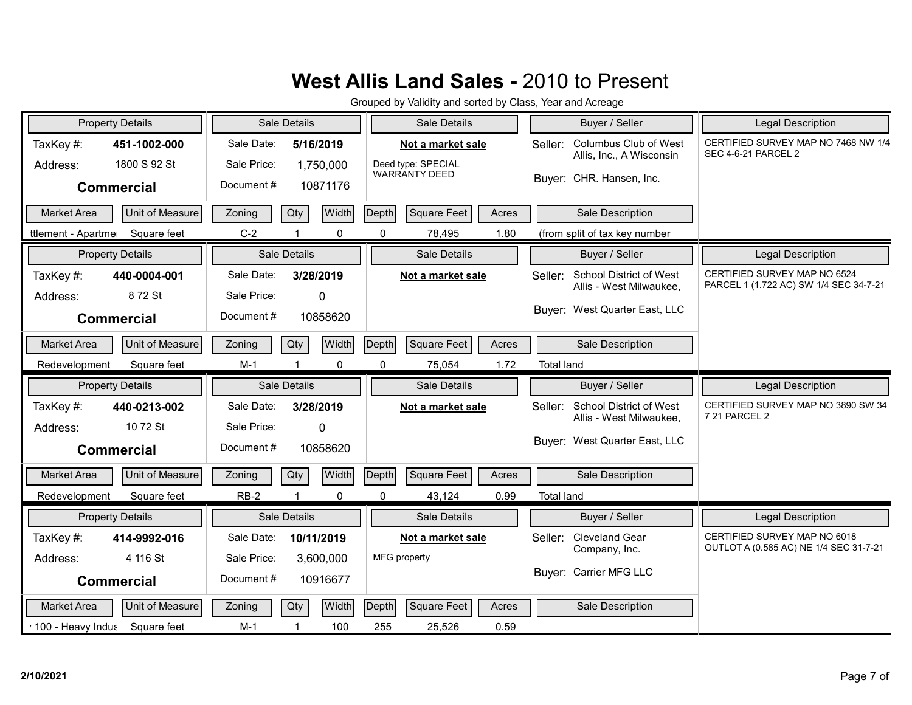|                     | <b>Property Details</b> |             | Sale Details         |             |              | Sale Details                               |       |                   | Buyer / Seller                                    | <b>Legal Description</b>                                               |
|---------------------|-------------------------|-------------|----------------------|-------------|--------------|--------------------------------------------|-------|-------------------|---------------------------------------------------|------------------------------------------------------------------------|
| TaxKey#:            | 451-1002-000            | Sale Date:  |                      | 5/16/2019   |              | Not a market sale                          |       | Seller:           | Columbus Club of West<br>Allis, Inc., A Wisconsin | CERTIFIED SURVEY MAP NO 7468 NW 1/4<br>SEC 4-6-21 PARCEL 2             |
| Address:            | 1800 S 92 St            | Sale Price: |                      | 1,750,000   |              | Deed type: SPECIAL<br><b>WARRANTY DEED</b> |       |                   |                                                   |                                                                        |
|                     | <b>Commercial</b>       | Document#   |                      | 10871176    |              |                                            |       |                   | Buyer: CHR. Hansen, Inc.                          |                                                                        |
| <b>Market Area</b>  | Unit of Measure         | Zoning      | Qty                  | Width       | Depth        | <b>Square Feet</b>                         | Acres |                   | Sale Description                                  |                                                                        |
| ttlement - Apartmer | Square feet             | $C-2$       |                      | 0           | $\mathbf{0}$ | 78,495                                     | 1.80  |                   | (from split of tax key number                     |                                                                        |
|                     | <b>Property Details</b> |             | Sale Details         |             |              | Sale Details                               |       |                   | Buyer / Seller                                    | <b>Legal Description</b>                                               |
| TaxKey#:            | 440-0004-001            | Sale Date:  |                      | 3/28/2019   |              | Not a market sale                          |       | Seller:           | <b>School District of West</b>                    | CERTIFIED SURVEY MAP NO 6524<br>PARCEL 1 (1.722 AC) SW 1/4 SEC 34-7-21 |
| Address:            | 872 St                  | Sale Price: |                      | 0           |              |                                            |       |                   | Allis - West Milwaukee,                           |                                                                        |
|                     | <b>Commercial</b>       | Document#   |                      | 10858620    |              |                                            |       |                   | Buyer: West Quarter East, LLC                     |                                                                        |
| <b>Market Area</b>  | Unit of Measure         | Zoning      | Qty                  | Width       | Depth        | Square Feet                                | Acres |                   | Sale Description                                  |                                                                        |
| Redevelopment       | Square feet             | $M-1$       |                      | 0           | $\mathbf 0$  | 75,054                                     | 1.72  | <b>Total land</b> |                                                   |                                                                        |
|                     |                         |             |                      |             |              |                                            |       |                   |                                                   |                                                                        |
|                     | <b>Property Details</b> |             | Sale Details         |             |              | Sale Details                               |       |                   | Buyer / Seller                                    | Legal Description                                                      |
| TaxKey#:            | 440-0213-002            | Sale Date:  |                      | 3/28/2019   |              | Not a market sale                          |       | Seller:           | <b>School District of West</b>                    | CERTIFIED SURVEY MAP NO 3890 SW 34                                     |
| Address:            | 10 72 St                | Sale Price: |                      | $\mathbf 0$ |              |                                            |       |                   | Allis - West Milwaukee,                           | 7 21 PARCEL 2                                                          |
|                     | <b>Commercial</b>       | Document#   |                      | 10858620    |              |                                            |       |                   | Buyer: West Quarter East, LLC                     |                                                                        |
| <b>Market Area</b>  | <b>Unit of Measure</b>  | Zoning      | Qty                  | Width       | Depth        | <b>Square Feet</b>                         | Acres |                   | Sale Description                                  |                                                                        |
| Redevelopment       | Square feet             | $RB-2$      | $\blacktriangleleft$ | 0           | $\mathbf 0$  | 43,124                                     | 0.99  | <b>Total land</b> |                                                   |                                                                        |
|                     | <b>Property Details</b> |             | Sale Details         |             |              | Sale Details                               |       |                   | Buyer / Seller                                    | <b>Legal Description</b>                                               |
| TaxKey#:            | 414-9992-016            | Sale Date:  |                      | 10/11/2019  |              | Not a market sale                          |       | Seller:           | <b>Cleveland Gear</b>                             | CERTIFIED SURVEY MAP NO 6018                                           |
| Address:            | 4 116 St                | Sale Price: |                      | 3,600,000   |              | MFG property                               |       |                   | Company, Inc.                                     | OUTLOT A (0.585 AC) NE 1/4 SEC 31-7-21                                 |
|                     | <b>Commercial</b>       | Document#   |                      | 10916677    |              |                                            |       |                   | Buyer: Carrier MFG LLC                            |                                                                        |
| <b>Market Area</b>  | Unit of Measure         | Zoning      | Qty                  | Width       | Depth        | <b>Square Feet</b>                         | Acres |                   | Sale Description                                  |                                                                        |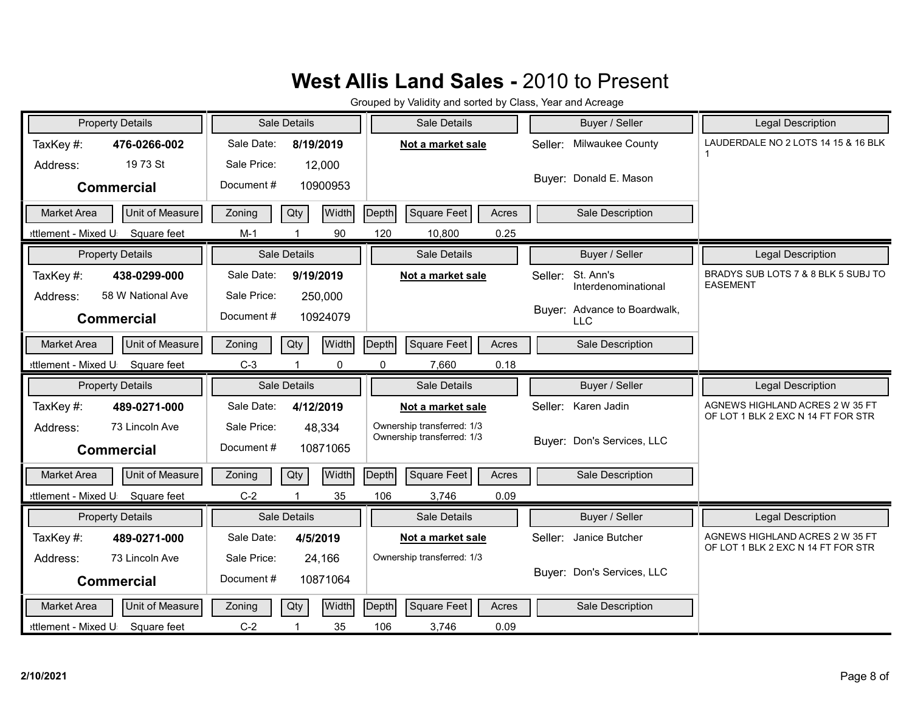| <b>Property Details</b>                      | Sale Details                  | Sale Details                         | Buyer / Seller                              | <b>Legal Description</b>                               |
|----------------------------------------------|-------------------------------|--------------------------------------|---------------------------------------------|--------------------------------------------------------|
| TaxKey#:<br>476-0266-002                     | Sale Date:<br>8/19/2019       | Not a market sale                    | Milwaukee County<br>Seller:                 | LAUDERDALE NO 2 LOTS 14 15 & 16 BLK<br>1               |
| 19 73 St<br>Address:                         | Sale Price:<br>12,000         |                                      |                                             |                                                        |
| <b>Commercial</b>                            | Document#<br>10900953         |                                      | Buyer: Donald E. Mason                      |                                                        |
| Unit of Measure<br><b>Market Area</b>        | Width<br>Qty<br>Zoning        | Depth<br><b>Square Feet</b><br>Acres | Sale Description                            |                                                        |
| ettlement - Mixed U<br>Square feet           | 90<br>$M-1$<br>$\mathbf 1$    | 120<br>0.25<br>10,800                |                                             |                                                        |
| <b>Property Details</b>                      | <b>Sale Details</b>           | Sale Details                         | Buyer / Seller                              | Legal Description                                      |
| TaxKey#:<br>438-0299-000                     | Sale Date:<br>9/19/2019       | Not a market sale                    | St. Ann's<br>Seller:<br>Interdenominational | BRADYS SUB LOTS 7 & 8 BLK 5 SUBJ TO<br><b>EASEMENT</b> |
| 58 W National Ave<br>Address:                | Sale Price:<br>250,000        |                                      | Buyer: Advance to Boardwalk,                |                                                        |
| <b>Commercial</b>                            | Document#<br>10924079         |                                      | <b>LLC</b>                                  |                                                        |
| Unit of Measure<br><b>Market Area</b>        | Width<br>Qty<br>Zoning        | Square Feet<br>Depth<br>Acres        | Sale Description                            |                                                        |
| ettlement - Mixed U<br>Square feet           | $C-3$<br>$\mathbf 0$          | 0<br>0.18<br>7,660                   |                                             |                                                        |
|                                              |                               |                                      |                                             |                                                        |
| <b>Property Details</b>                      | Sale Details                  | Sale Details                         | Buyer / Seller                              | Legal Description                                      |
| TaxKey#:<br>489-0271-000                     | Sale Date:<br>4/12/2019       | Not a market sale                    | Seller: Karen Jadin                         | AGNEWS HIGHLAND ACRES 2 W 35 FT                        |
| 73 Lincoln Ave<br>Address:                   | Sale Price:<br>48,334         | Ownership transferred: 1/3           |                                             | OF LOT 1 BLK 2 EXC N 14 FT FOR STR                     |
| <b>Commercial</b>                            | Document#<br>10871065         | Ownership transferred: 1/3           | Buyer: Don's Services, LLC                  |                                                        |
| <b>Unit of Measure</b><br><b>Market Area</b> | Width<br>Qty<br>Zoning        | <b>Square Feet</b><br>Depth<br>Acres | Sale Description                            |                                                        |
| Square feet<br>ettlement - Mixed U           | $C-2$<br>$\overline{1}$<br>35 | 106<br>3,746<br>0.09                 |                                             |                                                        |
| <b>Property Details</b>                      | Sale Details                  | Sale Details                         | Buyer / Seller                              | Legal Description                                      |
| TaxKey#:<br>489-0271-000                     | Sale Date:<br>4/5/2019        | Not a market sale                    | Janice Butcher<br>Seller:                   | AGNEWS HIGHLAND ACRES 2 W 35 FT                        |
| 73 Lincoln Ave<br>Address:                   | Sale Price:<br>24,166         | Ownership transferred: 1/3           |                                             | OF LOT 1 BLK 2 EXC N 14 FT FOR STR                     |
| <b>Commercial</b>                            | Document#<br>10871064         |                                      | Buyer: Don's Services, LLC                  |                                                        |
| Unit of Measure<br><b>Market Area</b>        | Width<br>Qty<br>Zoning        | Depth<br><b>Square Feet</b><br>Acres | Sale Description                            |                                                        |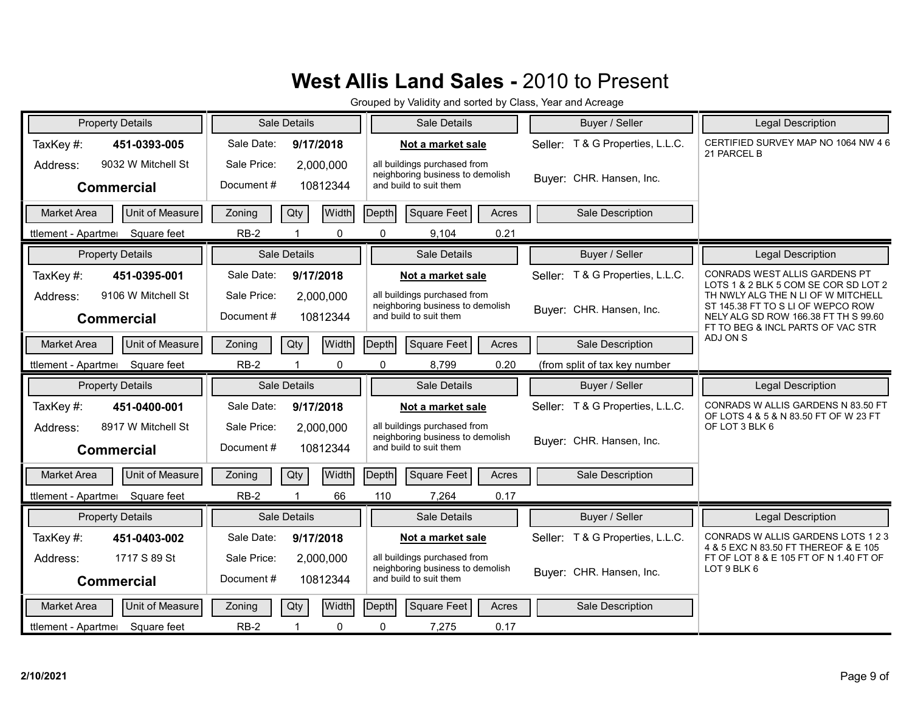| <b>Property Details</b>                             | Sale Details                                      | Sale Details                                                                               | Buyer / Seller                      | Legal Description                                                                                                                                    |
|-----------------------------------------------------|---------------------------------------------------|--------------------------------------------------------------------------------------------|-------------------------------------|------------------------------------------------------------------------------------------------------------------------------------------------------|
| TaxKey#:<br>451-0393-005                            | Sale Date:<br>9/17/2018                           | Not a market sale                                                                          | Seller: T & G Properties, L.L.C.    | CERTIFIED SURVEY MAP NO 1064 NW 46<br>21 PARCEL B                                                                                                    |
| 9032 W Mitchell St<br>Address:<br><b>Commercial</b> | Sale Price:<br>2,000,000<br>Document#<br>10812344 | all buildings purchased from<br>neighboring business to demolish<br>and build to suit them | Buyer: CHR. Hansen, Inc.            |                                                                                                                                                      |
| Unit of Measure<br><b>Market Area</b>               | Width<br>Qty<br>Zoning                            | Square Feet<br>Depth<br>Acres                                                              | Sale Description                    |                                                                                                                                                      |
| Square feet<br>ttlement - Apartmer                  | $RB-2$<br>$\mathbf{0}$                            | 0.21<br>$\Omega$<br>9,104                                                                  |                                     |                                                                                                                                                      |
| <b>Property Details</b>                             | Sale Details                                      | Sale Details                                                                               | Buyer / Seller                      | Legal Description                                                                                                                                    |
| TaxKey#:<br>451-0395-001                            | Sale Date:<br>9/17/2018                           | Not a market sale                                                                          | T & G Properties, L.L.C.<br>Seller: | CONRADS WEST ALLIS GARDENS PT<br>LOTS 1 & 2 BLK 5 COM SE COR SD LOT 2                                                                                |
| 9106 W Mitchell St<br>Address:<br><b>Commercial</b> | Sale Price:<br>2,000,000<br>Document#<br>10812344 | all buildings purchased from<br>neighboring business to demolish<br>and build to suit them | Buver: CHR. Hansen, Inc.            | TH NWLY ALG THE N LI OF W MITCHELL<br>ST 145.38 FT TO S LI OF WEPCO ROW<br>NELY ALG SD ROW 166.38 FT TH S 99.60<br>FT TO BEG & INCL PARTS OF VAC STR |
| Unit of Measure<br>Market Area                      | Width<br>Qty<br>Zoning                            | Depth<br>Square Feet<br>Acres                                                              | Sale Description                    | ADJ ON S                                                                                                                                             |
| ttlement - Apartme<br>Square feet                   | $RB-2$<br>$\mathbf 0$<br>1                        | 0<br>8,799<br>0.20                                                                         | (from split of tax key number       |                                                                                                                                                      |
|                                                     |                                                   |                                                                                            |                                     |                                                                                                                                                      |
| <b>Property Details</b>                             | Sale Details                                      | Sale Details                                                                               | Buyer / Seller                      | Legal Description                                                                                                                                    |
| TaxKey#:<br>451-0400-001                            | Sale Date:<br>9/17/2018                           | Not a market sale                                                                          | Seller: T & G Properties, L.L.C.    | CONRADS W ALLIS GARDENS N 83.50 FT                                                                                                                   |
| 8917 W Mitchell St<br>Address:<br><b>Commercial</b> | Sale Price:<br>2,000,000<br>Document#<br>10812344 | all buildings purchased from<br>neighboring business to demolish<br>and build to suit them | Buyer: CHR. Hansen, Inc.            | OF LOTS 4 & 5 & N 83.50 FT OF W 23 FT<br>OF LOT 3 BLK 6                                                                                              |
| Unit of Measure<br>Market Area                      | Width<br>Qty<br>Zoning                            | Depth<br>Square Feet<br>Acres                                                              | Sale Description                    |                                                                                                                                                      |
| Square feet<br>ttlement - Apartmer                  | $RB-2$<br>66<br>$\blacktriangleleft$              | 110<br>7,264<br>0.17                                                                       |                                     |                                                                                                                                                      |
| <b>Property Details</b>                             | Sale Details                                      | Sale Details                                                                               | Buyer / Seller                      | <b>Legal Description</b>                                                                                                                             |
| TaxKey#:<br>451-0403-002                            | Sale Date:<br>9/17/2018                           | Not a market sale                                                                          | Seller: T & G Properties, L.L.C.    | CONRADS W ALLIS GARDENS LOTS 1 2 3                                                                                                                   |
| 1717 S 89 St<br>Address:                            | Sale Price:<br>2,000,000                          | all buildings purchased from<br>neighboring business to demolish                           | Buyer: CHR. Hansen, Inc.            | 4 & 5 EXC N 83.50 FT THEREOF & E 105<br>FT OF LOT 8 & E 105 FT OF N 1.40 FT OF<br>LOT 9 BLK 6                                                        |
| <b>Commercial</b>                                   | Document#<br>10812344                             | and build to suit them                                                                     |                                     |                                                                                                                                                      |
| Unit of Measure<br><b>Market Area</b>               | Width<br>Zoning<br>Qty                            | Depth<br><b>Square Feet</b><br>Acres                                                       | Sale Description                    |                                                                                                                                                      |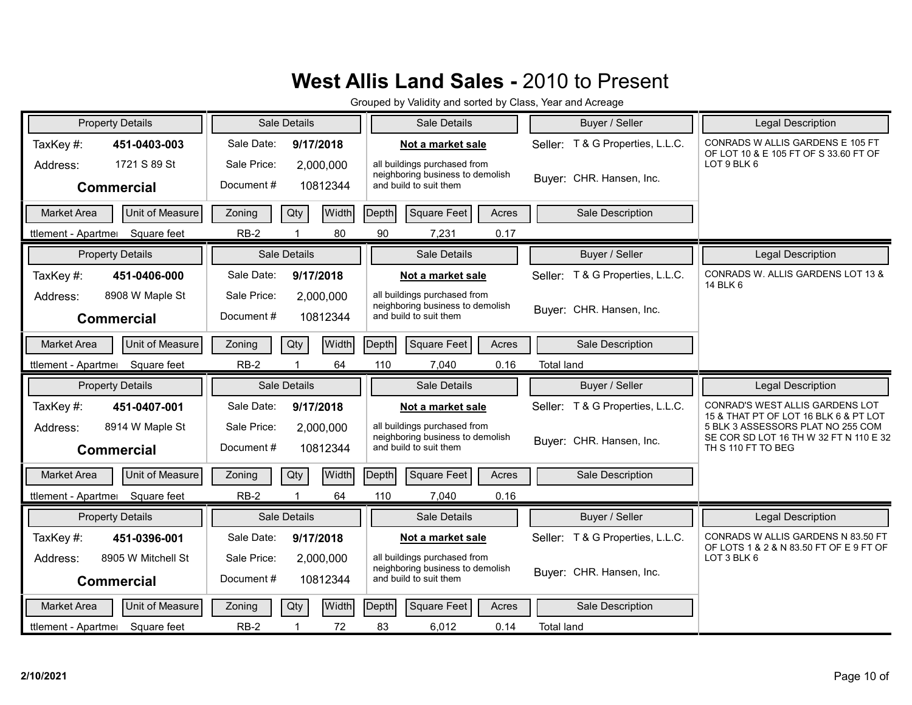| <b>Property Details</b>                             | Sale Details                                      | Sale Details                                                                               | Buyer / Seller                   | Legal Description                                                                                |
|-----------------------------------------------------|---------------------------------------------------|--------------------------------------------------------------------------------------------|----------------------------------|--------------------------------------------------------------------------------------------------|
| TaxKey#:<br>451-0403-003                            | Sale Date:<br>9/17/2018                           | Not a market sale                                                                          | Seller: T & G Properties, L.L.C. | CONRADS W ALLIS GARDENS E 105 FT<br>OF LOT 10 & E 105 FT OF S 33.60 FT OF                        |
| 1721 S 89 St<br>Address:<br><b>Commercial</b>       | Sale Price:<br>2,000,000<br>Document#<br>10812344 | all buildings purchased from<br>neighboring business to demolish<br>and build to suit them | Buyer: CHR. Hansen, Inc.         | LOT 9 BLK 6                                                                                      |
| Unit of Measure<br><b>Market Area</b>               | Qty<br>Width<br>Zoning                            | Depth<br>Square Feet<br>Acres                                                              | Sale Description                 |                                                                                                  |
| Square feet<br>ttlement - Apartmer                  | $RB-2$<br>80<br>$\overline{1}$                    | 90<br>0.17<br>7,231                                                                        |                                  |                                                                                                  |
| <b>Property Details</b>                             | Sale Details                                      | Sale Details                                                                               | Buyer / Seller                   | Legal Description                                                                                |
| TaxKey#:<br>451-0406-000                            | Sale Date:<br>9/17/2018                           | Not a market sale                                                                          | Seller: T & G Properties, L.L.C. | CONRADS W. ALLIS GARDENS LOT 13 &<br>14 BLK 6                                                    |
| 8908 W Maple St<br>Address:<br><b>Commercial</b>    | Sale Price:<br>2,000,000<br>Document#<br>10812344 | all buildings purchased from<br>neighboring business to demolish<br>and build to suit them | Buyer: CHR. Hansen, Inc.         |                                                                                                  |
| Unit of Measure<br><b>Market Area</b>               | Width<br>Qty<br>Zoning                            | Square Feet<br>Depth<br>Acres                                                              | Sale Description                 |                                                                                                  |
| Square feet<br>ttlement - Apartmer                  | $RB-2$<br>64                                      | 110<br>7,040<br>0.16                                                                       | <b>Total land</b>                |                                                                                                  |
|                                                     |                                                   |                                                                                            |                                  |                                                                                                  |
| <b>Property Details</b>                             | Sale Details                                      | Sale Details                                                                               | Buyer / Seller                   | Legal Description                                                                                |
| TaxKey#:<br>451-0407-001                            | Sale Date:<br>9/17/2018                           | Not a market sale                                                                          | Seller: T & G Properties, L.L.C. | CONRAD'S WEST ALLIS GARDENS LOT                                                                  |
| 8914 W Maple St<br>Address:<br><b>Commercial</b>    | Sale Price:<br>2,000,000<br>Document#<br>10812344 | all buildings purchased from<br>neighboring business to demolish<br>and build to suit them | Buyer: CHR. Hansen, Inc.         | 15 & THAT PT OF LOT 16 BLK 6 & PT LOT<br>5 BLK 3 ASSESSORS PLAT NO 255 COM<br>TH S 110 FT TO BEG |
| Unit of Measure<br><b>Market Area</b>               | Width<br>Qty<br>Zoning                            | $\vert$ Depth $\vert$<br>Square Feet<br>Acres                                              | Sale Description                 | SE COR SD LOT 16 TH W 32 FT N 110 E 32                                                           |
| Square feet<br>ttlement - Apartmer                  | $RB-2$<br>1<br>64                                 | 110<br>7,040<br>0.16                                                                       |                                  |                                                                                                  |
| <b>Property Details</b>                             | Sale Details                                      | Sale Details                                                                               | Buyer / Seller                   | Legal Description                                                                                |
| TaxKey#:<br>451-0396-001                            | Sale Date:<br>9/17/2018                           | Not a market sale                                                                          | Seller: T & G Properties, L.L.C. | CONRADS W ALLIS GARDENS N 83.50 FT                                                               |
| 8905 W Mitchell St<br>Address:<br><b>Commercial</b> | Sale Price:<br>2,000,000<br>Document#<br>10812344 | all buildings purchased from<br>neighboring business to demolish<br>and build to suit them | Buyer: CHR. Hansen, Inc.         | OF LOTS 1 & 2 & N 83.50 FT OF E 9 FT OF<br>LOT 3 BLK 6                                           |
| Unit of Measure<br><b>Market Area</b>               | Zoning<br>Qty<br>Width                            | Depth<br>Square Feet<br>Acres                                                              | Sale Description                 |                                                                                                  |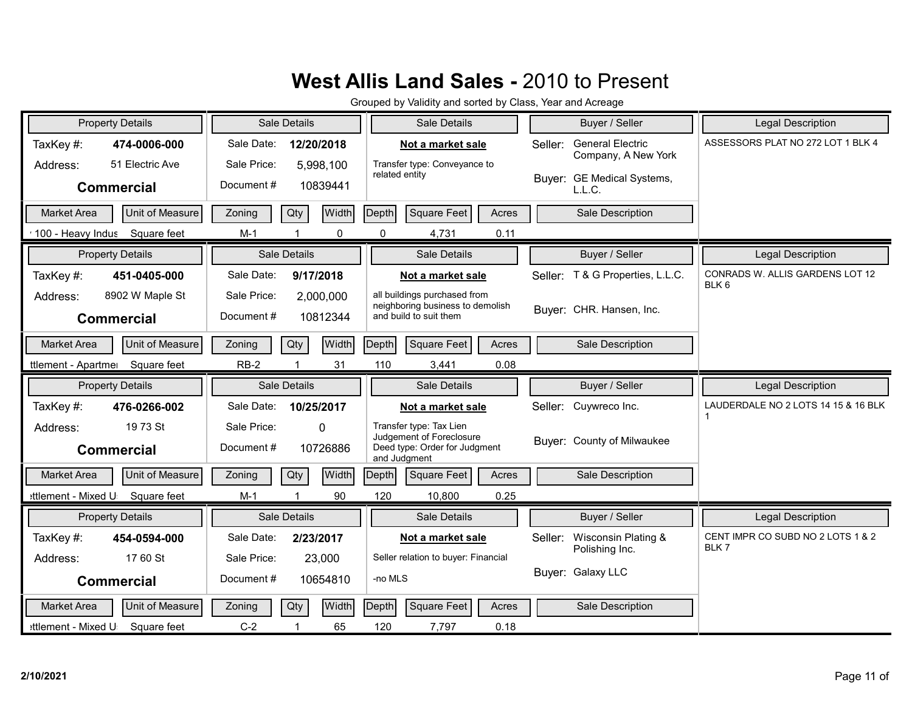|                     | <b>Property Details</b> | Sale Details |                     |              |                | Sale Details                                                              |       |         | Buyer / Seller                                 | <b>Legal Description</b>                            |
|---------------------|-------------------------|--------------|---------------------|--------------|----------------|---------------------------------------------------------------------------|-------|---------|------------------------------------------------|-----------------------------------------------------|
| TaxKey#:            | 474-0006-000            | Sale Date:   |                     | 12/20/2018   |                | Not a market sale                                                         |       | Seller: | <b>General Electric</b><br>Company, A New York | ASSESSORS PLAT NO 272 LOT 1 BLK 4                   |
| Address:            | 51 Electric Ave         | Sale Price:  |                     | 5,998,100    | related entity | Transfer type: Conveyance to                                              |       |         |                                                |                                                     |
|                     | <b>Commercial</b>       | Document#    |                     | 10839441     |                |                                                                           |       |         | Buyer: GE Medical Systems,<br>L.L.C.           |                                                     |
| <b>Market Area</b>  | Unit of Measure         | Zoning       | Qty                 | Width        | Depth          | <b>Square Feet</b>                                                        | Acres |         | Sale Description                               |                                                     |
| 100 - Heavy Indus   | Square feet             | $M-1$        |                     | 0            | 0              | 4,731                                                                     | 0.11  |         |                                                |                                                     |
|                     | <b>Property Details</b> |              | <b>Sale Details</b> |              |                | Sale Details                                                              |       |         | Buyer / Seller                                 | <b>Legal Description</b>                            |
| TaxKey#:            | 451-0405-000            | Sale Date:   |                     | 9/17/2018    |                | Not a market sale                                                         |       | Seller: | T & G Properties, L.L.C.                       | CONRADS W. ALLIS GARDENS LOT 12<br>BLK <sub>6</sub> |
| Address:            | 8902 W Maple St         | Sale Price:  |                     | 2,000,000    |                | all buildings purchased from<br>neighboring business to demolish          |       |         |                                                |                                                     |
|                     | <b>Commercial</b>       | Document#    |                     | 10812344     |                | and build to suit them                                                    |       |         | Buver: CHR. Hansen, Inc.                       |                                                     |
| <b>Market Area</b>  | Unit of Measure         | Zoning       | Qty                 | Width        | <b>Depth</b>   | Square Feet                                                               | Acres |         | Sale Description                               |                                                     |
| ttlement - Apartmer | Square feet             | $RB-2$       | $\overline{1}$      | 31           | 110            | 3,441                                                                     | 0.08  |         |                                                |                                                     |
|                     |                         |              |                     |              |                |                                                                           |       |         |                                                |                                                     |
|                     | <b>Property Details</b> |              | Sale Details        |              |                | Sale Details                                                              |       |         | Buyer / Seller                                 | <b>Legal Description</b>                            |
| TaxKey#:            | 476-0266-002            | Sale Date:   |                     | 10/25/2017   |                | Not a market sale                                                         |       |         | Seller: Cuywreco Inc.                          | LAUDERDALE NO 2 LOTS 14 15 & 16 BLK                 |
| Address:            | 19 73 St                | Sale Price:  |                     | $\mathbf 0$  |                | Transfer type: Tax Lien                                                   |       |         |                                                | 1                                                   |
|                     | <b>Commercial</b>       | Document#    |                     | 10726886     |                | Judgement of Foreclosure<br>Deed type: Order for Judgment<br>and Judgment |       |         | Buver: County of Milwaukee                     |                                                     |
| <b>Market Area</b>  | Unit of Measure         | Zoning       | Qty                 | <b>Width</b> | Depth          | Square Feet                                                               | Acres |         | Sale Description                               |                                                     |
| ettlement - Mixed U | Square feet             | $M-1$        | $\overline{1}$      | 90           | 120            | 10,800                                                                    | 0.25  |         |                                                |                                                     |
|                     | <b>Property Details</b> |              | <b>Sale Details</b> |              |                | Sale Details                                                              |       |         | Buyer / Seller                                 | <b>Legal Description</b>                            |
| TaxKey#:            | 454-0594-000            | Sale Date:   |                     | 2/23/2017    |                | Not a market sale                                                         |       | Seller: | Wisconsin Plating &                            | CENT IMPR CO SUBD NO 2 LOTS 1 & 2                   |
| Address:            | 17 60 St                | Sale Price:  |                     | 23,000       |                | Seller relation to buyer: Financial                                       |       |         | Polishing Inc.                                 | BLK7                                                |
|                     | <b>Commercial</b>       | Document#    |                     | 10654810     | -no MLS        |                                                                           |       |         | Buyer: Galaxy LLC                              |                                                     |
| <b>Market Area</b>  | Unit of Measure         | Zoning       | Qty                 | Width        | Depth          | Square Feet                                                               | Acres |         | Sale Description                               |                                                     |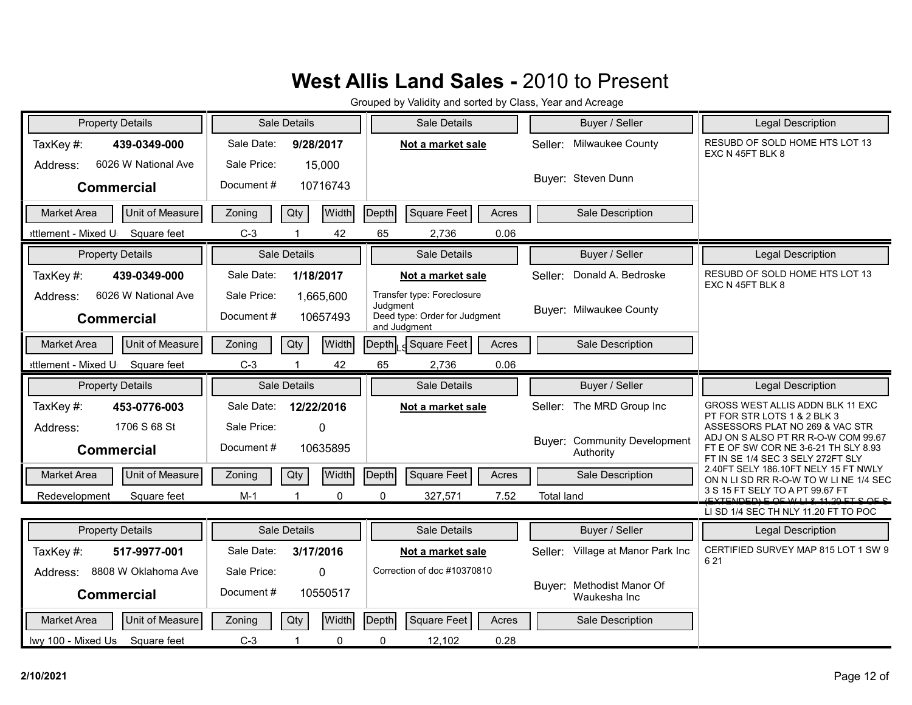| <b>Property Details</b>               | Sale Details                  | Sale Details                                  | Buyer / Seller                            | Legal Description                                                                |
|---------------------------------------|-------------------------------|-----------------------------------------------|-------------------------------------------|----------------------------------------------------------------------------------|
| TaxKey#:<br>439-0349-000              | Sale Date:<br>9/28/2017       | Not a market sale                             | Milwaukee County<br>Seller:               | RESUBD OF SOLD HOME HTS LOT 13<br>EXC N 45FT BLK 8                               |
| 6026 W National Ave<br>Address:       | Sale Price:<br>15,000         |                                               |                                           |                                                                                  |
| <b>Commercial</b>                     | Document#<br>10716743         |                                               | Buyer: Steven Dunn                        |                                                                                  |
| Unit of Measure<br><b>Market Area</b> | <b>Width</b><br>Zoning<br>Qty | Square Feet<br>Depth<br>Acres                 | Sale Description                          |                                                                                  |
| ettlement - Mixed U<br>Square feet    | $C-3$<br>42                   | 65<br>0.06<br>2,736                           |                                           |                                                                                  |
| <b>Property Details</b>               | Sale Details                  | Sale Details                                  | Buyer / Seller                            | <b>Legal Description</b>                                                         |
| TaxKey#:<br>439-0349-000              | Sale Date:<br>1/18/2017       | Not a market sale                             | Donald A. Bedroske<br>Seller:             | RESUBD OF SOLD HOME HTS LOT 13                                                   |
| 6026 W National Ave<br>Address:       | Sale Price:<br>1,665,600      | Transfer type: Foreclosure                    |                                           | EXC N 45FT BLK 8                                                                 |
| <b>Commercial</b>                     | Document#<br>10657493         | Judgment<br>Deed type: Order for Judgment     | <b>Buyer: Milwaukee County</b>            |                                                                                  |
| Unit of Measure<br><b>Market Area</b> | <b>Width</b><br>Qty<br>Zoning | and Judgment<br>Square Feet<br>Depth<br>Acres | Sale Description                          |                                                                                  |
| ettlement - Mixed U<br>Square feet    | 42<br>$C-3$                   | 65<br>2,736<br>0.06                           |                                           |                                                                                  |
| <b>Property Details</b>               | Sale Details                  | Sale Details                                  | Buyer / Seller                            | Legal Description                                                                |
|                                       |                               |                                               |                                           | GROSS WEST ALLIS ADDN BLK 11 EXC                                                 |
| TaxKey#:<br>453-0776-003              | Sale Date:<br>12/22/2016      | Not a market sale                             | Seller: The MRD Group Inc                 | PT FOR STR LOTS 1 & 2 BLK 3                                                      |
| 1706 S 68 St<br>Address:              | Sale Price:<br>$\mathbf{0}$   |                                               | <b>Buyer: Community Development</b>       | ASSESSORS PLAT NO 269 & VAC STR<br>ADJ ON S ALSO PT RR R-O-W COM 99.67           |
| <b>Commercial</b>                     | Document#<br>10635895         |                                               | Authority                                 | FT E OF SW COR NE 3-6-21 TH SLY 8.93<br>FT IN SE 1/4 SEC 3 SELY 272FT SLY        |
| Unit of Measure<br><b>Market Area</b> | <b>Width</b><br>Qty<br>Zoning | Depth<br>Square Feet<br>Acres                 | Sale Description                          | 2.40FT SELY 186.10FT NELY 15 FT NWLY<br>ON N LI SD RR R-O-W TO W LI NE 1/4 SEC   |
| Redevelopment<br>Square feet          | $M-1$<br>0<br>$\overline{1}$  | 0<br>327,571<br>7.52                          | <b>Total land</b>                         | 3 S 15 FT SELY TO A PT 99.67 FT<br><u>(EVTENDED) E QE WILL 8 11 20 ET C QE C</u> |
|                                       |                               |                                               |                                           | LI SD 1/4 SEC TH NLY 11.20 FT TO POC                                             |
| <b>Property Details</b>               | Sale Details                  | Sale Details                                  | Buyer / Seller                            | Legal Description                                                                |
| TaxKey#:<br>517-9977-001              | Sale Date:<br>3/17/2016       | Not a market sale                             | Seller: Village at Manor Park Inc         | CERTIFIED SURVEY MAP 815 LOT 1 SW 9<br>621                                       |
| 8808 W Oklahoma Ave<br>Address:       | Sale Price:<br>$\Omega$       | Correction of doc #10370810                   |                                           |                                                                                  |
| <b>Commercial</b>                     | Document#<br>10550517         |                                               | Buyer: Methodist Manor Of<br>Waukesha Inc |                                                                                  |
| Unit of Measure<br><b>Market Area</b> | <b>Width</b><br>Qty<br>Zoning | Depth<br>Square Feet<br>Acres                 | Sale Description                          |                                                                                  |
| lwy 100 - Mixed Us Square feet        | $C-3$<br>$\mathbf{1}$<br>0    | 0<br>0.28<br>12,102                           |                                           |                                                                                  |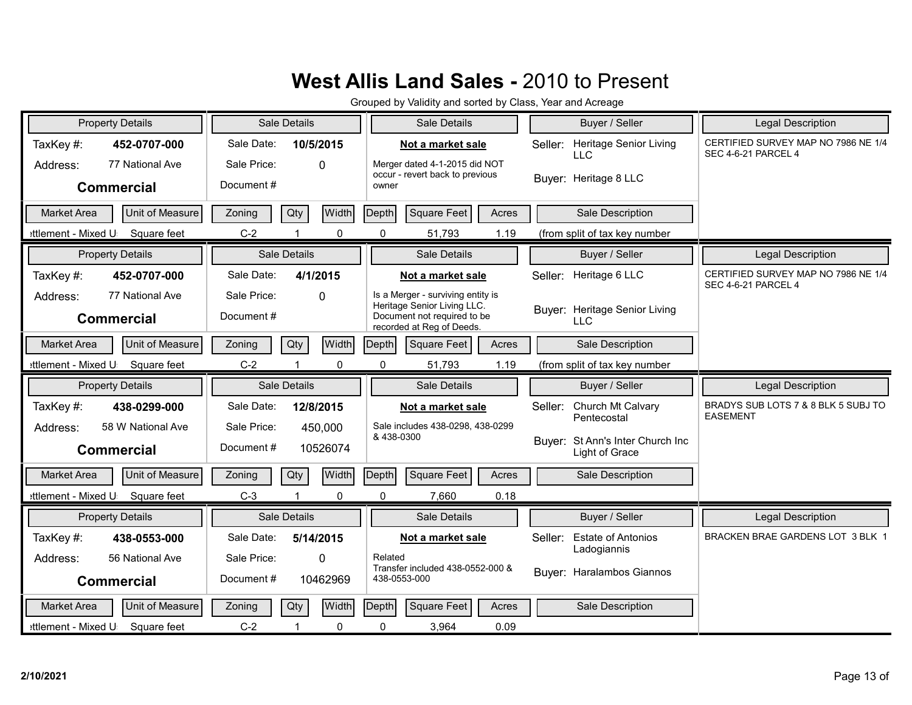| <b>Property Details</b>                                 | Sale Details                                       | Sale Details                                                                                                                 | Buyer / Seller                                     | <b>Legal Description</b>                                          |
|---------------------------------------------------------|----------------------------------------------------|------------------------------------------------------------------------------------------------------------------------------|----------------------------------------------------|-------------------------------------------------------------------|
| TaxKey#:<br>452-0707-000<br>77 National Ave<br>Address: | Sale Date:<br>10/5/2015<br>Sale Price:<br>$\Omega$ | Not a market sale<br>Merger dated 4-1-2015 did NOT                                                                           | Heritage Senior Living<br>Seller:<br>LLC           | CERTIFIED SURVEY MAP NO 7986 NE 1/4<br><b>SEC 4-6-21 PARCEL 4</b> |
| <b>Commercial</b>                                       | Document#                                          | occur - revert back to previous<br>owner                                                                                     | Buyer: Heritage 8 LLC                              |                                                                   |
| Unit of Measure<br><b>Market Area</b>                   | Qty<br>Width<br>Zoning                             | Depth<br><b>Square Feet</b><br>Acres                                                                                         | Sale Description                                   |                                                                   |
| ettlement - Mixed U<br>Square feet                      | $C-2$<br>$\mathbf{0}$                              | $\Omega$<br>51,793<br>1.19                                                                                                   | (from split of tax key number                      |                                                                   |
| <b>Property Details</b>                                 | Sale Details                                       | Sale Details                                                                                                                 | Buyer / Seller                                     | <b>Legal Description</b>                                          |
| TaxKey#:<br>452-0707-000                                | Sale Date:<br>4/1/2015                             | Not a market sale                                                                                                            | Heritage 6 LLC<br>Seller:                          | CERTIFIED SURVEY MAP NO 7986 NE 1/4<br><b>SEC 4-6-21 PARCEL 4</b> |
| 77 National Ave<br>Address:<br><b>Commercial</b>        | Sale Price:<br>$\Omega$<br>Document#               | Is a Merger - surviving entity is<br>Heritage Senior Living LLC.<br>Document not required to be<br>recorded at Reg of Deeds. | Buyer: Heritage Senior Living<br><b>LLC</b>        |                                                                   |
| Unit of Measure<br><b>Market Area</b>                   | Qty<br>Width<br>Zoning                             | Depth<br>Square Feet<br>Acres                                                                                                | Sale Description                                   |                                                                   |
| ettlement - Mixed U<br>Square feet                      | $C-2$<br>0                                         | 0<br>51,793<br>1.19                                                                                                          | (from split of tax key number                      |                                                                   |
|                                                         |                                                    |                                                                                                                              |                                                    |                                                                   |
| <b>Property Details</b>                                 | Sale Details                                       | Sale Details                                                                                                                 | Buyer / Seller                                     | <b>Legal Description</b>                                          |
| TaxKey#:<br>438-0299-000                                | Sale Date:<br>12/8/2015                            | Not a market sale                                                                                                            | Church Mt Calvary<br>Seller:<br>Pentecostal        | BRADYS SUB LOTS 7 & 8 BLK 5 SUBJ TO<br><b>EASEMENT</b>            |
| 58 W National Ave<br>Address:<br><b>Commercial</b>      | Sale Price:<br>450,000<br>Document#<br>10526074    | Sale includes 438-0298, 438-0299<br>& 438-0300                                                                               | Buyer: St Ann's Inter Church Inc<br>Light of Grace |                                                                   |
| <b>Unit of Measure</b><br><b>Market Area</b>            | Width<br>Qty<br>Zoning                             | Depth<br>Square Feet<br>Acres                                                                                                | Sale Description                                   |                                                                   |
| Square feet<br>ettlement - Mixed U                      | $C-3$<br>$\Omega$                                  | $\Omega$<br>7,660<br>0.18                                                                                                    |                                                    |                                                                   |
| <b>Property Details</b>                                 | Sale Details                                       | Sale Details                                                                                                                 | Buyer / Seller                                     | <b>Legal Description</b>                                          |
| TaxKey#:<br>438-0553-000                                | Sale Date:<br>5/14/2015                            | Not a market sale                                                                                                            | <b>Estate of Antonios</b><br>Seller:               | BRACKEN BRAE GARDENS LOT 3 BLK 1                                  |
| 56 National Ave<br>Address:                             | Sale Price:<br>$\Omega$                            | Related                                                                                                                      | Ladogiannis                                        |                                                                   |
| <b>Commercial</b>                                       | Document#<br>10462969                              | Transfer included 438-0552-000 &<br>438-0553-000                                                                             | Buyer: Haralambos Giannos                          |                                                                   |
| <b>Unit of Measure</b><br><b>Market Area</b>            | Width<br>Qty<br>Zoning                             | Depth<br>Square Feet<br>Acres                                                                                                | Sale Description                                   |                                                                   |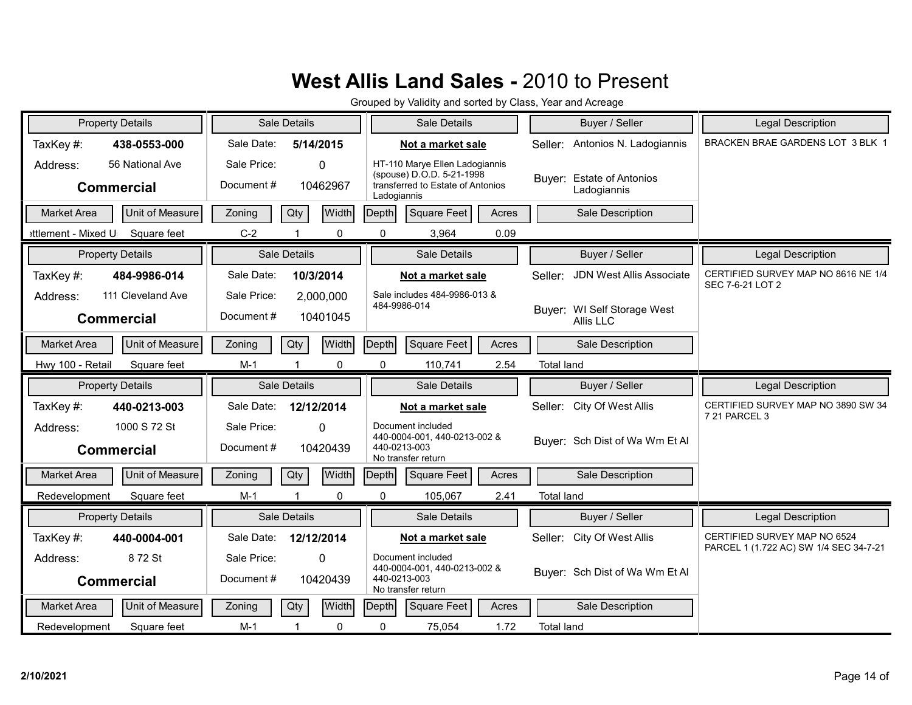| <b>Property Details</b>                            | Sale Details                                      |                            | Sale Details                                                                                                    | Buyer / Seller                           | <b>Legal Description</b>                                |
|----------------------------------------------------|---------------------------------------------------|----------------------------|-----------------------------------------------------------------------------------------------------------------|------------------------------------------|---------------------------------------------------------|
| TaxKey#:<br>438-0553-000                           | Sale Date:<br>5/14/2015                           |                            | Not a market sale                                                                                               | Antonios N. Ladogiannis<br>Seller:       | BRACKEN BRAE GARDENS LOT 3 BLK 1                        |
| 56 National Ave<br>Address:<br><b>Commercial</b>   | Sale Price:<br>$\Omega$<br>Document#<br>10462967  |                            | HT-110 Marye Ellen Ladogiannis<br>(spouse) D.O.D. 5-21-1998<br>transferred to Estate of Antonios<br>Ladogiannis | Buyer: Estate of Antonios<br>Ladogiannis |                                                         |
| Unit of Measure<br><b>Market Area</b>              | Qty<br>Zoning                                     | Width<br>Depth             | <b>Square Feet</b><br>Acres                                                                                     | Sale Description                         |                                                         |
| ettlement - Mixed U<br>Square feet                 | $C-2$                                             | $\mathbf 0$<br>$\mathbf 0$ | 3,964<br>0.09                                                                                                   |                                          |                                                         |
| <b>Property Details</b>                            | Sale Details                                      |                            | Sale Details                                                                                                    | Buyer / Seller                           | <b>Legal Description</b>                                |
| TaxKey#:<br>484-9986-014                           | Sale Date:<br>10/3/2014                           |                            | Not a market sale                                                                                               | JDN West Allis Associate<br>Seller:      | CERTIFIED SURVEY MAP NO 8616 NE 1/4<br>SEC 7-6-21 LOT 2 |
| 111 Cleveland Ave<br>Address:<br><b>Commercial</b> | Sale Price:<br>2,000,000<br>Document#<br>10401045 |                            | Sale includes 484-9986-013 &<br>484-9986-014                                                                    | Buyer: WI Self Storage West<br>Allis LLC |                                                         |
| Unit of Measure<br><b>Market Area</b>              | Qty<br>Zoning                                     | Width<br>Depth             | <b>Square Feet</b><br>Acres                                                                                     | Sale Description                         |                                                         |
| Hwy 100 - Retail<br>Square feet                    | $M-1$                                             | $\mathbf 0$<br>$\Omega$    | 110,741<br>2.54                                                                                                 | <b>Total land</b>                        |                                                         |
|                                                    |                                                   |                            |                                                                                                                 |                                          |                                                         |
| <b>Property Details</b>                            | Sale Details                                      |                            | Sale Details                                                                                                    | Buyer / Seller                           | Legal Description                                       |
| TaxKey#:<br>440-0213-003                           | Sale Date:<br>12/12/2014                          |                            | Not a market sale                                                                                               | City Of West Allis<br>Seller:            | CERTIFIED SURVEY MAP NO 3890 SW 34                      |
| 1000 S 72 St<br>Address:<br><b>Commercial</b>      | Sale Price:<br>$\Omega$<br>Document#<br>10420439  |                            | Document included<br>440-0004-001, 440-0213-002 &<br>440-0213-003<br>No transfer return                         | Buver: Sch Dist of Wa Wm Et Al           | 7 21 PARCEL 3                                           |
| <b>Unit of Measure</b><br><b>Market Area</b>       | Zoning<br>Qty                                     | Width<br><b>Depth</b>      | <b>Square Feet</b><br>Acres                                                                                     | Sale Description                         |                                                         |
| Square feet<br>Redevelopment                       | $M-1$                                             | $\Omega$<br>$\Omega$       | 2.41<br>105,067                                                                                                 | <b>Total land</b>                        |                                                         |
| <b>Property Details</b>                            | Sale Details                                      |                            | Sale Details                                                                                                    | Buyer / Seller                           | <b>Legal Description</b>                                |
| TaxKey#:<br>440-0004-001                           | Sale Date:<br>12/12/2014                          |                            | Not a market sale                                                                                               | City Of West Allis<br>Seller:            | CERTIFIED SURVEY MAP NO 6524                            |
| 872 St<br>Address:<br><b>Commercial</b>            | Sale Price:<br>$\Omega$<br>Document#<br>10420439  |                            | Document included<br>440-0004-001, 440-0213-002 &<br>440-0213-003<br>No transfer return                         | Buyer: Sch Dist of Wa Wm Et Al           | PARCEL 1 (1.722 AC) SW 1/4 SEC 34-7-21                  |
| Unit of Measure<br><b>Market Area</b>              | Qty<br>Zoning                                     | Width<br>Depth             | <b>Square Feet</b><br>Acres                                                                                     | Sale Description                         |                                                         |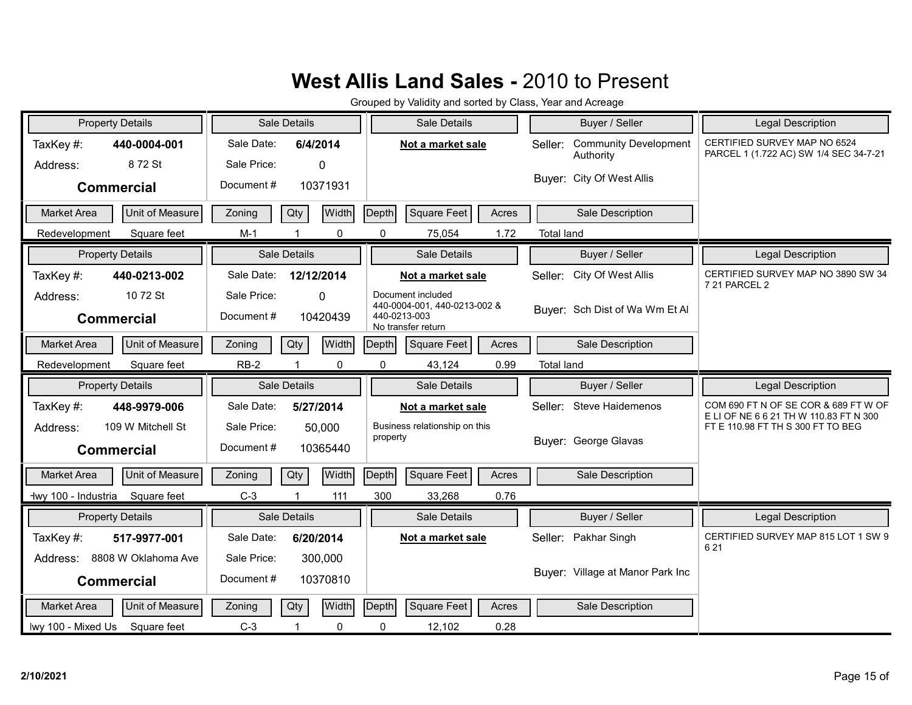| <b>Property Details</b>                      | Sale Details                  | Sale Details                                      | Buyer / Seller                                       | Legal Description                                                             |
|----------------------------------------------|-------------------------------|---------------------------------------------------|------------------------------------------------------|-------------------------------------------------------------------------------|
| TaxKey#:<br>440-0004-001                     | Sale Date:<br>6/4/2014        | Not a market sale                                 | <b>Community Development</b><br>Seller:<br>Authority | CERTIFIED SURVEY MAP NO 6524<br>PARCEL 1 (1.722 AC) SW 1/4 SEC 34-7-21        |
| 872 St<br>Address:                           | Sale Price:<br>$\mathbf{0}$   |                                                   |                                                      |                                                                               |
| <b>Commercial</b>                            | Document#<br>10371931         |                                                   | Buyer: City Of West Allis                            |                                                                               |
| Unit of Measure<br><b>Market Area</b>        | Width<br>Qty<br>Zoning        | Depth<br>Square Feet<br>Acres                     | Sale Description                                     |                                                                               |
| Square feet<br>Redevelopment                 | $M-1$<br>0                    | 1.72<br>0<br>75,054                               | <b>Total land</b>                                    |                                                                               |
| <b>Property Details</b>                      | Sale Details                  | Sale Details                                      | Buyer / Seller                                       | <b>Legal Description</b>                                                      |
| TaxKey#:<br>440-0213-002                     | Sale Date:<br>12/12/2014      | Not a market sale                                 | City Of West Allis<br>Seller:                        | CERTIFIED SURVEY MAP NO 3890 SW 34<br>7 21 PARCEL 2                           |
| 10 72 St<br>Address:                         | Sale Price:<br>$\Omega$       | Document included<br>440-0004-001, 440-0213-002 & |                                                      |                                                                               |
| <b>Commercial</b>                            | Document#<br>10420439         | 440-0213-003<br>No transfer return                | Buyer: Sch Dist of Wa Wm Et Al                       |                                                                               |
| Unit of Measure<br><b>Market Area</b>        | <b>Width</b><br>Qty<br>Zoning | Square Feet<br>Depth<br>Acres                     | Sale Description                                     |                                                                               |
| Redevelopment<br>Square feet                 | $RB-2$<br>0                   | 0<br>43,124<br>0.99                               | <b>Total land</b>                                    |                                                                               |
| <b>Property Details</b>                      | Sale Details                  | Sale Details                                      | Buyer / Seller                                       | Legal Description                                                             |
| TaxKey#:<br>448-9979-006                     | Sale Date:<br>5/27/2014       | Not a market sale                                 | Seller: Steve Haidemenos                             | COM 690 FT N OF SE COR & 689 FT W OF<br>ELI OF NE 6 6 21 TH W 110.83 FT N 300 |
| 109 W Mitchell St<br>Address:                | Sale Price:<br>50,000         | Business relationship on this<br>property         |                                                      | FT E 110.98 FT TH S 300 FT TO BEG                                             |
| <b>Commercial</b>                            | Document#<br>10365440         |                                                   | Buyer: George Glavas                                 |                                                                               |
| <b>Unit of Measure</b><br><b>Market Area</b> | Width<br>Qty<br>Zoning        | Square Feet<br>Depth<br>Acres                     | Sale Description                                     |                                                                               |
| Square feet<br>Hwy 100 - Industria           | $C-3$<br>111                  | 300<br>33,268<br>0.76                             |                                                      |                                                                               |
| <b>Property Details</b>                      | <b>Sale Details</b>           | Sale Details                                      | Buyer / Seller                                       | Legal Description                                                             |
| TaxKey#:<br>517-9977-001                     | Sale Date:                    |                                                   |                                                      | CERTIFIED SURVEY MAP 815 LOT 1 SW 9                                           |
|                                              | 6/20/2014                     | Not a market sale                                 | Seller: Pakhar Singh                                 |                                                                               |
| 8808 W Oklahoma Ave<br>Address:              | Sale Price:<br>300,000        |                                                   |                                                      | 621                                                                           |
| <b>Commercial</b>                            | Document#<br>10370810         |                                                   | Buyer: Village at Manor Park Inc                     |                                                                               |
| <b>Market Area</b><br>Unit of Measure        | Qty<br><b>Width</b><br>Zoning | Square Feet<br>Depth<br>Acres                     | Sale Description                                     |                                                                               |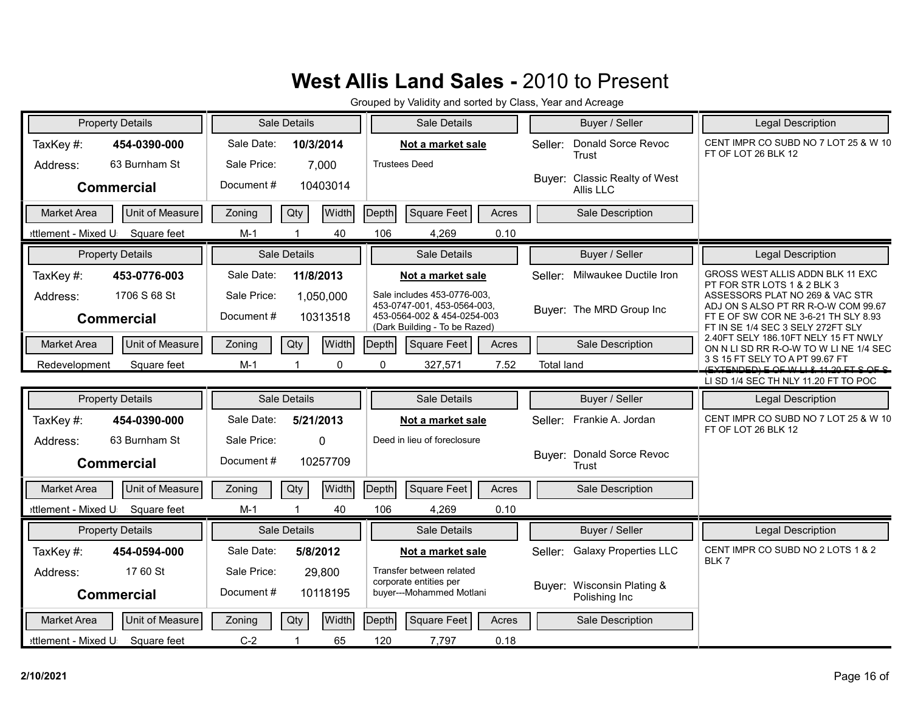| <b>Property Details</b>                               | Sale Details                                      | Sale Details                                                                                                               | Buyer / Seller                                | Legal Description                                                                                                          |
|-------------------------------------------------------|---------------------------------------------------|----------------------------------------------------------------------------------------------------------------------------|-----------------------------------------------|----------------------------------------------------------------------------------------------------------------------------|
| TaxKey#:<br>454-0390-000<br>63 Burnham St<br>Address: | Sale Date:<br>10/3/2014<br>Sale Price:<br>7,000   | Not a market sale<br><b>Trustees Deed</b>                                                                                  | Donald Sorce Revoc<br>Seller:<br><b>Trust</b> | CENT IMPR CO SUBD NO 7 LOT 25 & W 10<br>FT OF LOT 26 BLK 12                                                                |
| <b>Commercial</b>                                     | Document#<br>10403014                             |                                                                                                                            | Buyer: Classic Realty of West<br>Allis LLC    |                                                                                                                            |
| Unit of Measure<br><b>Market Area</b>                 | Width<br>Qty<br>Zoning                            | Square Feet<br>Depth<br>Acres                                                                                              | Sale Description                              |                                                                                                                            |
| ettlement - Mixed U<br>Square feet                    | $M-1$<br>40                                       | 106<br>0.10<br>4,269                                                                                                       |                                               |                                                                                                                            |
| <b>Property Details</b>                               | Sale Details                                      | Sale Details                                                                                                               | Buyer / Seller                                | <b>Legal Description</b>                                                                                                   |
| TaxKey#:<br>453-0776-003                              | Sale Date:<br>11/8/2013                           | Not a market sale                                                                                                          | Milwaukee Ductile Iron<br>Seller:             | GROSS WEST ALLIS ADDN BLK 11 EXC<br>PT FOR STR LOTS 1 & 2 BLK 3                                                            |
| 1706 S 68 St<br>Address:<br><b>Commercial</b>         | Sale Price:<br>1,050,000<br>Document#<br>10313518 | Sale includes 453-0776-003.<br>453-0747-001, 453-0564-003,<br>453-0564-002 & 454-0254-003<br>(Dark Building - To be Razed) | Buyer: The MRD Group Inc                      | ASSESSORS PLAT NO 269 & VAC STR<br>ADJ ON S ALSO PT RR R-O-W COM 99.67<br>FT E OF SW COR NE 3-6-21 TH SLY 8.93             |
| <b>Market Area</b><br>Unit of Measure                 | Qty<br>Width<br>Zoning                            | Square Feet<br>Depth<br>Acres                                                                                              | Sale Description                              | FT IN SE 1/4 SEC 3 SELY 272FT SLY<br>2.40FT SELY 186.10FT NELY 15 FT NWLY                                                  |
| Redevelopment<br>Square feet                          | $\Omega$<br>$M-1$                                 | 0<br>327,571<br>7.52                                                                                                       | <b>Total land</b>                             | ON N LI SD RR R-O-W TO W LI NE 1/4 SEC<br>3 S 15 FT SELY TO A PT 99.67 FT<br><u>(EVTENDED) E QE WILL 2 11 20 ET S QE S</u> |
|                                                       |                                                   |                                                                                                                            |                                               | LI SD 1/4 SEC TH NLY 11.20 FT TO POC                                                                                       |
| <b>Property Details</b>                               | Sale Details                                      | Sale Details                                                                                                               | Buyer / Seller                                | Legal Description                                                                                                          |
| TaxKey#:<br>454-0390-000                              | Sale Date:<br>5/21/2013                           | Not a market sale                                                                                                          | Seller: Frankie A. Jordan                     | CENT IMPR CO SUBD NO 7 LOT 25 & W 10<br>FT OF LOT 26 BLK 12                                                                |
| 63 Burnham St<br>Address:                             | Sale Price:<br>0                                  | Deed in lieu of foreclosure                                                                                                |                                               |                                                                                                                            |
| <b>Commercial</b>                                     | Document#<br>10257709                             |                                                                                                                            | Buyer: Donald Sorce Revoc<br>Trust            |                                                                                                                            |
| Unit of Measure<br><b>Market Area</b>                 | Qty<br><b>Width</b><br>Zoning                     | Depth<br><b>Square Feet</b><br>Acres                                                                                       | Sale Description                              |                                                                                                                            |
| ettlement - Mixed U<br>Square feet                    | 40<br>$M-1$                                       | 106<br>4,269<br>0.10                                                                                                       |                                               |                                                                                                                            |
| <b>Property Details</b>                               | Sale Details                                      | Sale Details                                                                                                               | Buyer / Seller                                | Legal Description                                                                                                          |
| TaxKey#:<br>454-0594-000                              | Sale Date:<br>5/8/2012                            | Not a market sale                                                                                                          | Seller: Galaxy Properties LLC                 | CENT IMPR CO SUBD NO 2 LOTS 1 & 2                                                                                          |
| 17 60 St<br>Address:                                  | Sale Price:<br>29,800                             | Transfer between related                                                                                                   |                                               | BLK 7                                                                                                                      |
| <b>Commercial</b>                                     | 10118195<br>Document#                             | corporate entities per<br>buyer---Mohammed Motlani                                                                         | Buyer: Wisconsin Plating &<br>Polishing Inc   |                                                                                                                            |
| Unit of Measure<br><b>Market Area</b>                 | <b>Width</b><br>Qty<br>Zoning                     | Depth<br>Square Feet<br>Acres                                                                                              | Sale Description                              |                                                                                                                            |
| ettlement - Mixed U<br>Square feet                    | 65<br>$C-2$<br>-1                                 | 120<br>7,797<br>0.18                                                                                                       |                                               |                                                                                                                            |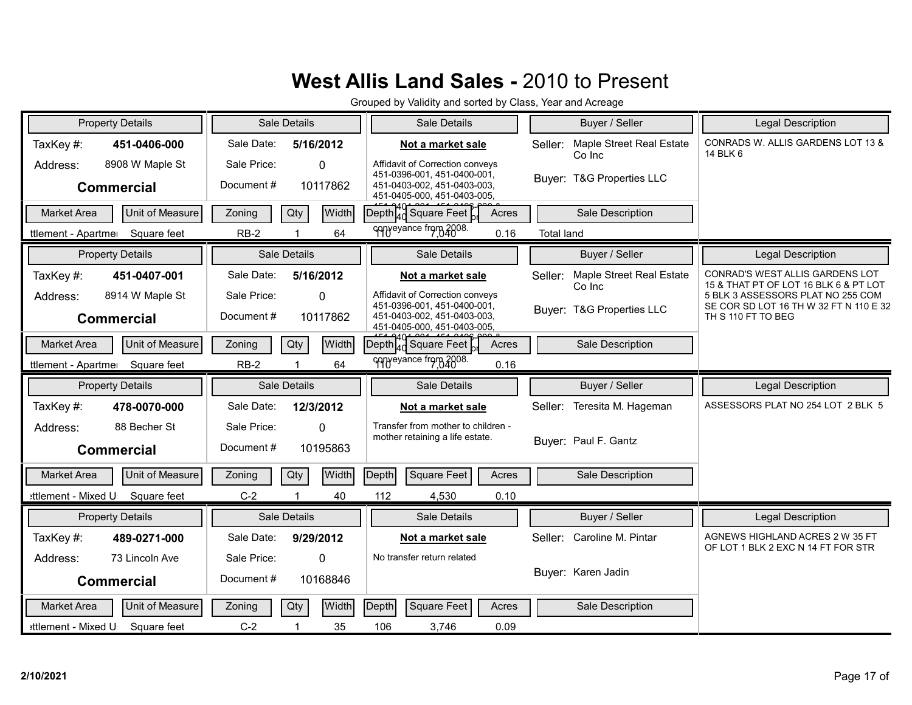| <b>Property Details</b>                                                      | Sale Details                                                                | Sale Details                                                                                                                                      | Buyer / Seller                                                             | Legal Description                                                                                                                                                             |
|------------------------------------------------------------------------------|-----------------------------------------------------------------------------|---------------------------------------------------------------------------------------------------------------------------------------------------|----------------------------------------------------------------------------|-------------------------------------------------------------------------------------------------------------------------------------------------------------------------------|
| TaxKey#:<br>451-0406-000                                                     | Sale Date:<br>5/16/2012                                                     | Not a market sale                                                                                                                                 | Maple Street Real Estate<br>Seller:                                        | CONRADS W. ALLIS GARDENS LOT 13 &<br>14 BLK 6                                                                                                                                 |
| 8908 W Maple St<br>Address:<br><b>Commercial</b>                             | Sale Price:<br>$\Omega$<br>Document#<br>10117862                            | Affidavit of Correction conveys<br>451-0396-001, 451-0400-001,<br>451-0403-002, 451-0403-003,<br>451-0405-000, 451-0403-005,                      | Co Inc<br>Buyer: T&G Properties LLC                                        |                                                                                                                                                                               |
| Unit of Measure<br><b>Market Area</b>                                        | Qty<br>Width<br>Zoning                                                      | $\left  \text{Depth}^{4}_{40} \right $ Square Feet<br>Acres                                                                                       | Sale Description                                                           |                                                                                                                                                                               |
| Square feet<br>ttlement - Apartme                                            | 64<br>$RB-2$                                                                | conveyance from 2008.<br>0.16                                                                                                                     | <b>Total land</b>                                                          |                                                                                                                                                                               |
| <b>Property Details</b>                                                      | Sale Details                                                                | Sale Details                                                                                                                                      | Buyer / Seller                                                             | <b>Legal Description</b>                                                                                                                                                      |
| TaxKey#:<br>451-0407-001<br>8914 W Maple St<br>Address:<br><b>Commercial</b> | Sale Date:<br>5/16/2012<br>Sale Price:<br>$\Omega$<br>Document#<br>10117862 | Not a market sale<br>Affidavit of Correction conveys<br>451-0396-001, 451-0400-001,<br>451-0403-002, 451-0403-003,<br>451-0405-000, 451-0403-005, | Maple Street Real Estate<br>Seller:<br>Co Inc<br>Buyer: T&G Properties LLC | CONRAD'S WEST ALLIS GARDENS LOT<br>15 & THAT PT OF LOT 16 BLK 6 & PT LOT<br>5 BLK 3 ASSESSORS PLAT NO 255 COM<br>SE COR SD LOT 16 TH W 32 FT N 110 E 32<br>TH S 110 FT TO BEG |
| Unit of Measure<br><b>Market Area</b>                                        | Qty<br>Width<br>Zoning                                                      | $\overline{\text{Depth}}^{\text{40}}_{\text{40}}$ Square Feet<br>Acres                                                                            | Sale Description                                                           |                                                                                                                                                                               |
| Square feet<br>ttlement - Apartmer                                           | $RB-2$<br>64                                                                | conveyance from 2008.<br>0.16                                                                                                                     |                                                                            |                                                                                                                                                                               |
| <b>Property Details</b>                                                      | Sale Details                                                                | Sale Details                                                                                                                                      | Buyer / Seller                                                             | Legal Description                                                                                                                                                             |
| TaxKey#:<br>478-0070-000                                                     | Sale Date:<br>12/3/2012                                                     | Not a market sale                                                                                                                                 | Teresita M. Hageman<br>Seller:                                             | ASSESSORS PLAT NO 254 LOT 2 BLK 5                                                                                                                                             |
| 88 Becher St<br>Address:<br><b>Commercial</b>                                | Sale Price:<br>$\Omega$<br>Document#<br>10195863                            | Transfer from mother to children -<br>mother retaining a life estate.                                                                             | Buyer: Paul F. Gantz                                                       |                                                                                                                                                                               |
| Unit of Measure<br><b>Market Area</b>                                        | Width<br>Qty<br>Zoning                                                      | Square Feet<br>$\vert$ Depth $\vert$<br>Acres                                                                                                     | Sale Description                                                           |                                                                                                                                                                               |
| Square feet<br>:ttlement - Mixed U                                           | $C-2$<br>1<br>40                                                            | 112<br>4,530<br>0.10                                                                                                                              |                                                                            |                                                                                                                                                                               |
| <b>Property Details</b>                                                      | Sale Details                                                                | Sale Details                                                                                                                                      | Buyer / Seller                                                             | Legal Description                                                                                                                                                             |
| TaxKey#:<br>489-0271-000                                                     | Sale Date:<br>9/29/2012                                                     | Not a market sale                                                                                                                                 | Seller: Caroline M. Pintar                                                 | AGNEWS HIGHLAND ACRES 2 W 35 FT<br>OF LOT 1 BLK 2 EXC N 14 FT FOR STR                                                                                                         |
| 73 Lincoln Ave<br>Address:                                                   | Sale Price:<br>0                                                            | No transfer return related                                                                                                                        |                                                                            |                                                                                                                                                                               |
| <b>Commercial</b>                                                            | Document#<br>10168846                                                       |                                                                                                                                                   | Buyer: Karen Jadin                                                         |                                                                                                                                                                               |
| Unit of Measure<br><b>Market Area</b>                                        | Zoning<br>Qty<br>Width                                                      | Depth<br>Square Feet<br>Acres                                                                                                                     | Sale Description                                                           |                                                                                                                                                                               |
| ettlement - Mixed U<br>Square feet                                           | $C-2$<br>35                                                                 | 106<br>0.09<br>3,746                                                                                                                              |                                                                            |                                                                                                                                                                               |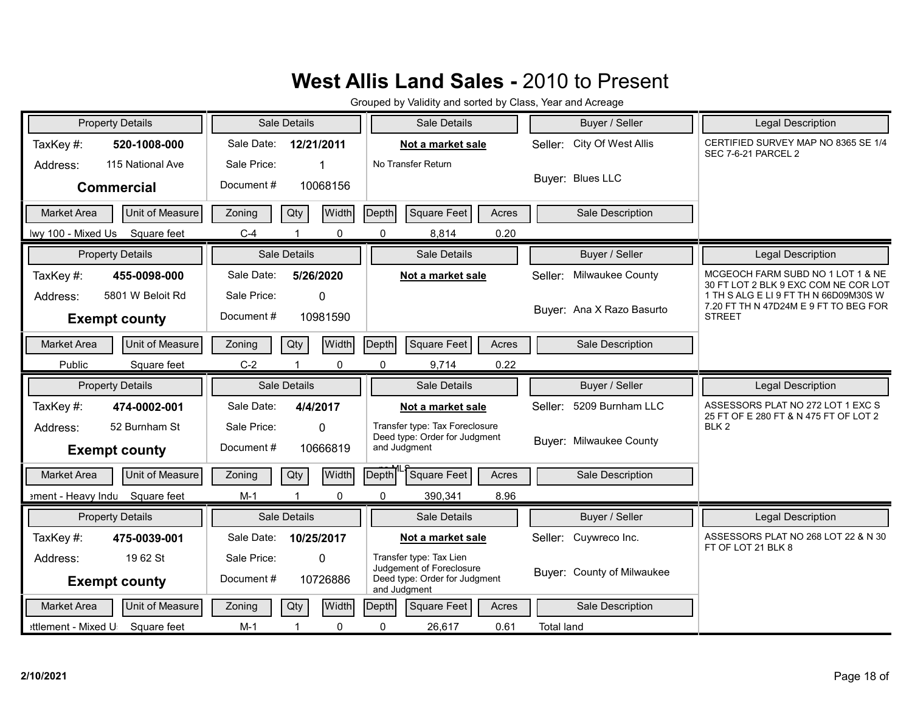| <b>Property Details</b>                              | Sale Details                              | Sale Details                                                              | Buyer / Seller                 | <b>Legal Description</b>                                                                        |
|------------------------------------------------------|-------------------------------------------|---------------------------------------------------------------------------|--------------------------------|-------------------------------------------------------------------------------------------------|
| TaxKey#:<br>520-1008-000                             | Sale Date:<br>12/21/2011                  | Not a market sale                                                         | City Of West Allis<br>Seller:  | CERTIFIED SURVEY MAP NO 8365 SE 1/4<br><b>SEC 7-6-21 PARCEL 2</b>                               |
| 115 National Ave<br>Address:                         | Sale Price:<br>1                          | No Transfer Return                                                        |                                |                                                                                                 |
| <b>Commercial</b>                                    | Document#<br>10068156                     |                                                                           | Buyer: Blues LLC               |                                                                                                 |
| Unit of Measure<br><b>Market Area</b>                | Zoning<br>Qty<br>Width                    | <b>Square Feet</b><br>Depth<br>Acres                                      | Sale Description               |                                                                                                 |
| lwy 100 - Mixed Us<br>Square feet                    | $C-4$<br>0                                | $\mathbf 0$<br>0.20<br>8,814                                              |                                |                                                                                                 |
| <b>Property Details</b>                              | Sale Details                              | Sale Details                                                              | Buyer / Seller                 | <b>Legal Description</b>                                                                        |
| TaxKey#:<br>455-0098-000                             | Sale Date:<br>5/26/2020                   | Not a market sale                                                         | Milwaukee County<br>Seller:    | MCGEOCH FARM SUBD NO 1 LOT 1 & NE<br>30 FT LOT 2 BLK 9 EXC COM NE COR LOT                       |
| 5801 W Beloit Rd<br>Address:<br><b>Exempt county</b> | Sale Price:<br>0<br>Document#<br>10981590 |                                                                           | Buyer: Ana X Razo Basurto      | 1 TH S ALG E LI 9 FT TH N 66D09M30S W<br>7.20 FT TH N 47D24M E 9 FT TO BEG FOR<br><b>STREET</b> |
| Unit of Measure<br><b>Market Area</b>                | Width<br>Qty<br>Zoning                    | Square Feet<br>Depth<br>Acres                                             | Sale Description               |                                                                                                 |
| Public<br>Square feet                                | $C-2$<br>0                                | $\pmb{0}$<br>0.22<br>9,714                                                |                                |                                                                                                 |
|                                                      |                                           |                                                                           |                                |                                                                                                 |
| <b>Property Details</b>                              | Sale Details                              | Sale Details                                                              | Buyer / Seller                 | Legal Description                                                                               |
| TaxKey#:<br>474-0002-001                             | Sale Date:<br>4/4/2017                    | Not a market sale                                                         | 5209 Burnham LLC<br>Seller:    | ASSESSORS PLAT NO 272 LOT 1 EXC S                                                               |
| 52 Burnham St<br>Address:                            | Sale Price:<br>0                          | Transfer type: Tax Foreclosure                                            |                                | 25 FT OF E 280 FT & N 475 FT OF LOT 2<br>BLK <sub>2</sub>                                       |
| <b>Exempt county</b>                                 | Document#<br>10666819                     | Deed type: Order for Judgment<br>and Judgment                             | <b>Buyer: Milwaukee County</b> |                                                                                                 |
| Unit of Measure<br>Market Area                       | Width<br>Qty<br>Zoning                    | Square Feet<br><b>Depth</b><br>Acres                                      | Sale Description               |                                                                                                 |
| ement - Heavy Indu Square feet                       | $M-1$<br>0<br>$\overline{1}$              | $\mathbf 0$<br>390,341<br>8.96                                            |                                |                                                                                                 |
| <b>Property Details</b>                              | Sale Details                              | Sale Details                                                              | Buyer / Seller                 | <b>Legal Description</b>                                                                        |
| TaxKey#:<br>475-0039-001                             | Sale Date:<br>10/25/2017                  | Not a market sale                                                         | Seller: Cuywreco Inc.          | ASSESSORS PLAT NO 268 LOT 22 & N 30                                                             |
| 1962 St<br>Address:                                  | Sale Price:<br>0                          | Transfer type: Tax Lien                                                   |                                | FT OF LOT 21 BLK 8                                                                              |
| <b>Exempt county</b>                                 | Document#<br>10726886                     | Judgement of Foreclosure<br>Deed type: Order for Judgment<br>and Judgment | Buyer: County of Milwaukee     |                                                                                                 |
| Unit of Measure<br><b>Market Area</b>                | Zoning<br>Qty<br>Width                    | Square Feet<br>Depth<br>Acres                                             | Sale Description               |                                                                                                 |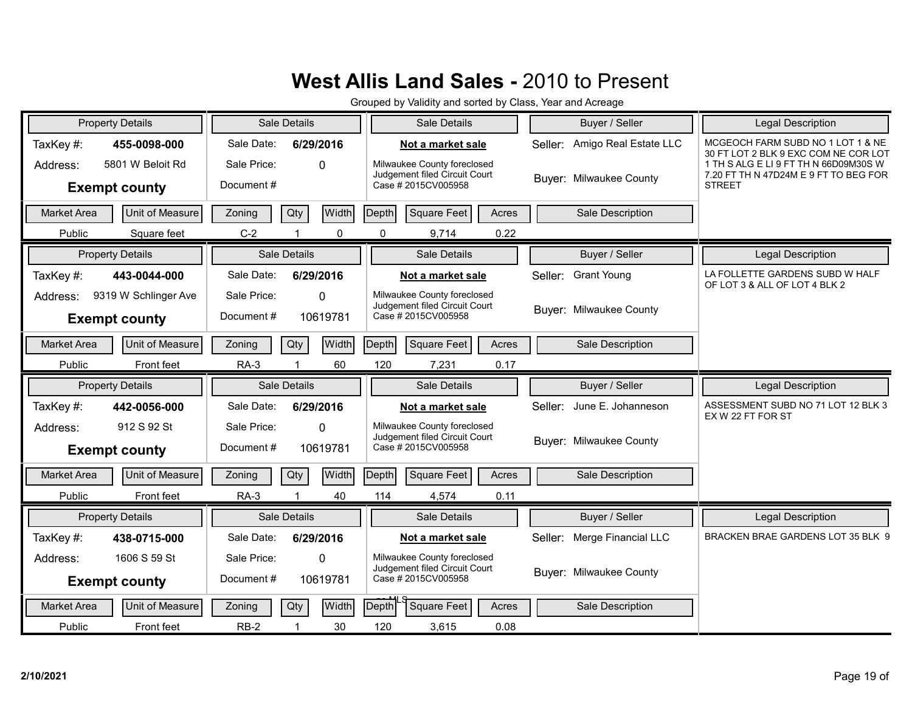| <b>Property Details</b> |                         |             | Sale Details   |              |              | Sale Details                                                 |       |         | Buyer / Seller                 | Legal Description                                                              |
|-------------------------|-------------------------|-------------|----------------|--------------|--------------|--------------------------------------------------------------|-------|---------|--------------------------------|--------------------------------------------------------------------------------|
| TaxKey#:                | 455-0098-000            | Sale Date:  | 6/29/2016      |              |              | Not a market sale                                            |       |         | Seller: Amigo Real Estate LLC  | MCGEOCH FARM SUBD NO 1 LOT 1 & NE<br>30 FT LOT 2 BLK 9 EXC COM NE COR LOT      |
| Address:                | 5801 W Beloit Rd        | Sale Price: |                | $\Omega$     |              | Milwaukee County foreclosed<br>Judgement filed Circuit Court |       |         |                                | 1 TH S ALG E LI 9 FT TH N 66D09M30S W<br>7.20 FT TH N 47D24M E 9 FT TO BEG FOR |
|                         | <b>Exempt county</b>    | Document#   |                |              |              | Case # 2015CV005958                                          |       |         | <b>Buyer: Milwaukee County</b> | <b>STREET</b>                                                                  |
| <b>Market Area</b>      | Unit of Measure         | Zoning      | Qty            | Width        | Depth        | <b>Square Feet</b>                                           | Acres |         | Sale Description               |                                                                                |
| Public                  | Square feet             | $C-2$       |                | $\mathbf{0}$ | $\Omega$     | 9,714                                                        | 0.22  |         |                                |                                                                                |
|                         | <b>Property Details</b> |             | Sale Details   |              |              | Sale Details                                                 |       |         | Buyer / Seller                 | <b>Legal Description</b>                                                       |
| TaxKey#:                | 443-0044-000            | Sale Date:  | 6/29/2016      |              |              | Not a market sale                                            |       | Seller: | <b>Grant Young</b>             | LA FOLLETTE GARDENS SUBD W HALF<br>OF LOT 3 & ALL OF LOT 4 BLK 2               |
| Address:                | 9319 W Schlinger Ave    | Sale Price: |                | $\Omega$     |              | Milwaukee County foreclosed<br>Judgement filed Circuit Court |       |         |                                |                                                                                |
|                         | <b>Exempt county</b>    | Document#   |                | 10619781     |              | Case # 2015CV005958                                          |       |         | Buyer: Milwaukee County        |                                                                                |
| Market Area             | Unit of Measure         | Zoning      | Qty            | Width        | <b>Depth</b> | <b>Square Feet</b>                                           | Acres |         | Sale Description               |                                                                                |
| Public                  | Front feet              | $RA-3$      |                | 60           | 120          | 7,231                                                        | 0.17  |         |                                |                                                                                |
|                         |                         |             |                |              |              |                                                              |       |         |                                |                                                                                |
|                         | <b>Property Details</b> |             | Sale Details   |              |              | Sale Details                                                 |       |         | Buyer / Seller                 | Legal Description                                                              |
| TaxKey #:               | 442-0056-000            | Sale Date:  | 6/29/2016      |              |              | Not a market sale                                            |       | Seller: | June E. Johanneson             | ASSESSMENT SUBD NO 71 LOT 12 BLK 3                                             |
| Address:                | 912 S 92 St             | Sale Price: |                | $\Omega$     |              | Milwaukee County foreclosed                                  |       |         |                                | EX W 22 FT FOR ST                                                              |
|                         | <b>Exempt county</b>    | Document#   |                | 10619781     |              | Judgement filed Circuit Court<br>Case # 2015CV005958         |       |         | Buyer: Milwaukee County        |                                                                                |
| <b>Market Area</b>      | Unit of Measure         | Zoning      | Qty            | Width        | Depth        | Square Feet                                                  | Acres |         | Sale Description               |                                                                                |
| Public                  | Front feet              | <b>RA-3</b> | $\overline{1}$ | 40           | 114          | 4,574                                                        | 0.11  |         |                                |                                                                                |
|                         | <b>Property Details</b> |             | Sale Details   |              |              | Sale Details                                                 |       |         | Buyer / Seller                 | <b>Legal Description</b>                                                       |
| TaxKey#:                | 438-0715-000            | Sale Date:  | 6/29/2016      |              |              | Not a market sale                                            |       |         | Seller: Merge Financial LLC    | BRACKEN BRAE GARDENS LOT 35 BLK 9                                              |
| Address:                | 1606 S 59 St            | Sale Price: |                | $\mathbf{0}$ |              | Milwaukee County foreclosed                                  |       |         |                                |                                                                                |
|                         | <b>Exempt county</b>    | Document#   |                | 10619781     |              | Judgement filed Circuit Court<br>Case # 2015CV005958         |       |         | Buyer: Milwaukee County        |                                                                                |
| <b>Market Area</b>      | Unit of Measure         | Zoning      | Qty            | <b>Width</b> | Depth        | Square Feet                                                  | Acres |         | Sale Description               |                                                                                |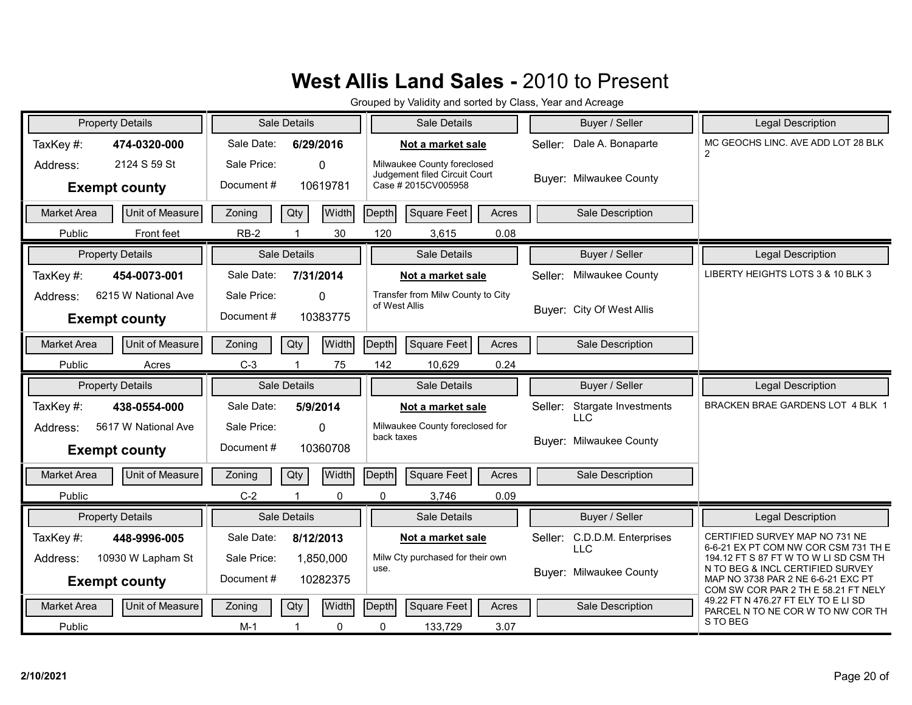| <b>Property Details</b>                                                           | Sale Details                                                                 | Sale Details                                                                        | Buyer / Seller                                                                  | Legal Description                                                                                                                                                                         |
|-----------------------------------------------------------------------------------|------------------------------------------------------------------------------|-------------------------------------------------------------------------------------|---------------------------------------------------------------------------------|-------------------------------------------------------------------------------------------------------------------------------------------------------------------------------------------|
| TaxKey#:<br>474-0320-000                                                          | Sale Date:<br>6/29/2016                                                      | Not a market sale                                                                   | Dale A. Bonaparte<br>Seller:                                                    | MC GEOCHS LINC. AVE ADD LOT 28 BLK<br>$\overline{2}$                                                                                                                                      |
| 2124 S 59 St<br>Address:<br><b>Exempt county</b>                                  | Sale Price:<br>$\Omega$<br>Document#<br>10619781                             | Milwaukee County foreclosed<br>Judgement filed Circuit Court<br>Case # 2015CV005958 | <b>Buyer: Milwaukee County</b>                                                  |                                                                                                                                                                                           |
| <b>Unit of Measure</b><br><b>Market Area</b>                                      | Qty<br>Zoning                                                                | Width<br>Depth<br>Square Feet                                                       | Acres<br>Sale Description                                                       |                                                                                                                                                                                           |
| Public<br>Front feet                                                              | $RB-2$<br>$\overline{1}$                                                     | 30<br>120<br>3,615                                                                  | 0.08                                                                            |                                                                                                                                                                                           |
| <b>Property Details</b>                                                           | Sale Details                                                                 | Sale Details                                                                        | Buyer / Seller                                                                  | <b>Legal Description</b>                                                                                                                                                                  |
| TaxKey#:<br>454-0073-001                                                          | Sale Date:<br>7/31/2014                                                      | Not a market sale                                                                   | Milwaukee County<br>Seller:                                                     | LIBERTY HEIGHTS LOTS 3 & 10 BLK 3                                                                                                                                                         |
| 6215 W National Ave<br>Address:<br><b>Exempt county</b>                           | Sale Price:<br>$\Omega$<br>Document#<br>10383775                             | Transfer from Milw County to City<br>of West Allis                                  | Buver: City Of West Allis                                                       |                                                                                                                                                                                           |
| Unit of Measure<br><b>Market Area</b>                                             | Qty<br>Zoning                                                                | Width<br>Square Feet<br>Depth                                                       | Acres<br>Sale Description                                                       |                                                                                                                                                                                           |
| Public<br>Acres                                                                   | $C-3$                                                                        | 75<br>142<br>10,629                                                                 | 0.24                                                                            |                                                                                                                                                                                           |
|                                                                                   |                                                                              |                                                                                     |                                                                                 |                                                                                                                                                                                           |
| <b>Property Details</b>                                                           | Sale Details                                                                 | Sale Details                                                                        | Buyer / Seller                                                                  | Legal Description                                                                                                                                                                         |
| TaxKey#:<br>438-0554-000                                                          | Sale Date:<br>5/9/2014                                                       | Not a market sale                                                                   | Stargate Investments<br>Seller:                                                 | BRACKEN BRAE GARDENS LOT 4 BLK 1                                                                                                                                                          |
| 5617 W National Ave<br>Address:<br><b>Exempt county</b>                           | Sale Price:<br>$\Omega$<br>Document#<br>10360708                             | Milwaukee County foreclosed for<br>back taxes                                       | <b>LLC</b><br>Buyer: Milwaukee County                                           |                                                                                                                                                                                           |
| Unit of Measure<br><b>Market Area</b>                                             | Qty<br>Zoning                                                                | Width<br><b>Square Feet</b><br>Depth                                                | Acres<br>Sale Description                                                       |                                                                                                                                                                                           |
| Public                                                                            | $C-2$<br>$\overline{1}$                                                      | $\Omega$<br>$\Omega$<br>3,746                                                       | 0.09                                                                            |                                                                                                                                                                                           |
| <b>Property Details</b>                                                           | Sale Details                                                                 | Sale Details                                                                        | Buyer / Seller                                                                  | Legal Description                                                                                                                                                                         |
| TaxKey#:<br>448-9996-005<br>10930 W Lapham St<br>Address:<br><b>Exempt county</b> | Sale Date:<br>8/12/2013<br>Sale Price:<br>1,850,000<br>Document#<br>10282375 | Not a market sale<br>Milw Cty purchased for their own<br>use.                       | C.D.D.M. Enterprises<br>Seller:<br><b>LLC</b><br><b>Buyer: Milwaukee County</b> | CERTIFIED SURVEY MAP NO 731 NE<br>6-6-21 EX PT COM NW COR CSM 731 TH E<br>194.12 FT S 87 FT W TO W LI SD CSM TH<br>N TO BEG & INCL CERTIFIED SURVEY<br>MAP NO 3738 PAR 2 NE 6-6-21 EXC PT |
| Unit of Measure<br><b>Market Area</b>                                             | Zoning<br>Qty                                                                | Width<br>Depth<br><b>Square Feet</b>                                                | Acres<br>Sale Description                                                       | COM SW COR PAR 2 TH E 58.21 FT NELY<br>49.22 FT N 476.27 FT ELY TO E LI SD<br>PARCEL N TO NE COR W TO NW COR TH                                                                           |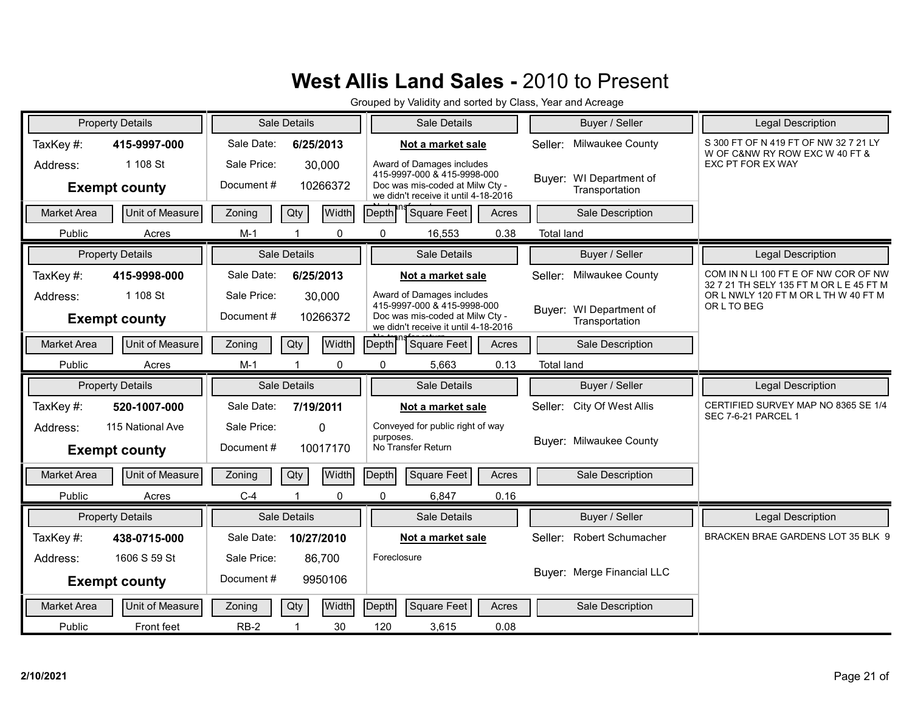|                    | <b>Property Details</b>                  |                          | Sale Details |              |             | Sale Details                                                                                                                        |       |                   | Buyer / Seller                            | <b>Legal Description</b>                                                        |
|--------------------|------------------------------------------|--------------------------|--------------|--------------|-------------|-------------------------------------------------------------------------------------------------------------------------------------|-------|-------------------|-------------------------------------------|---------------------------------------------------------------------------------|
| TaxKey#:           | 415-9997-000                             | Sale Date:               | 6/25/2013    |              |             | Not a market sale                                                                                                                   |       | Seller:           | Milwaukee County                          | S 300 FT OF N 419 FT OF NW 32 7 21 LY<br>W OF C&NW RY ROW EXC W 40 FT &         |
| Address:           | 1 108 St<br><b>Exempt county</b>         | Sale Price:<br>Document# | 30,000       | 10266372     |             | Award of Damages includes<br>415-9997-000 & 415-9998-000<br>Doc was mis-coded at Milw Ctv -<br>we didn't receive it until 4-18-2016 |       |                   | Buyer: WI Department of<br>Transportation | EXC PT FOR EX WAY                                                               |
| <b>Market Area</b> | Unit of Measure                          | Zoning                   | Qty          | Width        | Depth       | <b>Square Feet</b>                                                                                                                  | Acres |                   | Sale Description                          |                                                                                 |
| Public             | Acres                                    | $M-1$                    | $\mathbf 1$  | $\mathbf{0}$ | $\Omega$    | 16,553                                                                                                                              | 0.38  | <b>Total land</b> |                                           |                                                                                 |
|                    | <b>Property Details</b>                  |                          | Sale Details |              |             | Sale Details                                                                                                                        |       |                   | Buyer / Seller                            | Legal Description                                                               |
| TaxKey#:           | 415-9998-000                             | Sale Date:               | 6/25/2013    |              |             | Not a market sale                                                                                                                   |       | Seller:           | Milwaukee County                          | COM IN N LI 100 FT E OF NW COR OF NW<br>32 7 21 TH SELY 135 FT M OR L E 45 FT M |
| Address:           | 1 108 St<br><b>Exempt county</b>         | Sale Price:<br>Document# | 30,000       | 10266372     |             | Award of Damages includes<br>415-9997-000 & 415-9998-000<br>Doc was mis-coded at Milw Cty -<br>we didn't receive it until 4-18-2016 |       |                   | Buyer: WI Department of<br>Transportation | OR L NWLY 120 FT M OR L TH W 40 FT M<br>OR L TO BEG                             |
| <b>Market Area</b> | Unit of Measure                          | Zoning                   | Qty          | Width        | Depth       | <b>Square Feet</b>                                                                                                                  | Acres |                   | Sale Description                          |                                                                                 |
| Public             | Acres                                    | $M-1$                    |              | 0            | 0           | 5,663                                                                                                                               | 0.13  | <b>Total land</b> |                                           |                                                                                 |
|                    |                                          |                          |              |              |             |                                                                                                                                     |       |                   |                                           |                                                                                 |
|                    | <b>Property Details</b>                  |                          | Sale Details |              |             | Sale Details                                                                                                                        |       |                   | Buyer / Seller                            | Legal Description                                                               |
| TaxKey#:           | 520-1007-000                             | Sale Date:               | 7/19/2011    |              |             | Not a market sale                                                                                                                   |       |                   | Seller: City Of West Allis                | CERTIFIED SURVEY MAP NO 8365 SE 1/4                                             |
| Address:           | 115 National Ave<br><b>Exempt county</b> | Sale Price:<br>Document# | $\Omega$     | 10017170     | purposes.   | Conveyed for public right of way<br>No Transfer Return                                                                              |       |                   | Buyer: Milwaukee County                   | <b>SEC 7-6-21 PARCEL 1</b>                                                      |
| <b>Market Area</b> | <b>Unit of Measure</b>                   | Zoning                   | Qty          | Width        | Depth       | Square Feet                                                                                                                         | Acres |                   | Sale Description                          |                                                                                 |
| Public             | Acres                                    | $C-4$                    |              | $\Omega$     | $\Omega$    | 6,847                                                                                                                               | 0.16  |                   |                                           |                                                                                 |
|                    | <b>Property Details</b>                  |                          | Sale Details |              |             | Sale Details                                                                                                                        |       |                   | Buyer / Seller                            | <b>Legal Description</b>                                                        |
| TaxKey#:           | 438-0715-000                             | Sale Date:               | 10/27/2010   |              |             | Not a market sale                                                                                                                   |       |                   | Seller: Robert Schumacher                 | BRACKEN BRAE GARDENS LOT 35 BLK 9                                               |
| Address:           | 1606 S 59 St                             | Sale Price:              | 86,700       |              | Foreclosure |                                                                                                                                     |       |                   |                                           |                                                                                 |
|                    | <b>Exempt county</b>                     | Document#                |              | 9950106      |             |                                                                                                                                     |       |                   | Buyer: Merge Financial LLC                |                                                                                 |
| <b>Market Area</b> | Unit of Measure                          | Zoning                   | Qty          | Width        | Depth       | <b>Square Feet</b>                                                                                                                  | Acres |                   | Sale Description                          |                                                                                 |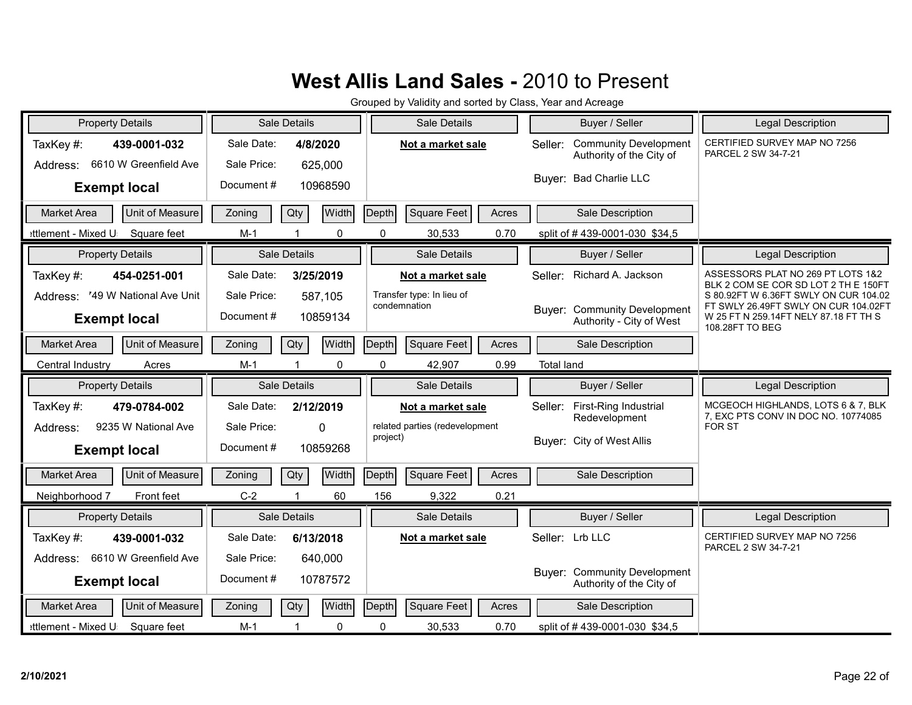| <b>Property Details</b>                                       |                           | Sale Details                  | Sale Details                              | Buyer / Seller                                                      | <b>Legal Description</b>                                                                                                                  |
|---------------------------------------------------------------|---------------------------|-------------------------------|-------------------------------------------|---------------------------------------------------------------------|-------------------------------------------------------------------------------------------------------------------------------------------|
| TaxKey#:<br>439-0001-032<br>6610 W Greenfield Ave<br>Address: | Sale Date:<br>Sale Price: | 4/8/2020<br>625,000           | Not a market sale                         | <b>Community Development</b><br>Seller:<br>Authority of the City of | CERTIFIED SURVEY MAP NO 7256<br>PARCEL 2 SW 34-7-21                                                                                       |
| <b>Exempt local</b>                                           | Document#                 | 10968590                      |                                           | Buyer: Bad Charlie LLC                                              |                                                                                                                                           |
| Unit of Measure<br><b>Market Area</b>                         | Zoning                    | Width<br>Qty                  | Square Feet<br>Depth<br>Acres             | Sale Description                                                    |                                                                                                                                           |
| Square feet<br>ettlement - Mixed U                            | $M-1$                     | 0<br>-1                       | 0<br>30,533<br>0.70                       | split of #439-0001-030 \$34,5                                       |                                                                                                                                           |
| <b>Property Details</b>                                       |                           | Sale Details                  | Sale Details                              | Buyer / Seller                                                      | <b>Legal Description</b>                                                                                                                  |
| TaxKey#:<br>454-0251-001                                      | Sale Date:                | 3/25/2019                     | Not a market sale                         | Richard A. Jackson<br>Seller:                                       | ASSESSORS PLAT NO 269 PT LOTS 1&2<br>BLK 2 COM SE COR SD LOT 2 TH E 150FT                                                                 |
| Address: '49 W National Ave Unit<br><b>Exempt local</b>       | Sale Price:<br>Document#  | 587,105<br>10859134           | Transfer type: In lieu of<br>condemnation | Buver: Community Development<br>Authority - City of West            | S 80.92FT W 6.36FT SWLY ON CUR 104.02<br>FT SWLY 26.49FT SWLY ON CUR 104.02FT<br>W 25 FT N 259.14FT NELY 87.18 FT TH S<br>108.28FT TO BEG |
| Unit of Measure<br><b>Market Area</b>                         | Zoning                    | Width<br>Qty                  | Depth<br>Square Feet<br>Acres             | Sale Description                                                    |                                                                                                                                           |
| Central Industry<br>Acres                                     | $M-1$                     | 0                             | 0<br>42,907<br>0.99                       | <b>Total land</b>                                                   |                                                                                                                                           |
|                                                               |                           |                               |                                           |                                                                     |                                                                                                                                           |
| <b>Property Details</b>                                       |                           | <b>Sale Details</b>           | Sale Details                              | Buyer / Seller                                                      | Legal Description                                                                                                                         |
| TaxKey #:<br>479-0784-002                                     | Sale Date:                | 2/12/2019                     | Not a market sale                         | <b>First-Ring Industrial</b><br>Seller:                             | MCGEOCH HIGHLANDS, LOTS 6 & 7, BLK                                                                                                        |
| 9235 W National Ave<br>Address:                               | Sale Price:               | $\Omega$                      | related parties (redevelopment            | Redevelopment                                                       | 7, EXC PTS CONV IN DOC NO. 10774085<br><b>FOR ST</b>                                                                                      |
| <b>Exempt local</b>                                           | Document#                 | 10859268                      | project)                                  | Buyer: City of West Allis                                           |                                                                                                                                           |
| Unit of Measure<br><b>Market Area</b>                         | Zoning                    | Width<br>Qty                  | <b>Square Feet</b><br>Depth<br>Acres      | Sale Description                                                    |                                                                                                                                           |
| Neighborhood 7<br>Front feet                                  | $C-2$                     | 60<br>$\overline{\mathbf{1}}$ | 156<br>9,322<br>0.21                      |                                                                     |                                                                                                                                           |
| <b>Property Details</b>                                       |                           | Sale Details                  | Sale Details                              | Buyer / Seller                                                      | Legal Description                                                                                                                         |
| TaxKey#:<br>439-0001-032                                      | Sale Date:                | 6/13/2018                     | Not a market sale                         | Seller: Lrb LLC                                                     | CERTIFIED SURVEY MAP NO 7256                                                                                                              |
| Address: 6610 W Greenfield Ave                                | Sale Price:               | 640,000                       |                                           |                                                                     | PARCEL 2 SW 34-7-21                                                                                                                       |
| <b>Exempt local</b>                                           | Document#                 | 10787572                      |                                           | <b>Buyer: Community Development</b><br>Authority of the City of     |                                                                                                                                           |
| Unit of Measure<br><b>Market Area</b>                         | Zoning                    | Width<br>Qty                  | Depth<br><b>Square Feet</b><br>Acres      | Sale Description                                                    |                                                                                                                                           |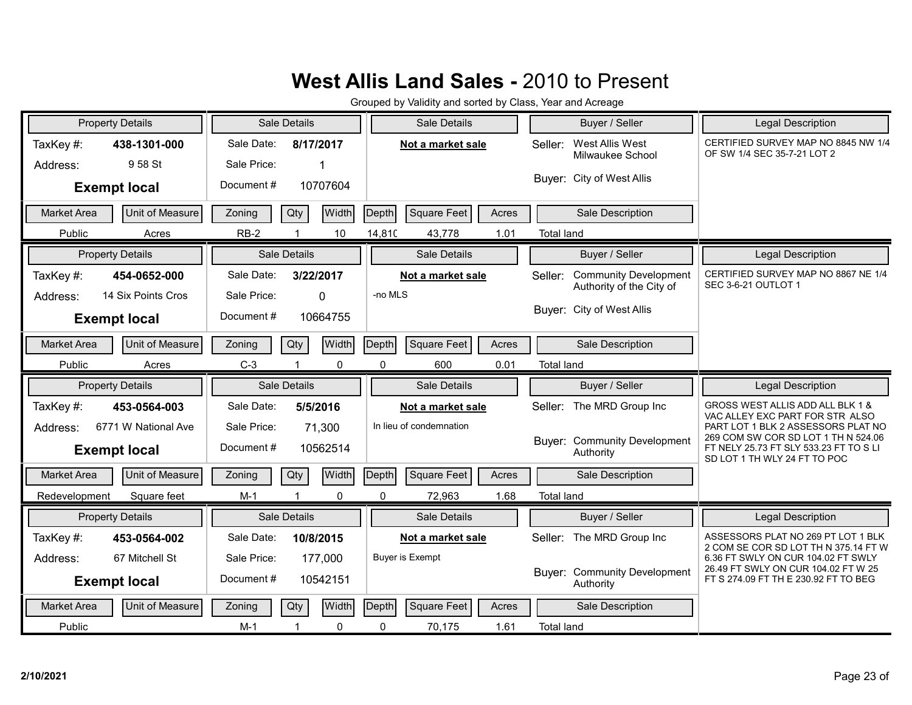| <b>Property Details</b>               | Sale Details                                 | Sale Details                         | Buyer / Seller                                                      | Legal Description                                                                                             |
|---------------------------------------|----------------------------------------------|--------------------------------------|---------------------------------------------------------------------|---------------------------------------------------------------------------------------------------------------|
| TaxKey#:<br>438-1301-000              | Sale Date:<br>8/17/2017                      | Not a market sale                    | West Allis West<br>Seller:<br>Milwaukee School                      | CERTIFIED SURVEY MAP NO 8845 NW 1/4<br>OF SW 1/4 SEC 35-7-21 LOT 2                                            |
| 958 St<br>Address:                    | Sale Price:                                  |                                      |                                                                     |                                                                                                               |
| <b>Exempt local</b>                   | Document#<br>10707604                        |                                      | Buyer: City of West Allis                                           |                                                                                                               |
| Unit of Measure<br><b>Market Area</b> | Width<br>Qty<br>Zoning                       | <b>Square Feet</b><br>Depth<br>Acres | Sale Description                                                    |                                                                                                               |
| Public<br>Acres                       | $RB-2$<br>10                                 | 14,810<br>43,778<br>1.01             | <b>Total land</b>                                                   |                                                                                                               |
| <b>Property Details</b>               | Sale Details                                 | Sale Details                         | Buyer / Seller                                                      | <b>Legal Description</b>                                                                                      |
| TaxKey#:<br>454-0652-000              | Sale Date:<br>3/22/2017                      | Not a market sale                    | <b>Community Development</b><br>Seller:<br>Authority of the City of | CERTIFIED SURVEY MAP NO 8867 NE 1/4<br><b>SEC 3-6-21 OUTLOT 1</b>                                             |
| 14 Six Points Cros<br>Address:        | Sale Price:<br>$\Omega$                      | -no MLS                              | Buyer: City of West Allis                                           |                                                                                                               |
| <b>Exempt local</b>                   | Document#<br>10664755                        |                                      |                                                                     |                                                                                                               |
| Unit of Measure<br><b>Market Area</b> | Width<br>Qty<br>Zoning                       | Depth<br><b>Square Feet</b><br>Acres | Sale Description                                                    |                                                                                                               |
| Public<br>Acres                       | $C-3$<br>0                                   | 0.01<br>0<br>600                     | <b>Total land</b>                                                   |                                                                                                               |
|                                       |                                              |                                      |                                                                     |                                                                                                               |
| <b>Property Details</b>               | Sale Details                                 | Sale Details                         | Buyer / Seller                                                      | <b>Legal Description</b>                                                                                      |
| TaxKey#:<br>453-0564-003              | Sale Date:<br>5/5/2016                       | Not a market sale                    | The MRD Group Inc<br>Seller:                                        | GROSS WEST ALLIS ADD ALL BLK 1 &                                                                              |
| 6771 W National Ave<br>Address:       | Sale Price:<br>71,300                        | In lieu of condemnation              |                                                                     | VAC ALLEY EXC PART FOR STR ALSO<br>PART LOT 1 BLK 2 ASSESSORS PLAT NO                                         |
| <b>Exempt local</b>                   | Document#<br>10562514                        |                                      | <b>Buyer: Community Development</b><br>Authority                    | 269 COM SW COR SD LOT 1 TH N 524.06<br>FT NELY 25.73 FT SLY 533.23 FT TO S LI<br>SD LOT 1 TH WLY 24 FT TO POC |
| Unit of Measure<br><b>Market Area</b> | Width<br>Zoning<br>Qty                       | <b>Square Feet</b><br>Depth<br>Acres | Sale Description                                                    |                                                                                                               |
| Redevelopment<br>Square feet          | $M-1$<br>$\Omega$<br>$\overline{\mathbf{1}}$ | $\Omega$<br>72,963<br>1.68           | <b>Total land</b>                                                   |                                                                                                               |
| <b>Property Details</b>               | Sale Details                                 | Sale Details                         | Buyer / Seller                                                      | Legal Description                                                                                             |
| TaxKey#:<br>453-0564-002              | Sale Date:<br>10/8/2015                      | Not a market sale                    | The MRD Group Inc<br>Seller:                                        | ASSESSORS PLAT NO 269 PT LOT 1 BLK                                                                            |
| 67 Mitchell St<br>Address:            | Sale Price:<br>177,000                       | <b>Buyer is Exempt</b>               |                                                                     | 2 COM SE COR SD LOT TH N 375.14 FT W<br>6.36 FT SWLY ON CUR 104.02 FT SWLY                                    |
| <b>Exempt local</b>                   | Document#<br>10542151                        |                                      | <b>Buyer: Community Development</b><br>Authority                    | 26.49 FT SWLY ON CUR 104.02 FT W 25<br>FT S 274.09 FT TH E 230.92 FT TO BEG                                   |
| Unit of Measure<br><b>Market Area</b> | Width<br>Zoning<br>Qty                       | Depth<br><b>Square Feet</b><br>Acres | Sale Description                                                    |                                                                                                               |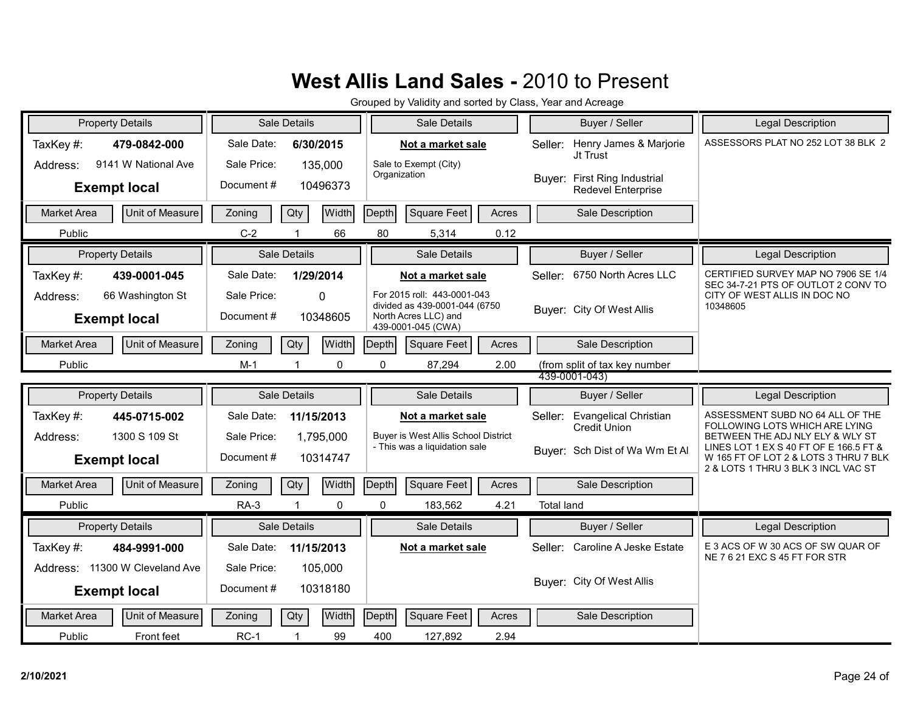| <b>Property Details</b>               | Sale Details               | Sale Details                                                         | Buyer / Seller                                                 | <b>Legal Description</b>                                                     |
|---------------------------------------|----------------------------|----------------------------------------------------------------------|----------------------------------------------------------------|------------------------------------------------------------------------------|
| TaxKey#:<br>479-0842-000              | Sale Date:<br>6/30/2015    | Not a market sale                                                    | Henry James & Marjorie<br>Seller:<br>Jt Trust                  | ASSESSORS PLAT NO 252 LOT 38 BLK 2                                           |
| 9141 W National Ave<br>Address:       | Sale Price:<br>135,000     | Sale to Exempt (City)<br>Organization                                |                                                                |                                                                              |
| <b>Exempt local</b>                   | Document#<br>10496373      |                                                                      | Buyer: First Ring Industrial<br>Redevel Enterprise             |                                                                              |
| Unit of Measure<br>Market Area        | Qty<br>Width<br>Zoning     | Square Feet<br>Depth<br>Acres                                        | Sale Description                                               |                                                                              |
| Public                                | $C-2$<br>66                | 80<br>0.12<br>5,314                                                  |                                                                |                                                                              |
| <b>Property Details</b>               | Sale Details               | Sale Details                                                         | Buyer / Seller                                                 | <b>Legal Description</b>                                                     |
| TaxKey#:<br>439-0001-045              | Sale Date:<br>1/29/2014    | Not a market sale                                                    | Seller: 6750 North Acres LLC                                   | CERTIFIED SURVEY MAP NO 7906 SE 1/4<br>SEC 34-7-21 PTS OF OUTLOT 2 CONV TO   |
| 66 Washington St<br>Address:          | Sale Price:<br>$\mathbf 0$ | For 2015 roll: 443-0001-043<br>divided as 439-0001-044 (6750         |                                                                | CITY OF WEST ALLIS IN DOC NO<br>10348605                                     |
| <b>Exempt local</b>                   | Document#<br>10348605      | North Acres LLC) and<br>439-0001-045 (CWA)                           | Buyer: City Of West Allis                                      |                                                                              |
| Unit of Measure<br><b>Market Area</b> | Width<br>Qty<br>Zoning     | <b>Square Feet</b><br>Depth<br>Acres                                 | Sale Description                                               |                                                                              |
| Public                                | $M-1$<br>0                 | 0<br>2.00<br>87,294                                                  | (from split of tax key number                                  |                                                                              |
|                                       |                            |                                                                      | 439-0001-043)                                                  |                                                                              |
| <b>Property Details</b>               | Sale Details               | Sale Details                                                         | Buyer / Seller                                                 | <b>Legal Description</b>                                                     |
| TaxKey#:<br>445-0715-002              | Sale Date:<br>11/15/2013   | Not a market sale                                                    | <b>Evangelical Christian</b><br>Seller:<br><b>Credit Union</b> | ASSESSMENT SUBD NO 64 ALL OF THE<br>FOLLOWING LOTS WHICH ARE LYING           |
| 1300 S 109 St<br>Address:             | Sale Price:<br>1,795,000   | Buyer is West Allis School District<br>- This was a liquidation sale | Buyer: Sch Dist of Wa Wm Et Al                                 | BETWEEN THE ADJ NLY ELY & WLY ST<br>LINES LOT 1 EX S 40 FT OF E 166.5 FT &   |
| <b>Exempt local</b>                   | Document#<br>10314747      |                                                                      |                                                                | W 165 FT OF LOT 2 & LOTS 3 THRU 7 BLK<br>2 & LOTS 1 THRU 3 BLK 3 INCL VAC ST |
| Unit of Measure<br><b>Market Area</b> | Qty<br>Width<br>Zoning     | Depth<br>Square Feet<br>Acres                                        | Sale Description                                               |                                                                              |
| Public                                | $\mathbf 0$<br>$RA-3$      | $\mathbf 0$<br>4.21<br>183,562                                       | <b>Total land</b>                                              |                                                                              |
| <b>Property Details</b>               | Sale Details               | <b>Sale Details</b>                                                  | Buyer / Seller                                                 | <b>Legal Description</b>                                                     |
| TaxKey#:<br>484-9991-000              | Sale Date:<br>11/15/2013   | Not a market sale                                                    | Caroline A Jeske Estate<br>Seller:                             | E 3 ACS OF W 30 ACS OF SW QUAR OF<br>NE 7 6 21 EXC S 45 FT FOR STR           |
| Address: 11300 W Cleveland Ave        | Sale Price:<br>105,000     |                                                                      |                                                                |                                                                              |
| <b>Exempt local</b>                   | Document#<br>10318180      |                                                                      | Buyer: City Of West Allis                                      |                                                                              |
| Unit of Measure<br><b>Market Area</b> | Width<br>Zoning<br>Qty     | <b>Square Feet</b><br>Depth<br>Acres                                 | Sale Description                                               |                                                                              |
| Public<br>Front feet                  | $RC-1$<br>99<br>-1         | 400<br>127,892<br>2.94                                               |                                                                |                                                                              |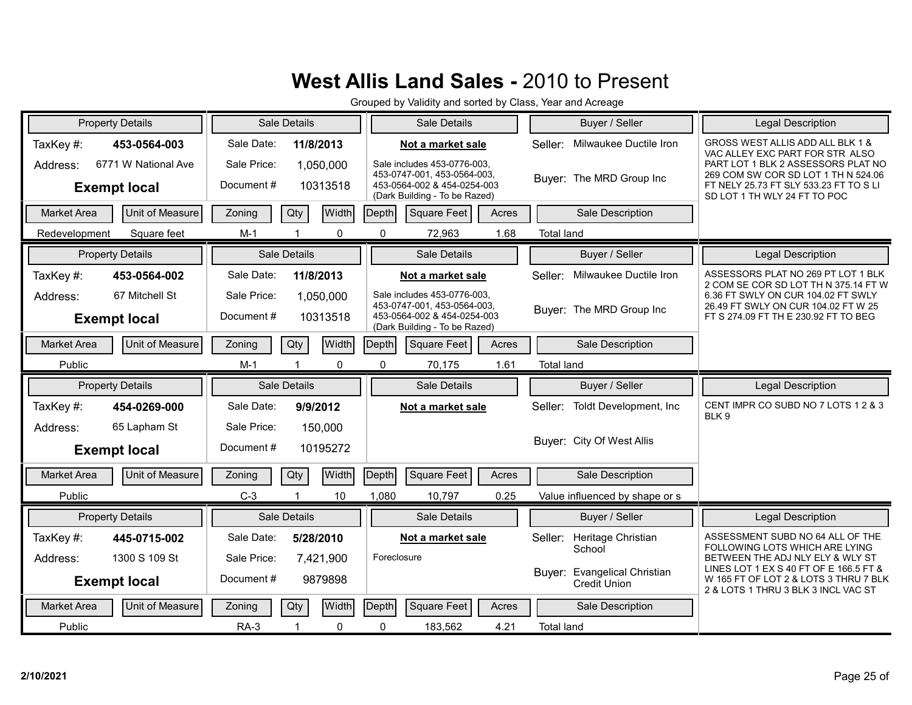|                    | <b>Property Details</b> |             | Sale Details         |              |             | Sale Details                                                 |       |                   | Buyer / Seller                                      | <b>Legal Description</b>                                                                                               |
|--------------------|-------------------------|-------------|----------------------|--------------|-------------|--------------------------------------------------------------|-------|-------------------|-----------------------------------------------------|------------------------------------------------------------------------------------------------------------------------|
| TaxKey#:           | 453-0564-003            | Sale Date:  | 11/8/2013            |              |             | Not a market sale                                            |       | Seller:           | Milwaukee Ductile Iron                              | GROSS WEST ALLIS ADD ALL BLK 1 &<br>VAC ALLEY EXC PART FOR STR ALSO                                                    |
| Address:           | 6771 W National Ave     | Sale Price: | 1,050,000            |              |             | Sale includes 453-0776-003.<br>453-0747-001, 453-0564-003,   |       |                   |                                                     | PART LOT 1 BLK 2 ASSESSORS PLAT NO<br>269 COM SW COR SD LOT 1 TH N 524.06                                              |
|                    | <b>Exempt local</b>     | Document#   |                      | 10313518     |             | 453-0564-002 & 454-0254-003<br>(Dark Building - To be Razed) |       |                   | Buyer: The MRD Group Inc                            | FT NELY 25.73 FT SLY 533.23 FT TO S LI<br>SD LOT 1 TH WLY 24 FT TO POC                                                 |
| <b>Market Area</b> | Unit of Measure         | Zoning      | Qty                  | <b>Width</b> | Depth       | Square Feet                                                  | Acres |                   | Sale Description                                    |                                                                                                                        |
| Redevelopment      | Square feet             | $M-1$       |                      | 0            | $\Omega$    | 72,963                                                       | 1.68  | <b>Total land</b> |                                                     |                                                                                                                        |
|                    | <b>Property Details</b> |             | Sale Details         |              |             | Sale Details                                                 |       |                   | Buyer / Seller                                      | <b>Legal Description</b>                                                                                               |
| TaxKey#:           | 453-0564-002            | Sale Date:  | 11/8/2013            |              |             | Not a market sale                                            |       | Seller:           | Milwaukee Ductile Iron                              | ASSESSORS PLAT NO 269 PT LOT 1 BLK<br>2 COM SE COR SD LOT TH N 375.14 FT W                                             |
| Address:           | 67 Mitchell St          | Sale Price: | 1,050,000            |              |             | Sale includes 453-0776-003.<br>453-0747-001, 453-0564-003,   |       |                   |                                                     | 6.36 FT SWLY ON CUR 104.02 FT SWLY<br>26.49 FT SWLY ON CUR 104.02 FT W 25                                              |
|                    | <b>Exempt local</b>     | Document#   | 10313518             |              |             | 453-0564-002 & 454-0254-003<br>(Dark Building - To be Razed) |       |                   | Buyer: The MRD Group Inc                            | FT S 274.09 FT TH E 230.92 FT TO BEG                                                                                   |
| <b>Market Area</b> | Unit of Measure         | Zoning      | Qty                  | Width        | Depth       | Square Feet                                                  | Acres |                   | Sale Description                                    |                                                                                                                        |
| Public             |                         | $M-1$       |                      | 0            | 0           | 70,175                                                       | 1.61  | <b>Total land</b> |                                                     |                                                                                                                        |
|                    |                         |             |                      |              |             |                                                              |       |                   |                                                     |                                                                                                                        |
|                    | <b>Property Details</b> |             | Sale Details         |              |             | Sale Details                                                 |       |                   | Buyer / Seller                                      | Legal Description                                                                                                      |
| TaxKey#:           | 454-0269-000            | Sale Date:  | 9/9/2012             |              |             | Not a market sale                                            |       | Seller:           | Toldt Development, Inc                              | CENT IMPR CO SUBD NO 7 LOTS 1 2 & 3                                                                                    |
| Address:           | 65 Lapham St            | Sale Price: | 150,000              |              |             |                                                              |       |                   |                                                     | BLK 9                                                                                                                  |
|                    | <b>Exempt local</b>     | Document#   | 10195272             |              |             |                                                              |       |                   | Buver: City Of West Allis                           |                                                                                                                        |
| <b>Market Area</b> | Unit of Measure         | Zoning      | Qty                  | Width        | Depth       | Square Feet                                                  | Acres |                   | Sale Description                                    |                                                                                                                        |
| Public             |                         | $C-3$       | $\blacktriangleleft$ | 10           | 1,080       | 10,797                                                       | 0.25  |                   | Value influenced by shape or s                      |                                                                                                                        |
|                    | <b>Property Details</b> |             | Sale Details         |              |             | Sale Details                                                 |       |                   | Buyer / Seller                                      | <b>Legal Description</b>                                                                                               |
| TaxKey#:           | 445-0715-002            | Sale Date:  | 5/28/2010            |              |             | Not a market sale                                            |       | Seller:           | Heritage Christian                                  | ASSESSMENT SUBD NO 64 ALL OF THE                                                                                       |
| Address:           | 1300 S 109 St           | Sale Price: | 7,421,900            |              | Foreclosure |                                                              |       |                   | School                                              | FOLLOWING LOTS WHICH ARE LYING<br>BETWEEN THE ADJ NLY ELY & WLY ST                                                     |
|                    | <b>Exempt local</b>     | Document#   |                      | 9879898      |             |                                                              |       |                   | Buyer: Evangelical Christian<br><b>Credit Union</b> | LINES LOT 1 EX S 40 FT OF E 166.5 FT &<br>W 165 FT OF LOT 2 & LOTS 3 THRU 7 BLK<br>2 & LOTS 1 THRU 3 BLK 3 INCL VAC ST |
| <b>Market Area</b> | Unit of Measure         | Zoning      | Qty                  | <b>Width</b> | Depth       | Square Feet                                                  | Acres |                   | Sale Description                                    |                                                                                                                        |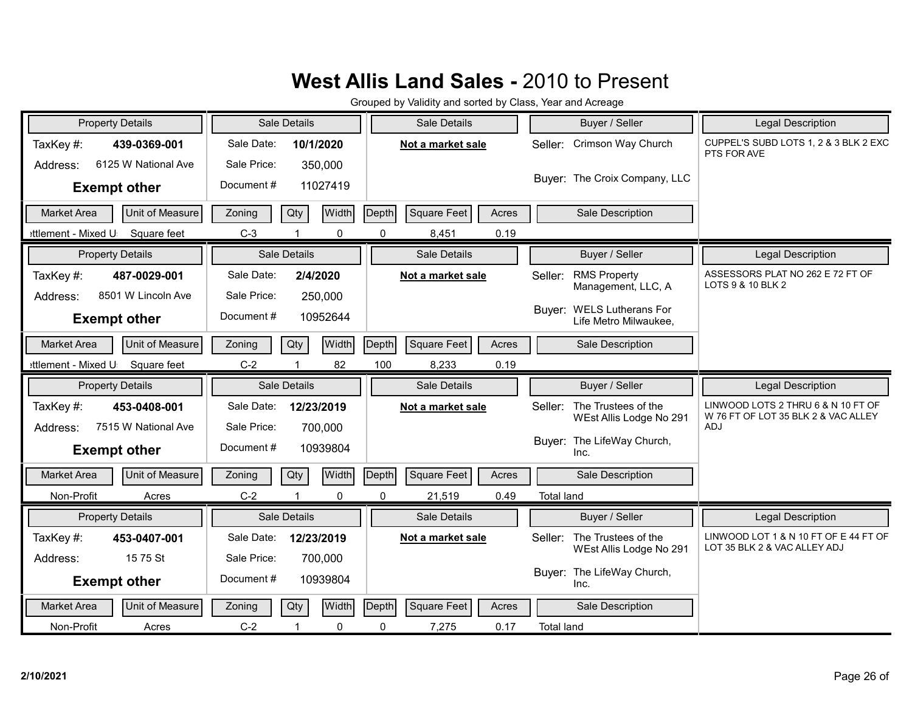| <b>Property Details</b>               | Sale Details  |              |          | Sale Details                | Buyer / Seller                                       | <b>Legal Description</b>                              |
|---------------------------------------|---------------|--------------|----------|-----------------------------|------------------------------------------------------|-------------------------------------------------------|
| TaxKey#:<br>439-0369-001              | Sale Date:    | 10/1/2020    |          | Not a market sale           | Crimson Way Church<br>Seller:                        | CUPPEL'S SUBD LOTS 1, 2 & 3 BLK 2 EXC<br>PTS FOR AVE  |
| 6125 W National Ave<br>Address:       | Sale Price:   | 350,000      |          |                             | Buyer: The Croix Company, LLC                        |                                                       |
| <b>Exempt other</b>                   | Document#     | 11027419     |          |                             |                                                      |                                                       |
| Unit of Measure<br><b>Market Area</b> | Qty<br>Zoning | Width        | Depth    | <b>Square Feet</b><br>Acres | Sale Description                                     |                                                       |
| ettlement - Mixed U<br>Square feet    | $C-3$         | $\mathbf{0}$ | $\Omega$ | 0.19<br>8,451               |                                                      |                                                       |
| <b>Property Details</b>               | Sale Details  |              |          | Sale Details                | Buyer / Seller                                       | <b>Legal Description</b>                              |
| TaxKey#:<br>487-0029-001              | Sale Date:    | 2/4/2020     |          | Not a market sale           | <b>RMS Property</b><br>Seller:<br>Management, LLC, A | ASSESSORS PLAT NO 262 E 72 FT OF<br>LOTS 9 & 10 BLK 2 |
| 8501 W Lincoln Ave<br>Address:        | Sale Price:   | 250,000      |          |                             | Buyer: WELS Lutherans For                            |                                                       |
| <b>Exempt other</b>                   | Document#     | 10952644     |          |                             | Life Metro Milwaukee,                                |                                                       |
| Unit of Measure<br>Market Area        | Qty<br>Zoning | Width        | Depth    | <b>Square Feet</b><br>Acres | Sale Description                                     |                                                       |
| ettlement - Mixed U<br>Square feet    | $C-2$         | 82           | 100      | 8,233<br>0.19               |                                                      |                                                       |
|                                       |               |              |          |                             |                                                      |                                                       |
| <b>Property Details</b>               | Sale Details  |              |          | Sale Details                | Buyer / Seller                                       | Legal Description                                     |
| TaxKey #:<br>453-0408-001             | Sale Date:    | 12/23/2019   |          | Not a market sale           | The Trustees of the<br>Seller:                       | LINWOOD LOTS 2 THRU 6 & N 10 FT OF                    |
| 7515 W National Ave<br>Address:       | Sale Price:   | 700,000      |          |                             | WEst Allis Lodge No 291                              | W 76 FT OF LOT 35 BLK 2 & VAC ALLEY<br>ADJ            |
| <b>Exempt other</b>                   | Document#     | 10939804     |          |                             | Buyer: The LifeWay Church,<br>Inc.                   |                                                       |
| Unit of Measure<br><b>Market Area</b> | Qty<br>Zoning | Width        | Depth    | Square Feet<br>Acres        | Sale Description                                     |                                                       |
| Non-Profit<br>Acres                   | $C-2$         | $\Omega$     | $\Omega$ | 0.49<br>21,519              | <b>Total land</b>                                    |                                                       |
| <b>Property Details</b>               | Sale Details  |              |          | Sale Details                | Buyer / Seller                                       | Legal Description                                     |
| TaxKey#:<br>453-0407-001              | Sale Date:    | 12/23/2019   |          | Not a market sale           | The Trustees of the<br>Seller:                       | LINWOOD LOT 1 & N 10 FT OF E 44 FT OF                 |
| 15 75 St<br>Address:                  | Sale Price:   | 700,000      |          |                             | WEst Allis Lodge No 291                              | LOT 35 BLK 2 & VAC ALLEY ADJ                          |
| <b>Exempt other</b>                   | Document#     | 10939804     |          |                             | Buyer: The LifeWay Church,<br>Inc.                   |                                                       |
| Unit of Measure<br><b>Market Area</b> | Qty<br>Zoning | Width        | Depth    | Square Feet<br>Acres        | Sale Description                                     |                                                       |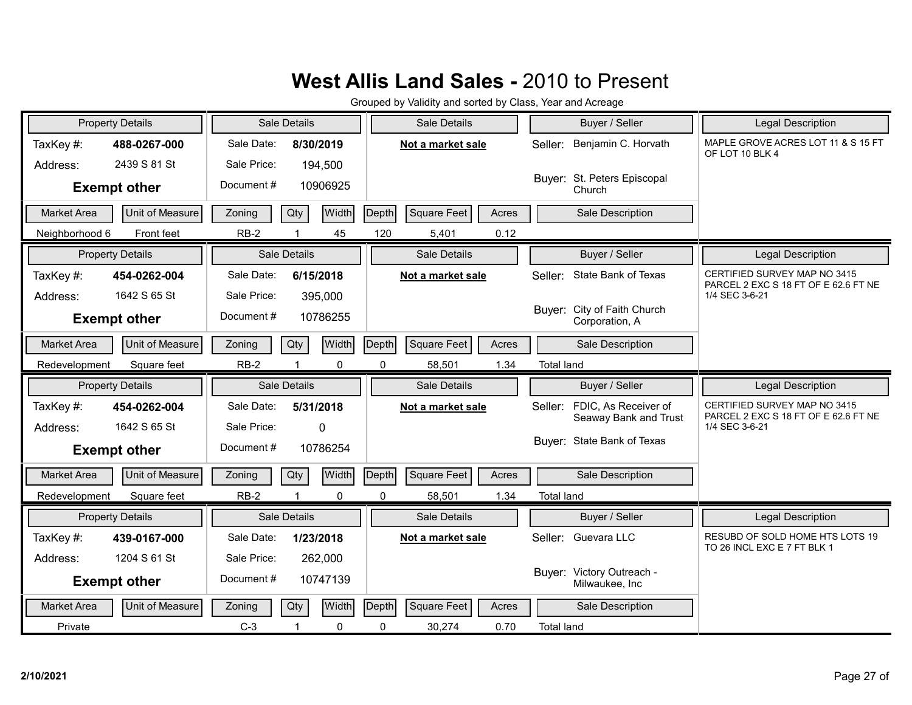|                    | <b>Property Details</b> |             | Sale Details            |          |       | Sale Details       |       |                   | Buyer / Seller                                | <b>Legal Description</b>                                             |
|--------------------|-------------------------|-------------|-------------------------|----------|-------|--------------------|-------|-------------------|-----------------------------------------------|----------------------------------------------------------------------|
| TaxKey#:           | 488-0267-000            | Sale Date:  | 8/30/2019               |          |       | Not a market sale  |       | Seller:           | Benjamin C. Horvath                           | MAPLE GROVE ACRES LOT 11 & S 15 FT<br>OF LOT 10 BLK 4                |
| Address:           | 2439 S 81 St            | Sale Price: |                         | 194,500  |       |                    |       |                   |                                               |                                                                      |
|                    | <b>Exempt other</b>     | Document#   |                         | 10906925 |       |                    |       |                   | Buyer: St. Peters Episcopal<br>Church         |                                                                      |
| <b>Market Area</b> | Unit of Measure         | Zoning      | Qty                     | Width    | Depth | Square Feet        | Acres |                   | Sale Description                              |                                                                      |
| Neighborhood 6     | Front feet              | $RB-2$      |                         | 45       | 120   | 5,401              | 0.12  |                   |                                               |                                                                      |
|                    | <b>Property Details</b> |             | Sale Details            |          |       | Sale Details       |       |                   | Buyer / Seller                                | Legal Description                                                    |
| TaxKey#:           | 454-0262-004            | Sale Date:  | 6/15/2018               |          |       | Not a market sale  |       | Seller:           | State Bank of Texas                           | CERTIFIED SURVEY MAP NO 3415<br>PARCEL 2 EXC S 18 FT OF E 62.6 FT NE |
| Address:           | 1642 S 65 St            | Sale Price: |                         | 395,000  |       |                    |       |                   |                                               | 1/4 SEC 3-6-21                                                       |
|                    | <b>Exempt other</b>     | Document#   |                         | 10786255 |       |                    |       |                   | Buyer: City of Faith Church<br>Corporation, A |                                                                      |
| <b>Market Area</b> | Unit of Measure         | Zoning      | Qty                     | Width    | Depth | <b>Square Feet</b> | Acres |                   | Sale Description                              |                                                                      |
| Redevelopment      | Square feet             | $RB-2$      |                         | 0        | 0     | 58,501             | 1.34  | <b>Total land</b> |                                               |                                                                      |
|                    |                         |             |                         |          |       |                    |       |                   |                                               |                                                                      |
|                    | <b>Property Details</b> |             | Sale Details            |          |       | Sale Details       |       |                   | Buyer / Seller                                | Legal Description                                                    |
| TaxKey#:           | 454-0262-004            | Sale Date:  | 5/31/2018               |          |       | Not a market sale  |       | Seller:           | FDIC, As Receiver of                          | CERTIFIED SURVEY MAP NO 3415                                         |
| Address:           | 1642 S 65 St            | Sale Price: |                         | $\Omega$ |       |                    |       |                   | Seaway Bank and Trust                         | PARCEL 2 EXC S 18 FT OF E 62.6 FT NE<br>1/4 SEC 3-6-21               |
|                    | <b>Exempt other</b>     | Document #  |                         | 10786254 |       |                    |       |                   | Buyer: State Bank of Texas                    |                                                                      |
| <b>Market Area</b> | Unit of Measure         | Zoning      | Qty                     | Width    | Depth | <b>Square Feet</b> | Acres |                   | Sale Description                              |                                                                      |
| Redevelopment      | Square feet             | $RB-2$      | $\overline{\mathbf{1}}$ | 0        | 0     | 58,501             | 1.34  | <b>Total land</b> |                                               |                                                                      |
|                    | <b>Property Details</b> |             | Sale Details            |          |       | Sale Details       |       |                   | Buyer / Seller                                | Legal Description                                                    |
| TaxKey#:           | 439-0167-000            | Sale Date:  | 1/23/2018               |          |       | Not a market sale  |       | Seller:           | Guevara LLC                                   | RESUBD OF SOLD HOME HTS LOTS 19                                      |
| Address:           | 1204 S 61 St            | Sale Price: |                         | 262,000  |       |                    |       |                   |                                               | TO 26 INCL EXC E 7 FT BLK 1                                          |
|                    | <b>Exempt other</b>     | Document#   |                         | 10747139 |       |                    |       |                   | Buyer: Victory Outreach -<br>Milwaukee, Inc   |                                                                      |
| <b>Market Area</b> | Unit of Measure         | Zoning      | Qty                     | Width    | Depth | <b>Square Feet</b> | Acres |                   | Sale Description                              |                                                                      |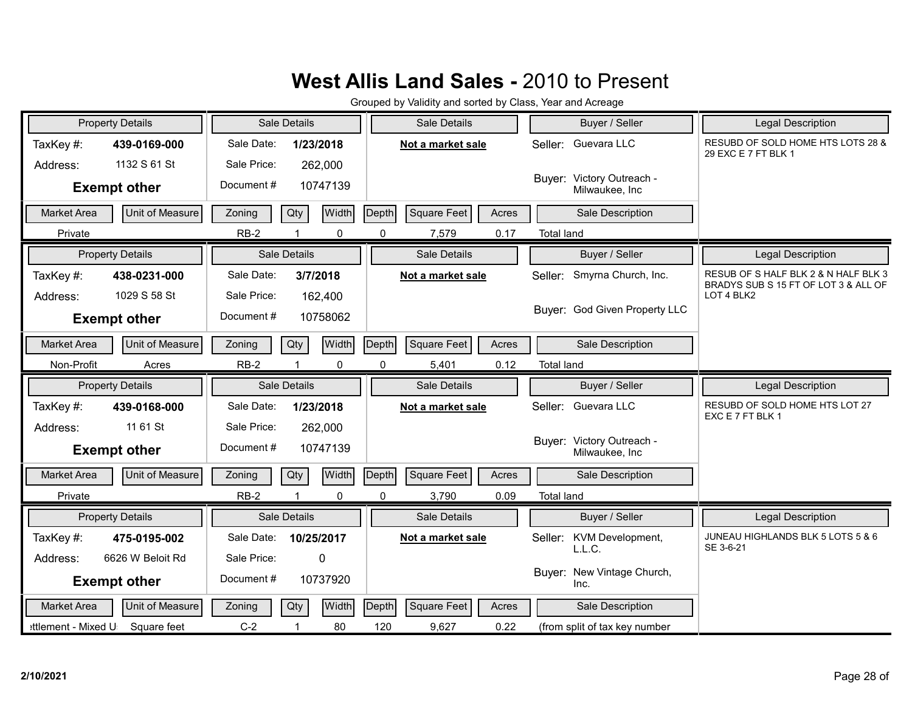|                    | <b>Property Details</b> |             | Sale Details |              |              | Sale Details      |       |                   | Buyer / Seller                              | <b>Legal Description</b>                                                     |
|--------------------|-------------------------|-------------|--------------|--------------|--------------|-------------------|-------|-------------------|---------------------------------------------|------------------------------------------------------------------------------|
| TaxKey#:           | 439-0169-000            | Sale Date:  | 1/23/2018    |              |              | Not a market sale |       |                   | Seller: Guevara LLC                         | RESUBD OF SOLD HOME HTS LOTS 28 &<br>29 EXC E 7 FT BLK 1                     |
| Address:           | 1132 S 61 St            | Sale Price: |              | 262,000      |              |                   |       |                   |                                             |                                                                              |
|                    | <b>Exempt other</b>     | Document#   |              | 10747139     |              |                   |       |                   | Buyer: Victory Outreach -<br>Milwaukee, Inc |                                                                              |
| <b>Market Area</b> | Unit of Measure         | Zoning      | Qty          | Width        | Depth        | Square Feet       | Acres |                   | Sale Description                            |                                                                              |
| Private            |                         | $RB-2$      |              | 0            | 0            | 7,579             | 0.17  | <b>Total land</b> |                                             |                                                                              |
|                    | <b>Property Details</b> |             | Sale Details |              |              | Sale Details      |       |                   | Buyer / Seller                              | <b>Legal Description</b>                                                     |
| TaxKey#:           | 438-0231-000            | Sale Date:  | 3/7/2018     |              |              | Not a market sale |       | Seller:           | Smyrna Church, Inc.                         | RESUB OF S HALF BLK 2 & N HALF BLK 3<br>BRADYS SUB S 15 FT OF LOT 3 & ALL OF |
| Address:           | 1029 S 58 St            | Sale Price: |              | 162,400      |              |                   |       |                   |                                             | LOT 4 BLK2                                                                   |
|                    | <b>Exempt other</b>     | Document#   |              | 10758062     |              |                   |       |                   | Buver: God Given Property LLC               |                                                                              |
| Market Area        | Unit of Measure         | Zoning      | Qty          | Width        | Depth        | Square Feet       | Acres |                   | Sale Description                            |                                                                              |
| Non-Profit         | Acres                   | $RB-2$      |              | 0            | 0            | 5,401             | 0.12  | <b>Total land</b> |                                             |                                                                              |
|                    |                         |             |              |              |              |                   |       |                   |                                             |                                                                              |
|                    | <b>Property Details</b> |             | Sale Details |              |              | Sale Details      |       |                   | Buyer / Seller                              | Legal Description                                                            |
| TaxKey#:           | 439-0168-000            | Sale Date:  | 1/23/2018    |              |              | Not a market sale |       |                   | Seller: Guevara LLC                         | RESUBD OF SOLD HOME HTS LOT 27                                               |
| Address:           | 11 61 St                | Sale Price: |              | 262,000      |              |                   |       |                   |                                             | EXC E 7 FT BLK 1                                                             |
|                    | <b>Exempt other</b>     | Document#   |              | 10747139     |              |                   |       |                   | Buyer: Victory Outreach -<br>Milwaukee, Inc |                                                                              |
| <b>Market Area</b> | Unit of Measure         | Zoning      | Qty          | <b>Width</b> | Depth        | Square Feet       | Acres |                   | Sale Description                            |                                                                              |
| Private            |                         | $RB-2$      |              | $\Omega$     | $\Omega$     | 3,790             | 0.09  | <b>Total land</b> |                                             |                                                                              |
|                    | <b>Property Details</b> |             | Sale Details |              |              | Sale Details      |       |                   | Buyer / Seller                              | <b>Legal Description</b>                                                     |
| TaxKey #:          | 475-0195-002            | Sale Date:  | 10/25/2017   |              |              | Not a market sale |       | Seller:           | KVM Development,                            | JUNEAU HIGHLANDS BLK 5 LOTS 5 & 6                                            |
| Address:           | 6626 W Beloit Rd        | Sale Price: |              | $\mathbf{0}$ |              |                   |       |                   | L.L.C.                                      | SE 3-6-21                                                                    |
|                    | <b>Exempt other</b>     | Document#   |              | 10737920     |              |                   |       |                   | Buyer: New Vintage Church,<br>Inc.          |                                                                              |
| <b>Market Area</b> | Unit of Measure         | Zoning      | Qty          | Width        | <b>Depth</b> | Square Feet       | Acres |                   | Sale Description                            |                                                                              |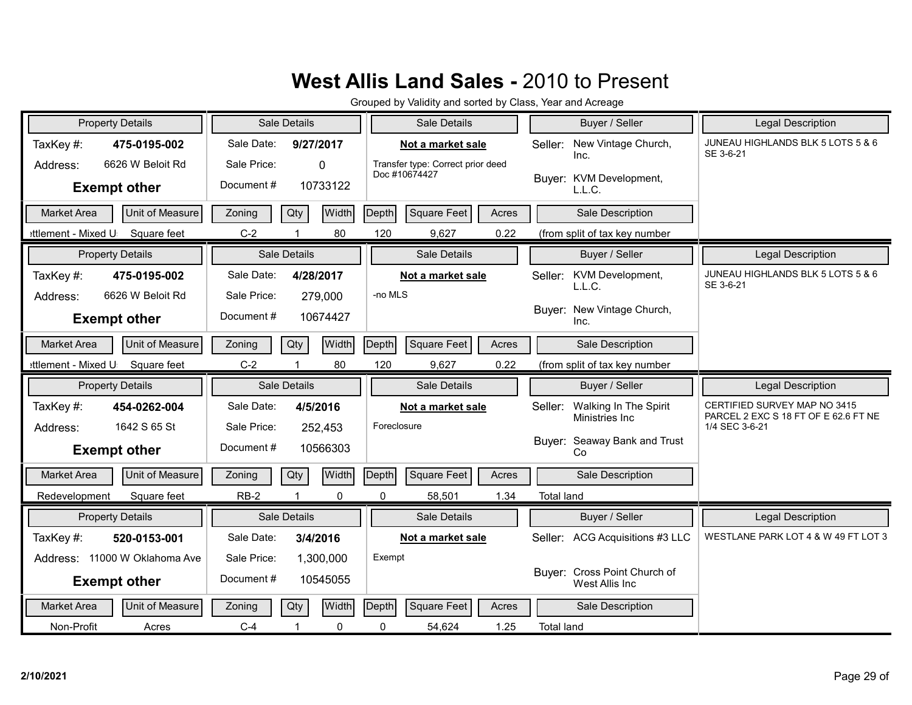| <b>Property Details</b>                                  | Sale Details                                                                | Sale Details                                                            | Buyer / Seller                                                    | Legal Description                                                    |
|----------------------------------------------------------|-----------------------------------------------------------------------------|-------------------------------------------------------------------------|-------------------------------------------------------------------|----------------------------------------------------------------------|
| TaxKey#:<br>475-0195-002<br>6626 W Beloit Rd<br>Address: | Sale Date:<br>9/27/2017<br>Sale Price:<br>$\Omega$<br>Document#<br>10733122 | Not a market sale<br>Transfer type: Correct prior deed<br>Doc #10674427 | New Vintage Church,<br>Seller:<br>Inc.<br>Buyer: KVM Development, | JUNEAU HIGHLANDS BLK 5 LOTS 5 & 6<br>SE 3-6-21                       |
| <b>Exempt other</b>                                      |                                                                             |                                                                         | L.L.C.                                                            |                                                                      |
| Unit of Measure<br><b>Market Area</b>                    | Width<br>Qty<br>Zoning                                                      | <b>Square Feet</b><br>Depth<br>Acres                                    | Sale Description                                                  |                                                                      |
| ettlement - Mixed U<br>Square feet                       | $C-2$<br>80                                                                 | 120<br>9,627<br>0.22                                                    | (from split of tax key number                                     |                                                                      |
| <b>Property Details</b>                                  | Sale Details                                                                | Sale Details                                                            | Buyer / Seller                                                    | Legal Description                                                    |
| TaxKey#:<br>475-0195-002<br>6626 W Beloit Rd<br>Address: | Sale Date:<br>4/28/2017<br>Sale Price:                                      | Not a market sale<br>-no MLS                                            | KVM Development,<br>Seller:<br>L.L.C.                             | JUNEAU HIGHLANDS BLK 5 LOTS 5 & 6<br>SE 3-6-21                       |
| <b>Exempt other</b>                                      | 279,000<br>Document#<br>10674427                                            |                                                                         | New Vintage Church,<br>Buyer:<br>Inc.                             |                                                                      |
| Unit of Measure<br><b>Market Area</b>                    | Width<br>Qty<br>Zoning                                                      | Square Feet<br>Depth<br>Acres                                           | Sale Description                                                  |                                                                      |
| ettlement - Mixed U<br>Square feet                       | 80<br>$C-2$                                                                 | 120<br>0.22<br>9,627                                                    | (from split of tax key number                                     |                                                                      |
|                                                          |                                                                             |                                                                         |                                                                   |                                                                      |
| <b>Property Details</b>                                  | Sale Details                                                                | <b>Sale Details</b>                                                     | Buyer / Seller                                                    | Legal Description                                                    |
| TaxKey#:<br>454-0262-004                                 | Sale Date:<br>4/5/2016                                                      | Not a market sale                                                       | Walking In The Spirit<br>Seller:<br>Ministries Inc                | CERTIFIED SURVEY MAP NO 3415<br>PARCEL 2 EXC S 18 FT OF E 62.6 FT NE |
| 1642 S 65 St<br>Address:<br><b>Exempt other</b>          | Sale Price:<br>252,453<br>Document#<br>10566303                             | Foreclosure                                                             | Buyer: Seaway Bank and Trust<br>Co                                | 1/4 SEC 3-6-21                                                       |
| Unit of Measure<br><b>Market Area</b>                    | Width<br>Qty<br>Zoning                                                      | Depth<br><b>Square Feet</b><br>Acres                                    | Sale Description                                                  |                                                                      |
| Redevelopment<br>Square feet                             | $RB-2$<br>$\mathbf 0$                                                       | 1.34<br>0<br>58,501                                                     | <b>Total land</b>                                                 |                                                                      |
| <b>Property Details</b>                                  | Sale Details                                                                | Sale Details                                                            | Buyer / Seller                                                    | <b>Legal Description</b>                                             |
| TaxKey#:<br>520-0153-001                                 | Sale Date:<br>3/4/2016                                                      | Not a market sale                                                       | ACG Acquisitions #3 LLC<br>Seller:                                | WESTLANE PARK LOT 4 & W 49 FT LOT 3                                  |
| Address: 11000 W Oklahoma Ave                            | Sale Price:<br>1,300,000                                                    | Exempt                                                                  |                                                                   |                                                                      |
| <b>Exempt other</b>                                      | Document#<br>10545055                                                       |                                                                         | Buyer: Cross Point Church of<br>West Allis Inc                    |                                                                      |
| <b>Unit of Measure</b><br>Market Area                    | Width<br>Qty<br>Zoning                                                      | Depth<br><b>Square Feet</b><br>Acres                                    | Sale Description                                                  |                                                                      |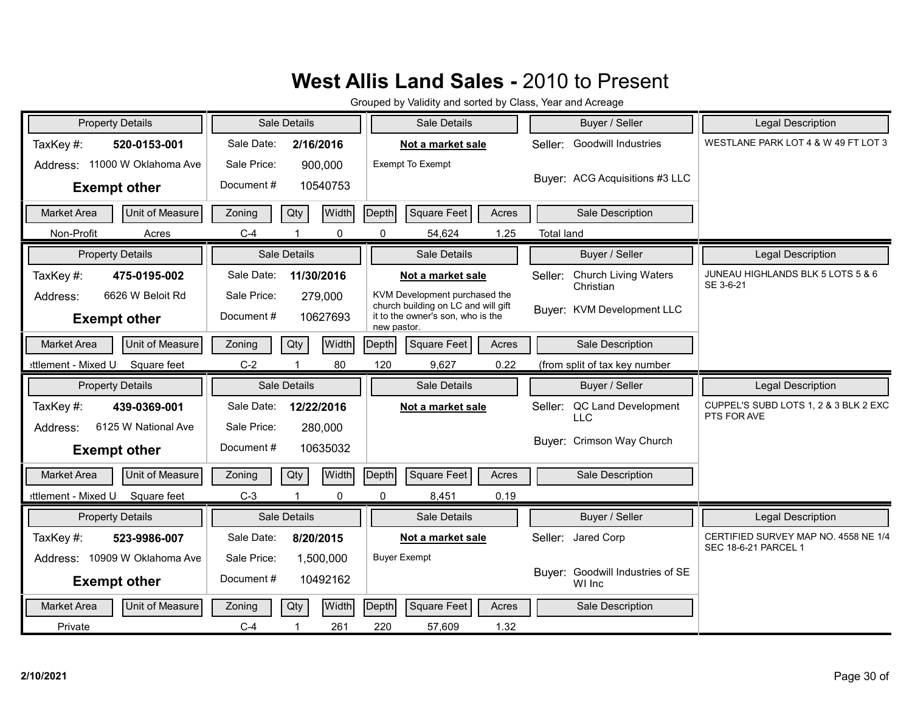| <b>Property Details</b>                                | Sale Details                                    | Sale Details                                                                                                             | Buyer / Seller                                      | <b>Legal Description</b>                             |
|--------------------------------------------------------|-------------------------------------------------|--------------------------------------------------------------------------------------------------------------------------|-----------------------------------------------------|------------------------------------------------------|
| TaxKey#:<br>520-0153-001                               | Sale Date:<br>2/16/2016                         | Not a market sale                                                                                                        | <b>Goodwill Industries</b><br>Seller:               | WESTLANE PARK LOT 4 & W 49 FT LOT 3                  |
| Address: 11000 W Oklahoma Ave<br><b>Exempt other</b>   | Sale Price:<br>900,000<br>Document#<br>10540753 | Exempt To Exempt                                                                                                         | Buyer: ACG Acquisitions #3 LLC                      |                                                      |
| Unit of Measure<br><b>Market Area</b>                  | Width<br>Qty<br>Zoning                          | Depth<br><b>Square Feet</b><br>Acres                                                                                     | Sale Description                                    |                                                      |
| Non-Profit<br>Acres                                    | $C-4$<br>$\mathbf 0$                            | 54,624<br>1.25<br>0                                                                                                      | <b>Total land</b>                                   |                                                      |
| <b>Property Details</b>                                | Sale Details                                    | Sale Details                                                                                                             | Buyer / Seller                                      | <b>Legal Description</b>                             |
| TaxKey#:<br>475-0195-002                               | Sale Date:<br>11/30/2016                        | Not a market sale                                                                                                        | <b>Church Living Waters</b><br>Seller:<br>Christian | JUNEAU HIGHLANDS BLK 5 LOTS 5 & 6<br>SE 3-6-21       |
| 6626 W Beloit Rd<br>Address:<br><b>Exempt other</b>    | Sale Price:<br>279,000<br>Document#<br>10627693 | KVM Development purchased the<br>church building on LC and will gift<br>it to the owner's son, who is the<br>new pastor. | Buver: KVM Development LLC                          |                                                      |
| Unit of Measure<br><b>Market Area</b>                  | Width<br>Qty<br>Zoning                          | <b>Square Feet</b><br>Depth<br>Acres                                                                                     | Sale Description                                    |                                                      |
| ettlement - Mixed U<br>Square feet                     | $C-2$<br>80                                     | 120<br>0.22<br>9,627                                                                                                     | (from split of tax key number                       |                                                      |
|                                                        |                                                 |                                                                                                                          |                                                     |                                                      |
| <b>Property Details</b>                                | Sale Details                                    | Sale Details                                                                                                             | Buyer / Seller                                      | Legal Description                                    |
| TaxKey#:<br>439-0369-001                               | Sale Date:<br>12/22/2016                        | Not a market sale                                                                                                        | QC Land Development<br>Seller:<br><b>LLC</b>        | CUPPEL'S SUBD LOTS 1, 2 & 3 BLK 2 EXC<br>PTS FOR AVE |
| 6125 W National Ave<br>Address:<br><b>Exempt other</b> | Sale Price:<br>280,000<br>Document#<br>10635032 |                                                                                                                          | Buver: Crimson Way Church                           |                                                      |
| Unit of Measure<br><b>Market Area</b>                  | Width<br>Qty<br>Zoning                          | Depth<br><b>Square Feet</b><br>Acres                                                                                     | Sale Description                                    |                                                      |
| ettlement - Mixed U<br>Square feet                     | $C-3$<br>$\Omega$<br>$\overline{1}$             | $\mathbf{0}$<br>8,451<br>0.19                                                                                            |                                                     |                                                      |
| <b>Property Details</b>                                | Sale Details                                    | Sale Details                                                                                                             | Buyer / Seller                                      | <b>Legal Description</b>                             |
| TaxKey#:<br>523-9986-007                               | Sale Date:<br>8/20/2015                         | Not a market sale                                                                                                        | Seller: Jared Corp                                  | CERTIFIED SURVEY MAP NO. 4558 NE 1/4                 |
| Address: 10909 W Oklahoma Ave                          | Sale Price:<br>1,500,000                        | <b>Buyer Exempt</b>                                                                                                      |                                                     | SEC 18-6-21 PARCEL 1                                 |
| <b>Exempt other</b>                                    | Document#<br>10492162                           |                                                                                                                          | Buyer: Goodwill Industries of SE<br>WI Inc          |                                                      |
| Unit of Measure<br><b>Market Area</b>                  | Width<br>Qty<br>Zoning                          | Depth<br><b>Square Feet</b><br>Acres                                                                                     | Sale Description                                    |                                                      |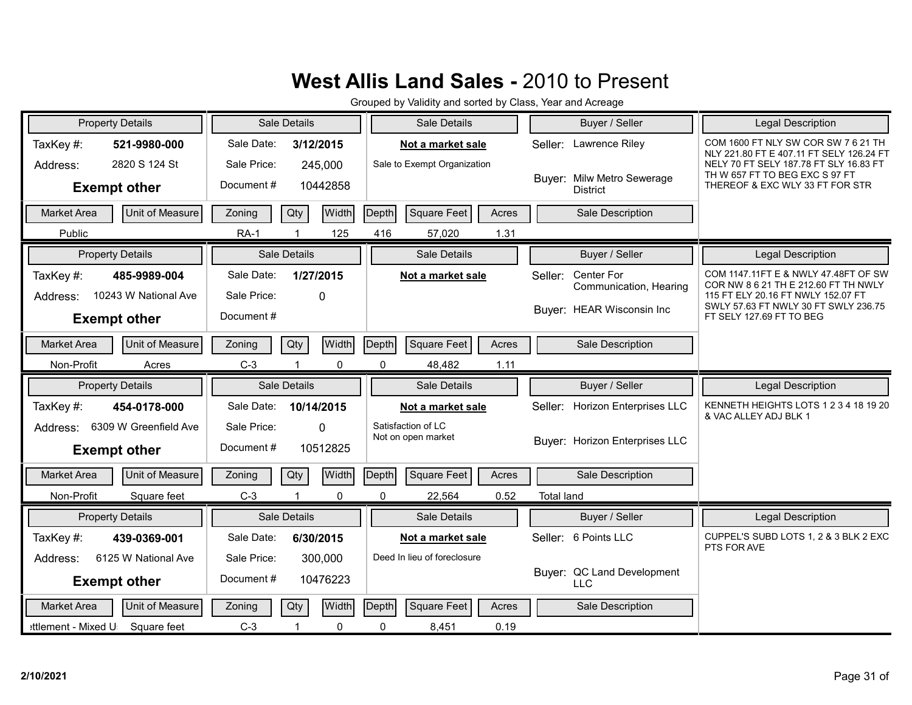| <b>Property Details</b>                      | <b>Sale Details</b>      | Sale Details                  | Buyer / Seller                                | <b>Legal Description</b>                                                        |
|----------------------------------------------|--------------------------|-------------------------------|-----------------------------------------------|---------------------------------------------------------------------------------|
| TaxKey#:<br>521-9980-000                     | Sale Date:<br>3/12/2015  | Not a market sale             | Seller: Lawrence Riley                        | COM 1600 FT NLY SW COR SW 7 6 21 TH<br>NLY 221.80 FT E 407.11 FT SELY 126.24 FT |
| 2820 S 124 St<br>Address:                    | Sale Price:<br>245,000   | Sale to Exempt Organization   |                                               | NELY 70 FT SELY 187.78 FT SLY 16.83 FT<br>TH W 657 FT TO BEG EXC S 97 FT        |
| <b>Exempt other</b>                          | Document#<br>10442858    |                               | Buyer: Milw Metro Sewerage<br><b>District</b> | THEREOF & EXC WLY 33 FT FOR STR                                                 |
| Unit of Measure<br><b>Market Area</b>        | Width<br>Qty<br>Zoning   | Depth<br>Square Feet<br>Acres | Sale Description                              |                                                                                 |
| Public                                       | 125<br><b>RA-1</b>       | 416<br>57,020<br>1.31         |                                               |                                                                                 |
| <b>Property Details</b>                      | <b>Sale Details</b>      | Sale Details                  | Buyer / Seller                                | Legal Description                                                               |
| TaxKey#:<br>485-9989-004                     | Sale Date:<br>1/27/2015  | Not a market sale             | Center For<br>Seller:                         | COM 1147.11FT E & NWLY 47.48FT OF SW<br>COR NW 8 6 21 TH E 212.60 FT TH NWLY    |
| 10243 W National Ave<br>Address:             | Sale Price:<br>$\Omega$  |                               | Communication, Hearing                        | 115 FT ELY 20.16 FT NWLY 152.07 FT                                              |
| <b>Exempt other</b>                          | Document#                |                               | Buyer: HEAR Wisconsin Inc                     | SWLY 57.63 FT NWLY 30 FT SWLY 236.75<br>FT SELY 127.69 FT TO BEG                |
| Market Area<br>Unit of Measure               | Qty<br>Width<br>Zoning   | Square Feet<br>Depth<br>Acres | Sale Description                              |                                                                                 |
| Non-Profit<br>Acres                          | $C-3$<br>0               | 0<br>48,482<br>1.11           |                                               |                                                                                 |
|                                              |                          |                               |                                               |                                                                                 |
| <b>Property Details</b>                      | Sale Details             | Sale Details                  | Buyer / Seller                                | Legal Description                                                               |
| TaxKey#:<br>454-0178-000                     | Sale Date:<br>10/14/2015 | Not a market sale             | <b>Horizon Enterprises LLC</b><br>Seller:     | KENNETH HEIGHTS LOTS 1 2 3 4 18 19 20                                           |
| 6309 W Greenfield Ave<br>Address:            | Sale Price:<br>$\Omega$  | Satisfaction of LC            |                                               | & VAC ALLEY ADJ BLK 1                                                           |
| <b>Exempt other</b>                          | Document#<br>10512825    | Not on open market            | Buver: Horizon Enterprises LLC                |                                                                                 |
| Unit of Measure<br><b>Market Area</b>        | Width<br>Zoning<br>Qty   | Depth<br>Square Feet<br>Acres | Sale Description                              |                                                                                 |
| Non-Profit<br>Square feet                    | $C-3$<br>$\Omega$<br>-1  | 0.52<br>$\Omega$<br>22,564    | <b>Total land</b>                             |                                                                                 |
| <b>Property Details</b>                      | Sale Details             | Sale Details                  | Buyer / Seller                                | <b>Legal Description</b>                                                        |
| TaxKey#:<br>439-0369-001                     | Sale Date:<br>6/30/2015  | Not a market sale             | Seller: 6 Points LLC                          | CUPPEL'S SUBD LOTS 1, 2 & 3 BLK 2 EXC                                           |
| 6125 W National Ave<br>Address:              | Sale Price:<br>300,000   | Deed In lieu of foreclosure   |                                               | PTS FOR AVE                                                                     |
| <b>Exempt other</b>                          | Document#<br>10476223    |                               | Buyer: QC Land Development<br><b>LLC</b>      |                                                                                 |
| <b>Unit of Measure</b><br><b>Market Area</b> | Width<br>Qty<br>Zoning   | Depth<br>Square Feet<br>Acres | Sale Description                              |                                                                                 |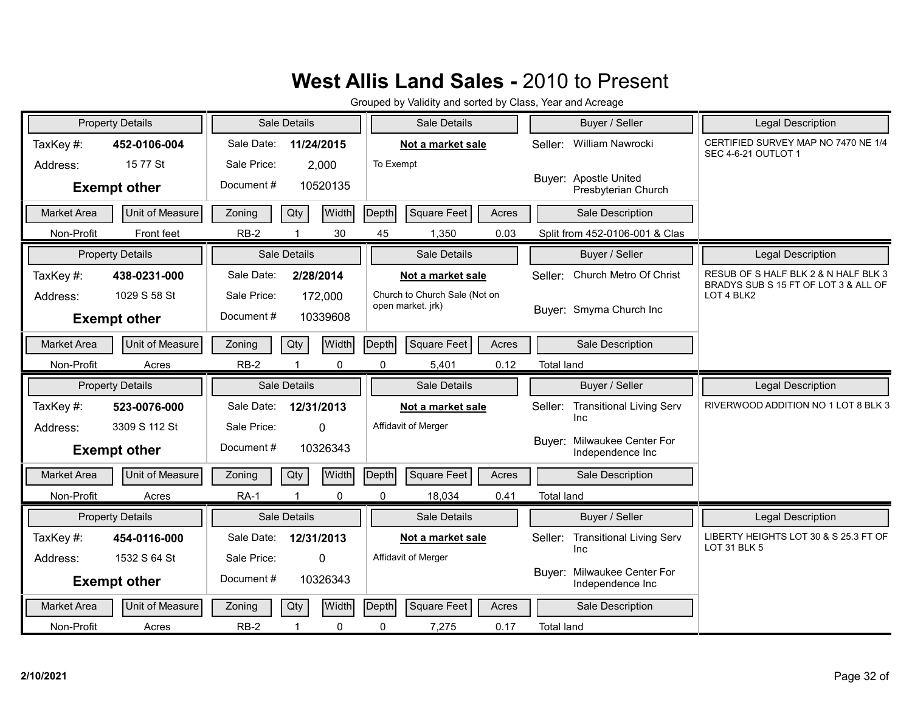|                    | <b>Property Details</b> |             | Sale Details |          |           | Sale Details                  |       |                   | Buyer / Seller                                  | <b>Legal Description</b>                                          |
|--------------------|-------------------------|-------------|--------------|----------|-----------|-------------------------------|-------|-------------------|-------------------------------------------------|-------------------------------------------------------------------|
| TaxKey#:           | 452-0106-004            | Sale Date:  | 11/24/2015   |          |           | Not a market sale             |       | Seller:           | William Nawrocki                                | CERTIFIED SURVEY MAP NO 7470 NE 1/4<br><b>SEC 4-6-21 OUTLOT 1</b> |
| Address:           | 15 77 St                | Sale Price: | 2,000        |          | To Exempt |                               |       |                   |                                                 |                                                                   |
|                    | <b>Exempt other</b>     | Document#   |              | 10520135 |           |                               |       |                   | Buyer: Apostle United<br>Presbyterian Church    |                                                                   |
| <b>Market Area</b> | Unit of Measure         | Zoning      | Qty          | Width    | Depth     | Square Feet                   | Acres |                   | Sale Description                                |                                                                   |
| Non-Profit         | Front feet              | $RB-2$      |              | 30       | 45        | 1,350                         | 0.03  |                   | Split from 452-0106-001 & Clas                  |                                                                   |
|                    | <b>Property Details</b> |             | Sale Details |          |           | <b>Sale Details</b>           |       |                   | Buyer / Seller                                  | Legal Description                                                 |
| TaxKey#:           | 438-0231-000            | Sale Date:  | 2/28/2014    |          |           | Not a market sale             |       | Seller:           | Church Metro Of Christ                          | RESUB OF S HALF BLK 2 & N HALF BLK 3                              |
| Address:           | 1029 S 58 St            | Sale Price: | 172,000      |          |           | Church to Church Sale (Not on |       |                   |                                                 | BRADYS SUB S 15 FT OF LOT 3 & ALL OF<br>LOT 4 BLK2                |
|                    | <b>Exempt other</b>     | Document#   |              | 10339608 |           | open market. jrk)             |       |                   | Buver: Smyrna Church Inc                        |                                                                   |
| <b>Market Area</b> | Unit of Measure         | Zoning      | Qty          | Width    | Depth     | <b>Square Feet</b>            | Acres |                   | Sale Description                                |                                                                   |
|                    |                         |             |              |          |           |                               |       |                   |                                                 |                                                                   |
| Non-Profit         | Acres                   | $RB-2$      |              | 0        | 0         | 5,401                         | 0.12  | <b>Total land</b> |                                                 |                                                                   |
|                    |                         |             |              |          |           |                               |       |                   |                                                 |                                                                   |
|                    | <b>Property Details</b> |             | Sale Details |          |           | Sale Details                  |       |                   | Buyer / Seller                                  | Legal Description                                                 |
| TaxKey#:           | 523-0076-000            | Sale Date:  | 12/31/2013   |          |           | Not a market sale             |       | Seller:           | <b>Transitional Living Serv</b>                 | RIVERWOOD ADDITION NO 1 LOT 8 BLK 3                               |
| Address:           | 3309 S 112 St           | Sale Price: | $\Omega$     |          |           | Affidavit of Merger           |       |                   | Inc                                             |                                                                   |
|                    | <b>Exempt other</b>     | Document#   |              | 10326343 |           |                               |       |                   | Buyer: Milwaukee Center For<br>Independence Inc |                                                                   |
| <b>Market Area</b> | Unit of Measure         | Zoning      | Qty          | Width    | Depth     | Square Feet                   | Acres |                   | Sale Description                                |                                                                   |
| Non-Profit         | Acres                   | RA-1        |              | 0        | 0         | 18,034                        | 0.41  | <b>Total land</b> |                                                 |                                                                   |
|                    | <b>Property Details</b> |             | Sale Details |          |           | Sale Details                  |       |                   | Buyer / Seller                                  | <b>Legal Description</b>                                          |
| TaxKey#:           | 454-0116-000            | Sale Date:  | 12/31/2013   |          |           | Not a market sale             |       | Seller:           | <b>Transitional Living Serv</b>                 | LIBERTY HEIGHTS LOT 30 & S 25.3 FT OF                             |
| Address:           | 1532 S 64 St            | Sale Price: | $\Omega$     |          |           | Affidavit of Merger           |       |                   | Inc                                             | LOT 31 BLK 5                                                      |
|                    | <b>Exempt other</b>     | Document#   |              | 10326343 |           |                               |       |                   | Buyer: Milwaukee Center For<br>Independence Inc |                                                                   |
| <b>Market Area</b> | Unit of Measure         | Zoning      | Qty          | Width    | Depth     | <b>Square Feet</b>            | Acres |                   | Sale Description                                |                                                                   |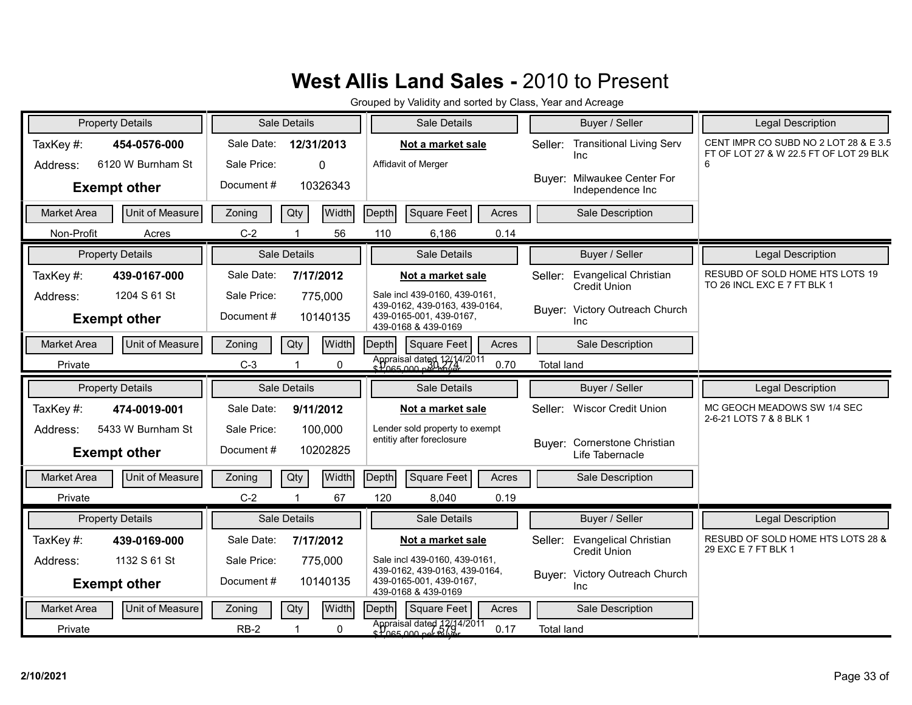| <b>Property Details</b>               | Sale Details                  | Sale Details                                                                         | Buyer / Seller                                                 | <b>Legal Description</b>                                                        |
|---------------------------------------|-------------------------------|--------------------------------------------------------------------------------------|----------------------------------------------------------------|---------------------------------------------------------------------------------|
| TaxKey#:<br>454-0576-000              | Sale Date:<br>12/31/2013      | Not a market sale                                                                    | <b>Transitional Living Serv</b><br>Seller:<br>Inc              | CENT IMPR CO SUBD NO 2 LOT 28 & E 3.5<br>FT OF LOT 27 & W 22.5 FT OF LOT 29 BLK |
| 6120 W Burnham St<br>Address:         | Sale Price:<br>0              | Affidavit of Merger                                                                  |                                                                | 6                                                                               |
| <b>Exempt other</b>                   | Document #<br>10326343        |                                                                                      | Buyer: Milwaukee Center For<br>Independence Inc                |                                                                                 |
| Unit of Measure<br>Market Area        | Qty<br>Width<br>Zoning        | Square Feet<br>Depth<br>Acres                                                        | Sale Description                                               |                                                                                 |
| Non-Profit<br>Acres                   | 56<br>$C-2$                   | 110<br>6,186<br>0.14                                                                 |                                                                |                                                                                 |
| <b>Property Details</b>               | Sale Details                  | Sale Details                                                                         | Buyer / Seller                                                 | Legal Description                                                               |
| TaxKey#:<br>439-0167-000              | Sale Date:<br>7/17/2012       | Not a market sale                                                                    | <b>Evangelical Christian</b><br>Seller:<br><b>Credit Union</b> | RESUBD OF SOLD HOME HTS LOTS 19<br>TO 26 INCL EXC E 7 FT BLK 1                  |
| 1204 S 61 St<br>Address:              | Sale Price:<br>775,000        | Sale incl 439-0160, 439-0161,<br>439-0162, 439-0163, 439-0164,                       | Buyer: Victory Outreach Church                                 |                                                                                 |
| <b>Exempt other</b>                   | Document#<br>10140135         | 439-0165-001, 439-0167,<br>439-0168 & 439-0169                                       | Inc                                                            |                                                                                 |
| Unit of Measure<br><b>Market Area</b> | Qty<br><b>Width</b><br>Zoning | Depth<br><b>Square Feet</b><br>Acres                                                 | Sale Description                                               |                                                                                 |
| Private                               | $C-3$<br>0<br>1               | Appraisal dated 12/14/2011<br>0.70                                                   | <b>Total land</b>                                              |                                                                                 |
|                                       |                               |                                                                                      |                                                                |                                                                                 |
| <b>Property Details</b>               | Sale Details                  | Sale Details                                                                         | Buyer / Seller                                                 | <b>Legal Description</b>                                                        |
| TaxKey#:<br>474-0019-001              | Sale Date:<br>9/11/2012       | Not a market sale                                                                    | Seller: Wiscor Credit Union                                    | MC GEOCH MEADOWS SW 1/4 SEC<br>2-6-21 LOTS 7 & 8 BLK 1                          |
| 5433 W Burnham St<br>Address:         | Sale Price:<br>100,000        | Lender sold property to exempt                                                       |                                                                |                                                                                 |
| <b>Exempt other</b>                   | Document#<br>10202825         | entitiv after foreclosure                                                            | Buyer: Cornerstone Christian<br>Life Tabernacle                |                                                                                 |
| <b>Market Area</b><br>Unit of Measure | Width<br>Zoning<br>Qty        | <b>Square Feet</b><br>Depth<br>Acres                                                 | Sale Description                                               |                                                                                 |
| Private                               | $C-2$<br>67                   | 120<br>0.19<br>8,040                                                                 |                                                                |                                                                                 |
| <b>Property Details</b>               | Sale Details                  | Sale Details                                                                         | Buyer / Seller                                                 | <b>Legal Description</b>                                                        |
| TaxKey#:<br>439-0169-000              | Sale Date:<br>7/17/2012       | Not a market sale                                                                    | <b>Evangelical Christian</b><br>Seller:                        | RESUBD OF SOLD HOME HTS LOTS 28 &                                               |
| 1132 S 61 St<br>Address:              | Sale Price:<br>775,000        | Sale incl 439-0160, 439-0161,                                                        | Credit Union                                                   | 29 EXC E 7 FT BLK 1                                                             |
| <b>Exempt other</b>                   | Document#<br>10140135         | 439-0162, 439-0163, 439-0164,<br>439-0165-001, 439-0167,<br>439-0168 & 439-0169      | Buyer: Victory Outreach Church<br>Inc                          |                                                                                 |
| Unit of Measure<br><b>Market Area</b> | Qty<br>Zoning<br>Width        | Depth<br>Square Feet<br>Acres<br>Appraisal dated 12/14/2011<br>strong non periativer | Sale Description                                               |                                                                                 |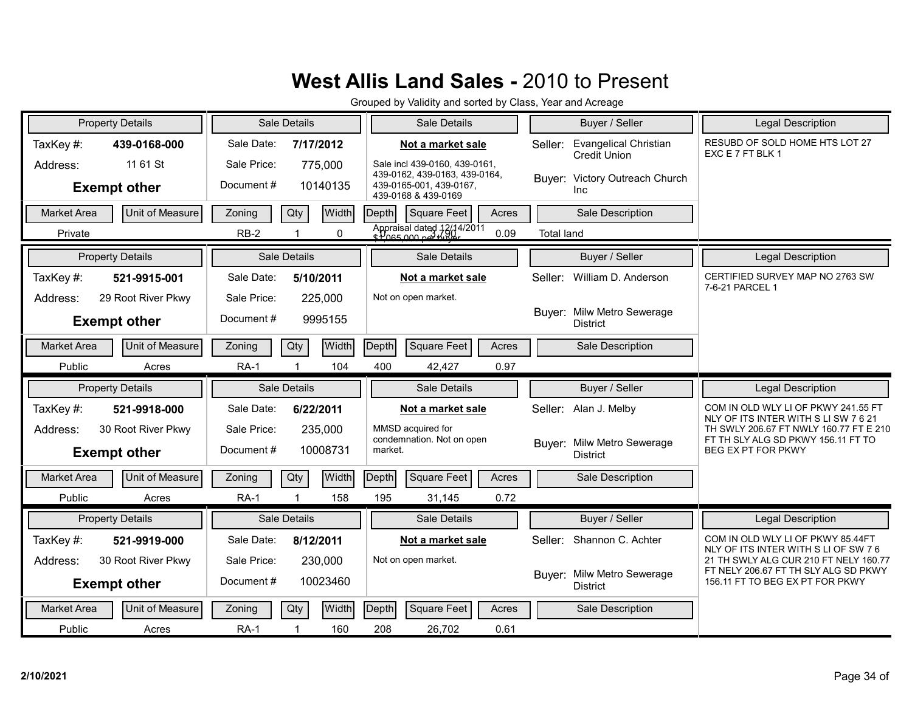| <b>Property Details</b>               | Sale Details                  | Sale Details                                                   | Buyer / Seller                                                 | <b>Legal Description</b>                                                     |
|---------------------------------------|-------------------------------|----------------------------------------------------------------|----------------------------------------------------------------|------------------------------------------------------------------------------|
| TaxKey#:<br>439-0168-000              | Sale Date:<br>7/17/2012       | Not a market sale                                              | <b>Evangelical Christian</b><br>Seller:<br><b>Credit Union</b> | RESUBD OF SOLD HOME HTS LOT 27<br>EXC E 7 FT BLK 1                           |
| 11 61 St<br>Address:                  | Sale Price:<br>775,000        | Sale incl 439-0160, 439-0161,<br>439-0162, 439-0163, 439-0164, |                                                                |                                                                              |
| <b>Exempt other</b>                   | Document#<br>10140135         | 439-0165-001, 439-0167,<br>439-0168 & 439-0169                 | Buyer: Victory Outreach Church<br><b>Inc</b>                   |                                                                              |
| Unit of Measure<br><b>Market Area</b> | <b>Width</b><br>Qty<br>Zoning | Square Feet<br>Acres<br>Depth                                  | Sale Description                                               |                                                                              |
| Private                               | $RB-2$<br>0                   | Appraisal dated 12/14/2011<br>s Poss 000 poi Minor<br>0.09     | <b>Total land</b>                                              |                                                                              |
| <b>Property Details</b>               | Sale Details                  | Sale Details                                                   | Buyer / Seller                                                 | <b>Legal Description</b>                                                     |
| TaxKey#:<br>521-9915-001              | Sale Date:<br>5/10/2011       | Not a market sale                                              | William D. Anderson<br>Seller:                                 | CERTIFIED SURVEY MAP NO 2763 SW<br>7-6-21 PARCEL 1                           |
| 29 Root River Pkwy<br>Address:        | Sale Price:<br>225,000        | Not on open market.                                            |                                                                |                                                                              |
| <b>Exempt other</b>                   | Document#<br>9995155          |                                                                | Buyer: Milw Metro Sewerage<br><b>District</b>                  |                                                                              |
| <b>Market Area</b><br>Unit of Measure | Width<br>Qty<br>Zoning        | <b>Square Feet</b><br>Depth<br>Acres                           | Sale Description                                               |                                                                              |
| Public<br>Acres                       | <b>RA-1</b><br>104            | 400<br>0.97<br>42,427                                          |                                                                |                                                                              |
|                                       |                               |                                                                |                                                                |                                                                              |
| <b>Property Details</b>               | Sale Details                  | Sale Details                                                   | Buyer / Seller                                                 | <b>Legal Description</b>                                                     |
| TaxKey#:<br>521-9918-000              | Sale Date:<br>6/22/2011       | Not a market sale                                              | Alan J. Melby<br>Seller:                                       | COM IN OLD WLY LI OF PKWY 241.55 FT                                          |
| 30 Root River Pkwy<br>Address:        | Sale Price:<br>235,000        | MMSD acquired for                                              |                                                                | NLY OF ITS INTER WITH SLISW 7621<br>TH SWLY 206.67 FT NWLY 160.77 FT E 210   |
| <b>Exempt other</b>                   | Document#<br>10008731         | condemnation. Not on open<br>market.                           | Buyer: Milw Metro Sewerage<br><b>District</b>                  | FT TH SLY ALG SD PKWY 156.11 FT TO<br>BEG EX PT FOR PKWY                     |
| Unit of Measure<br><b>Market Area</b> | <b>Width</b><br>Zoning<br>Qty | Depth<br><b>Square Feet</b><br>Acres                           | Sale Description                                               |                                                                              |
| Public<br>Acres                       | <b>RA-1</b><br>158            | 195<br>0.72<br>31,145                                          |                                                                |                                                                              |
| <b>Property Details</b>               | Sale Details                  | Sale Details                                                   | Buyer / Seller                                                 | <b>Legal Description</b>                                                     |
| TaxKey#:<br>521-9919-000              | Sale Date:<br>8/12/2011       | Not a market sale                                              | Seller: Shannon C. Achter                                      | COM IN OLD WLY LI OF PKWY 85.44FT                                            |
| 30 Root River Pkwy<br>Address:        | Sale Price:<br>230,000        | Not on open market.                                            |                                                                | NLY OF ITS INTER WITH S LI OF SW 76<br>21 TH SWLY ALG CUR 210 FT NELY 160.77 |
| <b>Exempt other</b>                   | Document#<br>10023460         |                                                                | Buyer: Milw Metro Sewerage<br><b>District</b>                  | FT NELY 206.67 FT TH SLY ALG SD PKWY<br>156.11 FT TO BEG EX PT FOR PKWY      |
| Unit of Measure<br><b>Market Area</b> | <b>Width</b><br>Zoning<br>Qty | Depth<br>Square Feet<br>Acres                                  | Sale Description                                               |                                                                              |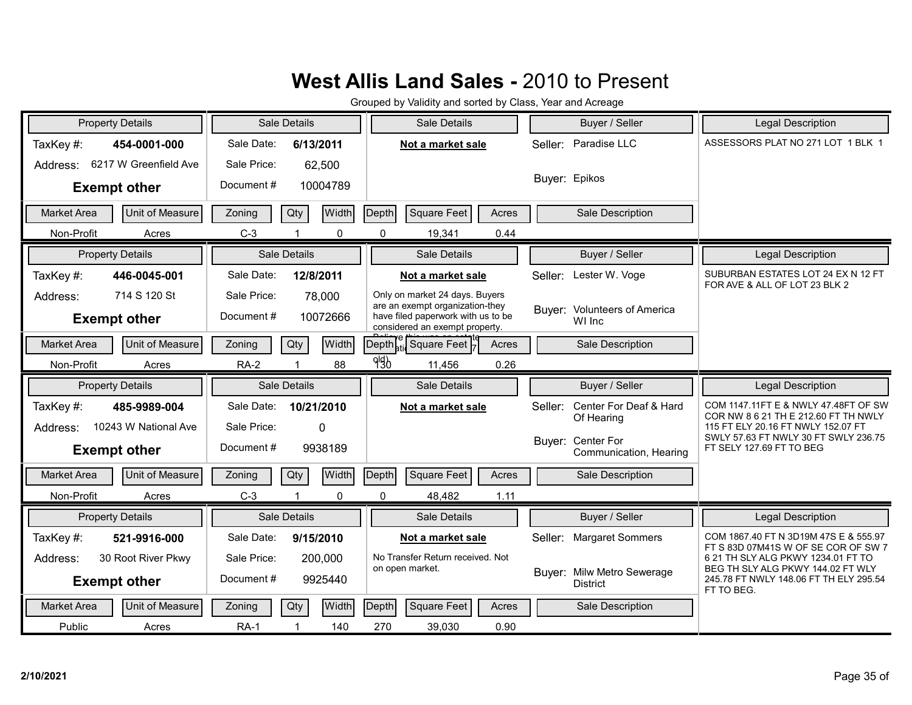|                    | <b>Property Details</b> |             | Sale Details                   |       | Sale Details                                                         |       |         | Buyer / Seller                                | <b>Legal Description</b>                                                                  |
|--------------------|-------------------------|-------------|--------------------------------|-------|----------------------------------------------------------------------|-------|---------|-----------------------------------------------|-------------------------------------------------------------------------------------------|
| TaxKey#:           | 454-0001-000            | Sale Date:  | 6/13/2011                      |       | Not a market sale                                                    |       | Seller: | Paradise LLC                                  | ASSESSORS PLAT NO 271 LOT 1 BLK 1                                                         |
| Address:           | 6217 W Greenfield Ave   | Sale Price: | 62,500                         |       |                                                                      |       |         |                                               |                                                                                           |
|                    | <b>Exempt other</b>     | Document#   | 10004789                       |       |                                                                      |       |         | Buyer: Epikos                                 |                                                                                           |
| <b>Market Area</b> | Unit of Measure         | Zoning      | Qty<br>Width                   | Depth | Square Feet                                                          | Acres |         | Sale Description                              |                                                                                           |
| Non-Profit         | Acres                   | $C-3$       | $\mathbf{0}$                   |       | 0<br>19,341                                                          | 0.44  |         |                                               |                                                                                           |
|                    | <b>Property Details</b> |             | Sale Details                   |       | Sale Details                                                         |       |         | Buyer / Seller                                | Legal Description                                                                         |
| TaxKey#:           | 446-0045-001            | Sale Date:  | 12/8/2011                      |       | Not a market sale                                                    |       |         | Seller: Lester W. Voge                        | SUBURBAN ESTATES LOT 24 EX N 12 FT<br>FOR AVE & ALL OF LOT 23 BLK 2                       |
| Address:           | 714 S 120 St            | Sale Price: | 78,000                         |       | Only on market 24 days. Buyers<br>are an exempt organization-they    |       |         |                                               |                                                                                           |
|                    | <b>Exempt other</b>     | Document#   | 10072666                       |       | have filed paperwork with us to be<br>considered an exempt property. |       |         | Buyer: Volunteers of America<br>WI Inc        |                                                                                           |
| Market Area        | Unit of Measure         | Zoning      | Qty<br>Width                   |       | Depth <sub>ati</sub> Square Feet                                     | Acres |         | Sale Description                              |                                                                                           |
| Non-Profit         | Acres                   | $RA-2$      | 88                             | 990   | 11,456                                                               | 0.26  |         |                                               |                                                                                           |
|                    |                         |             |                                |       |                                                                      |       |         |                                               |                                                                                           |
|                    | <b>Property Details</b> |             | Sale Details                   |       | <b>Sale Details</b>                                                  |       |         | Buyer / Seller                                | Legal Description                                                                         |
| TaxKey#:           | 485-9989-004            | Sale Date:  | 10/21/2010                     |       | Not a market sale                                                    |       |         | Seller: Center For Deaf & Hard                | COM 1147.11FT E & NWLY 47.48FT OF SW                                                      |
| Address:           | 10243 W National Ave    | Sale Price: | $\Omega$                       |       |                                                                      |       |         | Of Hearing                                    | COR NW 8 6 21 TH E 212.60 FT TH NWLY<br>115 FT ELY 20.16 FT NWLY 152.07 FT                |
|                    | <b>Exempt other</b>     | Document#   | 9938189                        |       |                                                                      |       |         | Buyer: Center For<br>Communication, Hearing   | SWLY 57.63 FT NWLY 30 FT SWLY 236.75<br>FT SELY 127.69 FT TO BEG                          |
| <b>Market Area</b> | Unit of Measure         | Zoning      | Width<br>Qty                   | Depth | Square Feet                                                          | Acres |         | Sale Description                              |                                                                                           |
| Non-Profit         | Acres                   | $C-3$       | $\mathbf{0}$<br>$\overline{1}$ |       | $\Omega$<br>48,482                                                   | 1.11  |         |                                               |                                                                                           |
|                    | <b>Property Details</b> |             | Sale Details                   |       | Sale Details                                                         |       |         | Buyer / Seller                                | <b>Legal Description</b>                                                                  |
| TaxKey#:           | 521-9916-000            | Sale Date:  | 9/15/2010                      |       | Not a market sale                                                    |       |         | Seller: Margaret Sommers                      | COM 1867.40 FT N 3D19M 47S E & 555.97                                                     |
| Address:           | 30 Root River Pkwy      | Sale Price: | 200,000                        |       | No Transfer Return received. Not                                     |       |         |                                               | FT S 83D 07M41S W OF SE COR OF SW 7<br>6 21 TH SLY ALG PKWY 1234.01 FT TO                 |
|                    | <b>Exempt other</b>     | Document#   | 9925440                        |       | on open market.                                                      |       |         | Buyer: Milw Metro Sewerage<br><b>District</b> | BEG TH SLY ALG PKWY 144.02 FT WLY<br>245.78 FT NWLY 148.06 FT TH ELY 295.54<br>FT TO BEG. |
| Market Area        | Unit of Measure         | Zoning      | Width<br>Qty                   | Depth | Square Feet                                                          | Acres |         | Sale Description                              |                                                                                           |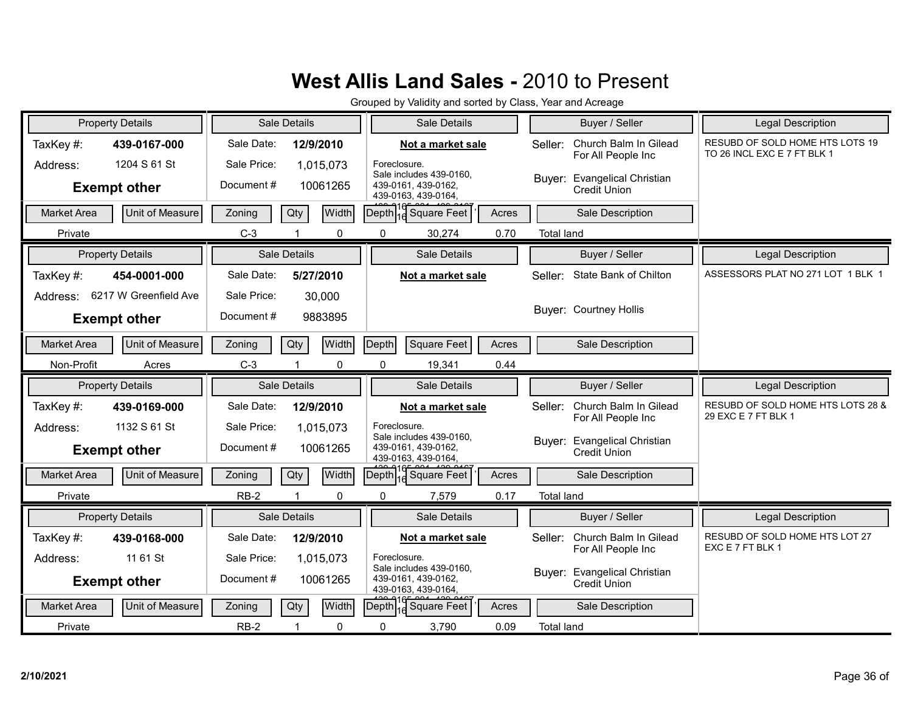| <b>Property Details</b> |                       |             | Sale Details |              |              | Sale Details                                                          |       |                   | Buyer / Seller                                      | <b>Legal Description</b>                                       |
|-------------------------|-----------------------|-------------|--------------|--------------|--------------|-----------------------------------------------------------------------|-------|-------------------|-----------------------------------------------------|----------------------------------------------------------------|
| TaxKey#:                | 439-0167-000          | Sale Date:  | 12/9/2010    |              |              | Not a market sale                                                     |       | Seller:           | Church Balm In Gilead<br>For All People Inc         | RESUBD OF SOLD HOME HTS LOTS 19<br>TO 26 INCL EXC E 7 FT BLK 1 |
| Address:                | 1204 S 61 St          | Sale Price: | 1,015,073    |              | Foreclosure. | Sale includes 439-0160,                                               |       |                   | Buyer: Evangelical Christian                        |                                                                |
| <b>Exempt other</b>     |                       | Document #  | 10061265     |              |              | 439-0161, 439-0162,<br>439-0163, 439-0164.                            |       |                   | <b>Credit Union</b>                                 |                                                                |
| <b>Market Area</b>      | Unit of Measure       | Zoning      | Qty          | <b>Width</b> | Depth        | <sup>1</sup> Square Feet                                              | Acres |                   | Sale Description                                    |                                                                |
| Private                 |                       | $C-3$       |              | 0            | 0            | 30,274                                                                | 0.70  | <b>Total land</b> |                                                     |                                                                |
| <b>Property Details</b> |                       |             | Sale Details |              |              | Sale Details                                                          |       |                   | Buyer / Seller                                      | <b>Legal Description</b>                                       |
| TaxKey#:                | 454-0001-000          | Sale Date:  | 5/27/2010    |              |              | Not a market sale                                                     |       |                   | Seller: State Bank of Chilton                       | ASSESSORS PLAT NO 271 LOT 1 BLK 1                              |
| Address:                | 6217 W Greenfield Ave | Sale Price: | 30,000       |              |              |                                                                       |       |                   |                                                     |                                                                |
| <b>Exempt other</b>     |                       | Document #  | 9883895      |              |              |                                                                       |       |                   | <b>Buyer: Courtney Hollis</b>                       |                                                                |
| <b>Market Area</b>      | Unit of Measure       | Zoning      | Qty          | Width        | Depth        | Square Feet                                                           | Acres |                   | Sale Description                                    |                                                                |
| Non-Profit              | Acres                 | $C-3$       |              | 0            | 0            | 19,341                                                                | 0.44  |                   |                                                     |                                                                |
|                         |                       |             |              |              |              |                                                                       |       |                   |                                                     |                                                                |
| <b>Property Details</b> |                       |             | Sale Details |              |              | <b>Sale Details</b>                                                   |       |                   | Buyer / Seller                                      | <b>Legal Description</b>                                       |
| TaxKey#:                | 439-0169-000          | Sale Date:  | 12/9/2010    |              |              | Not a market sale                                                     |       | Seller:           | Church Balm In Gilead                               | RESUBD OF SOLD HOME HTS LOTS 28 &                              |
| Address:                | 1132 S 61 St          | Sale Price: | 1,015,073    |              | Foreclosure. |                                                                       |       |                   | For All People Inc                                  | 29 EXC E 7 FT BLK 1                                            |
| <b>Exempt other</b>     |                       | Document#   | 10061265     |              |              | Sale includes 439-0160,<br>439-0161, 439-0162,<br>439-0163, 439-0164, |       | Buyer:            | <b>Evangelical Christian</b><br><b>Credit Union</b> |                                                                |
| <b>Market Area</b>      | Unit of Measure       | Zoning      | Qty          | Width        | Depth        | 10 Square Feet                                                        | Acres |                   | Sale Description                                    |                                                                |
| Private                 |                       | $RB-2$      |              | 0            | $\Omega$     | 7,579                                                                 | 0.17  | <b>Total land</b> |                                                     |                                                                |
| <b>Property Details</b> |                       |             | Sale Details |              |              | Sale Details                                                          |       |                   | Buyer / Seller                                      | <b>Legal Description</b>                                       |
| TaxKey#:                | 439-0168-000          | Sale Date:  | 12/9/2010    |              |              | Not a market sale                                                     |       | Seller:           | Church Balm In Gilead                               | RESUBD OF SOLD HOME HTS LOT 27                                 |
| Address:                | 11 61 St              | Sale Price: | 1,015,073    |              | Foreclosure. |                                                                       |       |                   | For All People Inc                                  | EXC E 7 FT BLK 1                                               |
| <b>Exempt other</b>     |                       | Document#   | 10061265     |              |              | Sale includes 439-0160.<br>439-0161, 439-0162,<br>439-0163, 439-0164, |       | Buyer:            | <b>Evangelical Christian</b><br><b>Credit Union</b> |                                                                |
| <b>Market Area</b>      | Unit of Measure       | Zoning      | Qty          | <b>Width</b> | Depth        | 19 Square Feet                                                        | Acres |                   | Sale Description                                    |                                                                |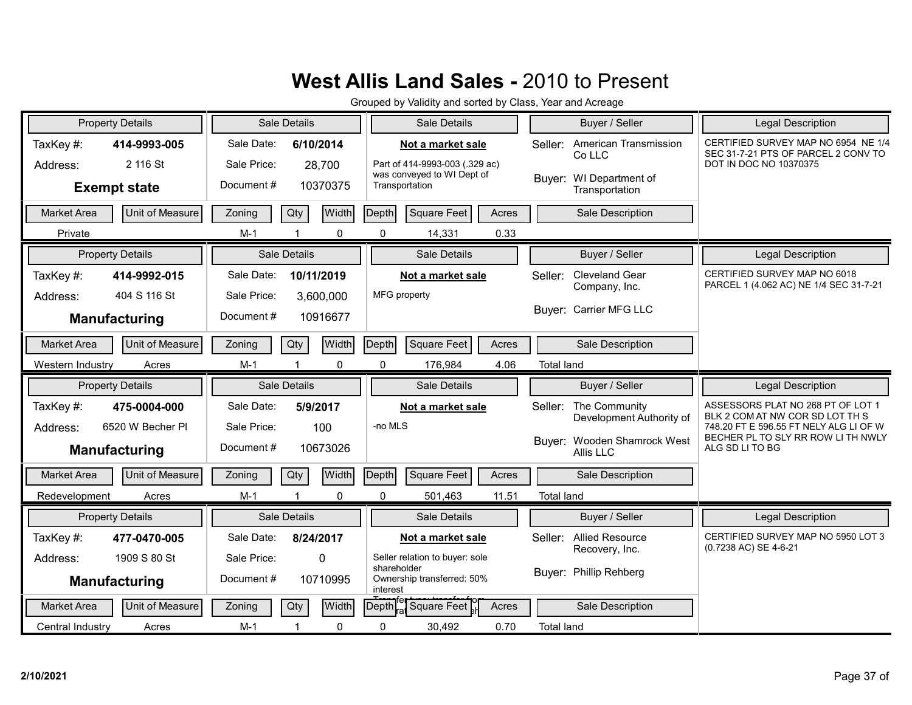|                      | <b>Property Details</b>  |                           | Sale Details        |          |                         | Sale Details                                                                      |       |                   | Buyer / Seller                            | <b>Legal Description</b>                                                                             |
|----------------------|--------------------------|---------------------------|---------------------|----------|-------------------------|-----------------------------------------------------------------------------------|-------|-------------------|-------------------------------------------|------------------------------------------------------------------------------------------------------|
| TaxKey#:<br>Address: | 414-9993-005<br>2 116 St | Sale Date:<br>Sale Price: | 6/10/2014<br>28,700 |          |                         | Not a market sale<br>Part of 414-9993-003 (.329 ac)<br>was conveyed to WI Dept of |       | Seller:           | American Transmission<br>Co LLC           | CERTIFIED SURVEY MAP NO 6954 NE 1/4<br>SEC 31-7-21 PTS OF PARCEL 2 CONV TO<br>DOT IN DOC NO 10370375 |
|                      | <b>Exempt state</b>      | Document#                 |                     | 10370375 |                         | Transportation                                                                    |       |                   | Buyer: WI Department of<br>Transportation |                                                                                                      |
| <b>Market Area</b>   | Unit of Measure          | Zoning                    | Qty                 | Width    | Depth                   | Square Feet                                                                       | Acres |                   | Sale Description                          |                                                                                                      |
| Private              |                          | $M-1$                     |                     | 0        | 0                       | 14,331                                                                            | 0.33  |                   |                                           |                                                                                                      |
|                      | <b>Property Details</b>  |                           | Sale Details        |          |                         | Sale Details                                                                      |       |                   | Buyer / Seller                            | <b>Legal Description</b>                                                                             |
| TaxKey#:             | 414-9992-015             | Sale Date:                | 10/11/2019          |          |                         | Not a market sale                                                                 |       | Seller:           | Cleveland Gear<br>Company, Inc.           | CERTIFIED SURVEY MAP NO 6018<br>PARCEL 1 (4.062 AC) NE 1/4 SEC 31-7-21                               |
| Address:             | 404 S 116 St             | Sale Price:               | 3,600,000           |          |                         | MFG property                                                                      |       |                   |                                           |                                                                                                      |
|                      | Manufacturing            | Document#                 |                     | 10916677 |                         |                                                                                   |       |                   | Buyer: Carrier MFG LLC                    |                                                                                                      |
| <b>Market Area</b>   | Unit of Measure          | Zoning                    | Qty                 | Width    | Depth                   | Square Feet                                                                       | Acres |                   | Sale Description                          |                                                                                                      |
| Western Industry     | Acres                    | $M-1$                     |                     | 0        | 0                       | 176,984                                                                           | 4.06  | <b>Total land</b> |                                           |                                                                                                      |
|                      |                          |                           |                     |          |                         |                                                                                   |       |                   |                                           |                                                                                                      |
|                      | <b>Property Details</b>  |                           | Sale Details        |          |                         | Sale Details                                                                      |       |                   | Buyer / Seller                            | Legal Description                                                                                    |
| TaxKey #:            | 475-0004-000             | Sale Date:                | 5/9/2017            |          |                         | Not a market sale                                                                 |       |                   | Seller: The Community                     | ASSESSORS PLAT NO 268 PT OF LOT 1<br>BLK 2 COM AT NW COR SD LOT TH S                                 |
| Address:             | 6520 W Becher PI         | Sale Price:               | 100                 |          | -no MLS                 |                                                                                   |       |                   | Development Authority of                  | 748.20 FT E 596.55 FT NELY ALG LI OF W                                                               |
|                      | <b>Manufacturing</b>     | Document#                 |                     | 10673026 |                         |                                                                                   |       |                   | Buyer: Wooden Shamrock West<br>Allis LLC  | BECHER PL TO SLY RR ROW LI TH NWLY<br>ALG SD LI TO BG                                                |
| <b>Market Area</b>   | Unit of Measure          | Zoning                    | Qty                 | Width    | Depth                   | Square Feet                                                                       | Acres |                   | Sale Description                          |                                                                                                      |
| Redevelopment        | Acres                    | $M-1$                     |                     | $\Omega$ | $\Omega$                | 501,463                                                                           | 11.51 | <b>Total land</b> |                                           |                                                                                                      |
|                      | <b>Property Details</b>  |                           | Sale Details        |          |                         | Sale Details                                                                      |       |                   | Buyer / Seller                            | <b>Legal Description</b>                                                                             |
| TaxKey#:             | 477-0470-005             | Sale Date:                | 8/24/2017           |          |                         | Not a market sale                                                                 |       | Seller:           | <b>Allied Resource</b>                    | CERTIFIED SURVEY MAP NO 5950 LOT 3                                                                   |
| Address:             | 1909 S 80 St             | Sale Price:               | $\Omega$            |          |                         | Seller relation to buyer: sole                                                    |       |                   | Recovery, Inc.                            | (0.7238 AC) SE 4-6-21                                                                                |
|                      | Manufacturing            | Document#                 |                     | 10710995 | shareholder<br>interest | Ownership transferred: 50%                                                        |       |                   | Buyer: Phillip Rehberg                    |                                                                                                      |
| <b>Market Area</b>   | Unit of Measure          | Zoning                    | Qty                 | Width    | Depth                   | Square Feet                                                                       | Acres |                   | Sale Description                          |                                                                                                      |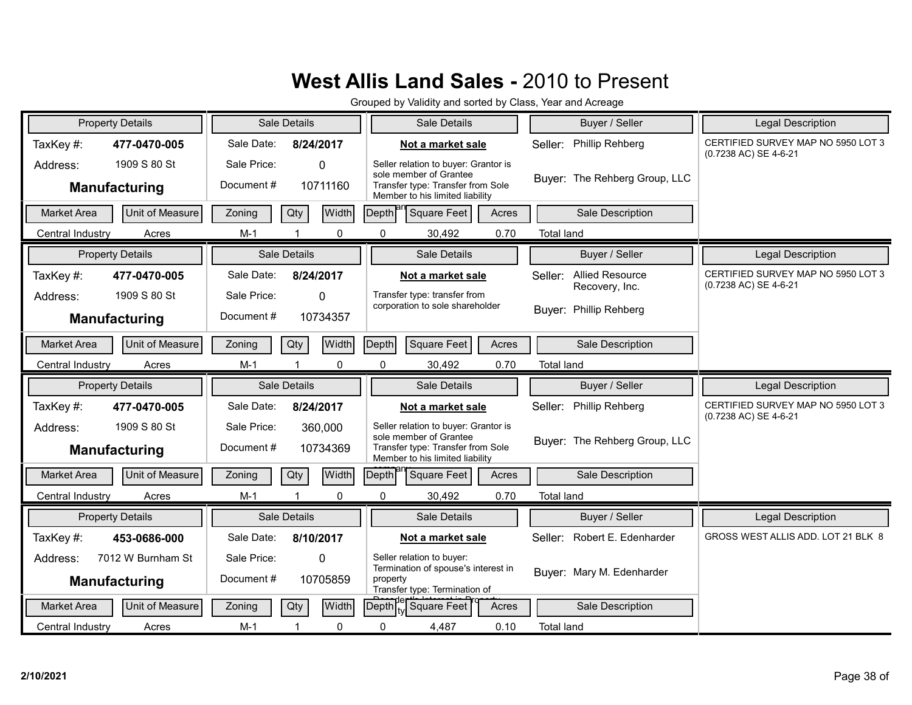| <b>Property Details</b>          |                              |                           | Sale Details          |                                                     | Sale Details                                                                                                                           |       | Buyer / Seller                                      | <b>Legal Description</b>                                    |
|----------------------------------|------------------------------|---------------------------|-----------------------|-----------------------------------------------------|----------------------------------------------------------------------------------------------------------------------------------------|-------|-----------------------------------------------------|-------------------------------------------------------------|
| TaxKey#:                         | 477-0470-005                 | Sale Date:                | 8/24/2017             |                                                     | Not a market sale                                                                                                                      |       | Phillip Rehberg<br>Seller:                          | CERTIFIED SURVEY MAP NO 5950 LOT 3<br>(0.7238 AC) SE 4-6-21 |
| Address:<br><b>Manufacturing</b> | 1909 S 80 St                 | Sale Price:<br>Document#  | $\Omega$<br>10711160  |                                                     | Seller relation to buyer: Grantor is<br>sole member of Grantee<br>Transfer type: Transfer from Sole<br>Member to his limited liability |       | Buver: The Rehberg Group, LLC                       |                                                             |
| Market Area                      | Unit of Measure              | Zoning                    | Width<br>Qty          | Depth <sup>al</sup>                                 | <b>Square Feet</b>                                                                                                                     | Acres | Sale Description                                    |                                                             |
| Central Industry                 | Acres                        | $M-1$                     | 0                     | 0                                                   | 30,492                                                                                                                                 | 0.70  | <b>Total land</b>                                   |                                                             |
| <b>Property Details</b>          |                              |                           | Sale Details          |                                                     | Sale Details                                                                                                                           |       | Buyer / Seller                                      | <b>Legal Description</b>                                    |
| TaxKey#:<br>Address:             | 477-0470-005<br>1909 S 80 St | Sale Date:<br>Sale Price: | 8/24/2017<br>$\Omega$ |                                                     | Not a market sale<br>Transfer type: transfer from                                                                                      |       | <b>Allied Resource</b><br>Seller:<br>Recovery, Inc. | CERTIFIED SURVEY MAP NO 5950 LOT 3<br>(0.7238 AC) SE 4-6-21 |
| <b>Manufacturing</b>             |                              | Document#                 | 10734357              |                                                     | corporation to sole shareholder                                                                                                        |       | Buyer: Phillip Rehberg                              |                                                             |
| <b>Market Area</b>               | Unit of Measure              | Zoning                    | Width<br>Qty          | Depth                                               | <b>Square Feet</b>                                                                                                                     | Acres | Sale Description                                    |                                                             |
| Central Industry                 | Acres                        | $M-1$                     | 0                     | 0                                                   | 30,492                                                                                                                                 | 0.70  | <b>Total land</b>                                   |                                                             |
|                                  |                              |                           |                       |                                                     |                                                                                                                                        |       |                                                     |                                                             |
| <b>Property Details</b>          |                              |                           | Sale Details          |                                                     | Sale Details                                                                                                                           |       | Buyer / Seller                                      | Legal Description                                           |
| TaxKey#:                         | 477-0470-005                 | Sale Date:                | 8/24/2017             |                                                     | Not a market sale                                                                                                                      |       | Phillip Rehberg<br>Seller:                          | CERTIFIED SURVEY MAP NO 5950 LOT 3                          |
| Address:<br><b>Manufacturing</b> | 1909 S 80 St                 | Sale Price:<br>Document#  | 360,000<br>10734369   |                                                     | Seller relation to buyer: Grantor is<br>sole member of Grantee<br>Transfer type: Transfer from Sole<br>Member to his limited liability |       | Buyer: The Rehberg Group, LLC                       | (0.7238 AC) SE 4-6-21                                       |
| <b>Market Area</b>               | <b>Unit of Measure</b>       | Zoning                    | Width<br>Qty          | Depth                                               | Square Feet                                                                                                                            | Acres | Sale Description                                    |                                                             |
| Central Industry                 | Acres                        | $M-1$                     | 0                     | 0                                                   | 30,492                                                                                                                                 | 0.70  | <b>Total land</b>                                   |                                                             |
| <b>Property Details</b>          |                              |                           | <b>Sale Details</b>   |                                                     | Sale Details                                                                                                                           |       | Buyer / Seller                                      | <b>Legal Description</b>                                    |
| TaxKey#:                         | 453-0686-000                 | Sale Date:                | 8/10/2017             |                                                     | Not a market sale                                                                                                                      |       | Robert E. Edenharder<br>Seller:                     | GROSS WEST ALLIS ADD. LOT 21 BLK 8                          |
| Address:<br><b>Manufacturing</b> | 7012 W Burnham St            | Sale Price:<br>Document#  | $\Omega$<br>10705859  | property                                            | Seller relation to buyer:<br>Termination of spouse's interest in<br>Transfer type: Termination of                                      |       | Buyer: Mary M. Edenharder                           |                                                             |
| <b>Market Area</b>               | Unit of Measure              | Zoning                    | Width<br>Qty          | $\left[\text{Depth}\right]_{\text{tv}}^{\text{pe}}$ | <b>Square Feet</b>                                                                                                                     | Acres | Sale Description                                    |                                                             |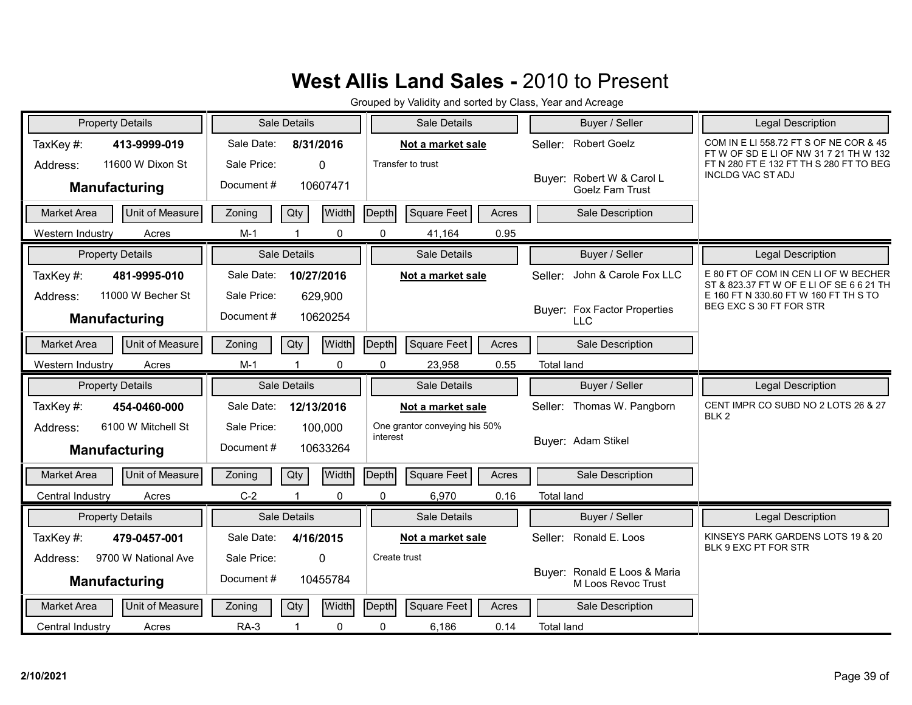| <b>Property Details</b>                               | Sale Details                                    | Sale Details                         | Buyer / Seller                                      | Legal Description                                                                |
|-------------------------------------------------------|-------------------------------------------------|--------------------------------------|-----------------------------------------------------|----------------------------------------------------------------------------------|
| TaxKey#:<br>413-9999-019                              | Sale Date:<br>8/31/2016                         | Not a market sale                    | <b>Robert Goelz</b><br>Seller:                      | COM IN E LI 558.72 FT S OF NE COR & 45<br>FT W OF SD E LI OF NW 31 7 21 TH W 132 |
| 11600 W Dixon St<br>Address:                          | Sale Price:<br>$\Omega$                         | Transfer to trust                    |                                                     | FT N 280 FT E 132 FT TH S 280 FT TO BEG<br><b>INCLDG VAC STADJ</b>               |
| <b>Manufacturing</b>                                  | Document#<br>10607471                           |                                      | Buyer: Robert W & Carol L<br><b>Goelz Fam Trust</b> |                                                                                  |
| Unit of Measure<br><b>Market Area</b>                 | <b>Width</b><br>Qty<br>Zoning                   | Square Feet<br>Depth<br>Acres        | Sale Description                                    |                                                                                  |
| Acres<br>Western Industry                             | $M-1$<br>0                                      | $\mathbf{0}$<br>41,164<br>0.95       |                                                     |                                                                                  |
| <b>Property Details</b>                               | Sale Details                                    | <b>Sale Details</b>                  | Buyer / Seller                                      | <b>Legal Description</b>                                                         |
| TaxKey#:<br>481-9995-010                              | Sale Date:<br>10/27/2016                        | Not a market sale                    | John & Carole Fox LLC<br>Seller:                    | E 80 FT OF COM IN CEN LI OF W BECHER<br>ST & 823.37 FT W OF E LI OF SE 6 6 21 TH |
| 11000 W Becher St<br>Address:<br><b>Manufacturing</b> | Sale Price:<br>629,900<br>Document#<br>10620254 |                                      | Buyer: Fox Factor Properties<br><b>LLC</b>          | E 160 FT N 330.60 FT W 160 FT TH S TO<br>BEG EXC S 30 FT FOR STR                 |
|                                                       |                                                 |                                      |                                                     |                                                                                  |
| Unit of Measure<br><b>Market Area</b>                 | Width<br>Qty<br>Zoning                          | Depth<br>Square Feet<br>Acres        | Sale Description                                    |                                                                                  |
| Western Industry<br>Acres                             | $M-1$<br>0                                      | 0<br>23,958<br>0.55                  | <b>Total land</b>                                   |                                                                                  |
| <b>Property Details</b>                               | Sale Details                                    | Sale Details                         | Buyer / Seller                                      | <b>Legal Description</b>                                                         |
|                                                       |                                                 | Not a market sale                    | Seller: Thomas W. Pangborn                          | CENT IMPR CO SUBD NO 2 LOTS 26 & 27                                              |
| TaxKey#:<br>454-0460-000                              | Sale Date:<br>12/13/2016                        |                                      |                                                     |                                                                                  |
| 6100 W Mitchell St<br>Address:                        | Sale Price:<br>100,000                          | One grantor conveying his 50%        |                                                     | BLK <sub>2</sub>                                                                 |
| Manufacturing                                         | Document#<br>10633264                           | interest                             | Buyer: Adam Stikel                                  |                                                                                  |
| <b>Unit of Measure</b><br><b>Market Area</b>          | Width<br>Qty<br>Zoning                          | Depth<br>Square Feet<br>Acres        | Sale Description                                    |                                                                                  |
| Central Industry<br>Acres                             | $C-2$<br>$\Omega$<br>$\blacktriangleleft$       | $\Omega$<br>6,970<br>0.16            | <b>Total land</b>                                   |                                                                                  |
| <b>Property Details</b>                               | Sale Details                                    | Sale Details                         | Buyer / Seller                                      | <b>Legal Description</b>                                                         |
| TaxKey#:<br>479-0457-001                              | Sale Date:<br>4/16/2015                         | Not a market sale                    | Seller: Ronald E. Loos                              | KINSEYS PARK GARDENS LOTS 19 & 20                                                |
| 9700 W National Ave<br>Address:                       | Sale Price:<br>$\Omega$                         | Create trust                         |                                                     | BLK 9 EXC PT FOR STR                                                             |
| <b>Manufacturing</b>                                  | Document#<br>10455784                           |                                      | Buyer: Ronald E Loos & Maria<br>M Loos Revoc Trust  |                                                                                  |
| <b>Market Area</b><br>Unit of Measure                 | Width<br>Qty<br>Zoning                          | <b>Depth</b><br>Square Feet<br>Acres | Sale Description                                    |                                                                                  |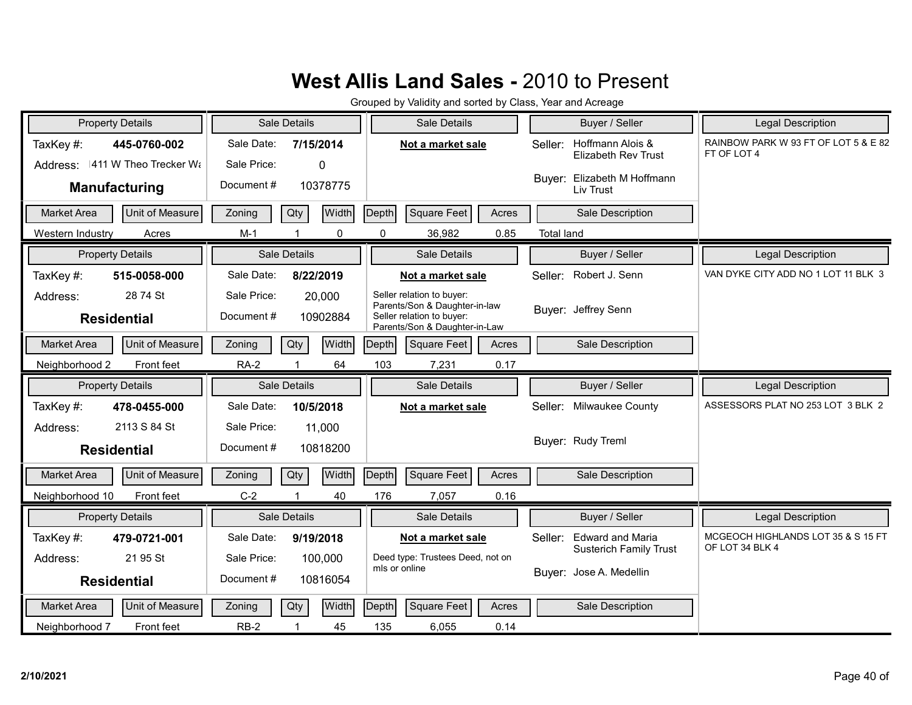| <b>Property Details</b>               |             | Sale Details        | Sale Details                                               | Buyer / Seller                                            | <b>Legal Description</b>                            |
|---------------------------------------|-------------|---------------------|------------------------------------------------------------|-----------------------------------------------------------|-----------------------------------------------------|
| TaxKey#:<br>445-0760-002              | Sale Date:  | 7/15/2014           | Not a market sale                                          | Hoffmann Alois &<br>Seller:<br><b>Elizabeth Rev Trust</b> | RAINBOW PARK W 93 FT OF LOT 5 & E 82<br>FT OF LOT 4 |
| Address: 411 W Theo Trecker Wa        | Sale Price: | $\Omega$            |                                                            | Buyer: Elizabeth M Hoffmann                               |                                                     |
| <b>Manufacturing</b>                  | Document#   | 10378775            |                                                            | Liv Trust                                                 |                                                     |
| <b>Market Area</b><br>Unit of Measure | Zoning      | Qty<br><b>Width</b> | Square Feet<br>Depth<br>Acres                              | Sale Description                                          |                                                     |
| Acres<br>Western Industry             | $M-1$       | $\Omega$            | $\Omega$<br>36,982<br>0.85                                 | <b>Total land</b>                                         |                                                     |
| <b>Property Details</b>               |             | Sale Details        | Sale Details                                               | Buyer / Seller                                            | Legal Description                                   |
| TaxKey#:<br>515-0058-000              | Sale Date:  | 8/22/2019           | Not a market sale                                          | Robert J. Senn<br>Seller:                                 | VAN DYKE CITY ADD NO 1 LOT 11 BLK 3                 |
| 28 74 St<br>Address:                  | Sale Price: | 20,000              | Seller relation to buyer:<br>Parents/Son & Daughter-in-law |                                                           |                                                     |
| <b>Residential</b>                    | Document#   | 10902884            | Seller relation to buyer:<br>Parents/Son & Daughter-in-Law | Buyer: Jeffrey Senn                                       |                                                     |
| Unit of Measure<br><b>Market Area</b> | Zoning      | Width<br>Qty        | Depth<br>Square Feet<br>Acres                              | Sale Description                                          |                                                     |
| Neighborhood 2<br>Front feet          | <b>RA-2</b> | 64                  | 103<br>0.17<br>7,231                                       |                                                           |                                                     |
|                                       |             |                     |                                                            |                                                           |                                                     |
| <b>Property Details</b>               |             | Sale Details        | Sale Details                                               | Buyer / Seller                                            | <b>Legal Description</b>                            |
| TaxKey#:<br>478-0455-000              | Sale Date:  | 10/5/2018           | Not a market sale                                          | Milwaukee County<br>Seller:                               | ASSESSORS PLAT NO 253 LOT 3 BLK 2                   |
| 2113 S 84 St<br>Address:              | Sale Price: | 11,000              |                                                            |                                                           |                                                     |
| <b>Residential</b>                    | Document #  | 10818200            |                                                            | Buver: Rudy Treml                                         |                                                     |
| Unit of Measure<br>Market Area        | Zoning      | Width<br>Qty        | Square Feet<br>Depth<br>Acres                              | Sale Description                                          |                                                     |
| Neighborhood 10<br>Front feet         | $C-2$       | 40                  | 176<br>7,057<br>0.16                                       |                                                           |                                                     |
| <b>Property Details</b>               |             | <b>Sale Details</b> | Sale Details                                               | Buyer / Seller                                            | <b>Legal Description</b>                            |
| TaxKey#:<br>479-0721-001              | Sale Date:  | 9/19/2018           | Not a market sale                                          | <b>Edward and Maria</b><br>Seller:                        | MCGEOCH HIGHLANDS LOT 35 & S 15 FT                  |
| 21 95 St<br>Address:                  | Sale Price: | 100,000             | Deed type: Trustees Deed, not on                           | <b>Susterich Family Trust</b>                             | OF LOT 34 BLK 4                                     |
| <b>Residential</b>                    | Document#   | 10816054            | mls or online                                              | Buyer: Jose A. Medellin                                   |                                                     |
| Unit of Measure<br><b>Market Area</b> | Zoning      | Qty<br>Width        | <b>Square Feet</b><br>Depth<br>Acres                       | Sale Description                                          |                                                     |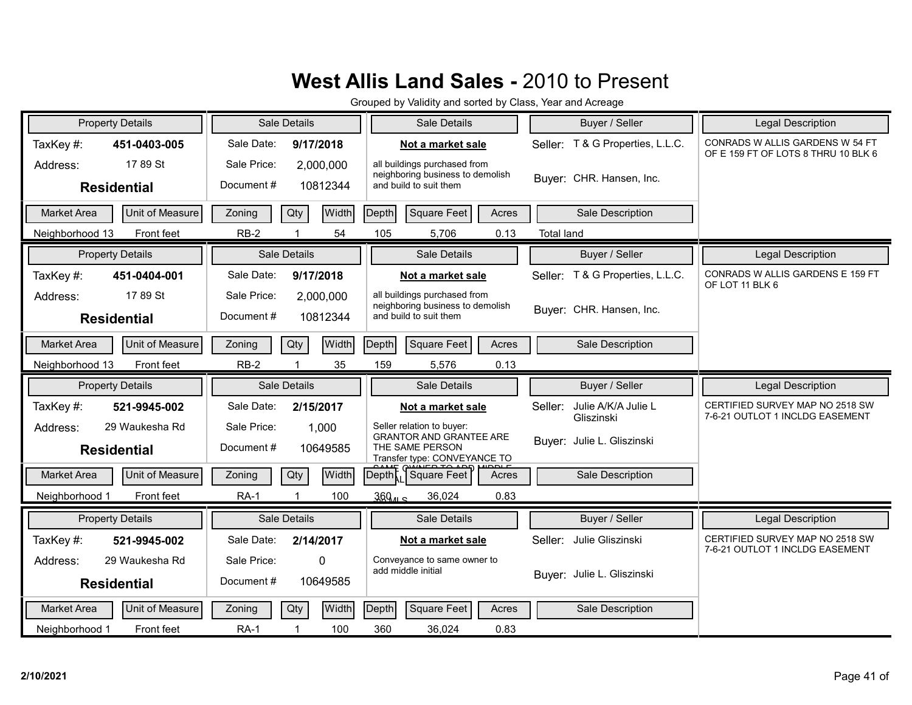| <b>Property Details</b>               | <b>Sale Details</b>         | Sale Details                                                     | Buyer / Seller                               | <b>Legal Description</b>                                               |
|---------------------------------------|-----------------------------|------------------------------------------------------------------|----------------------------------------------|------------------------------------------------------------------------|
| TaxKey#:<br>451-0403-005              | Sale Date:<br>9/17/2018     | Not a market sale                                                | Seller: T & G Properties, L.L.C.             | CONRADS W ALLIS GARDENS W 54 FT<br>OF E 159 FT OF LOTS 8 THRU 10 BLK 6 |
| 1789 St<br>Address:                   | Sale Price:<br>2,000,000    | all buildings purchased from<br>neighboring business to demolish |                                              |                                                                        |
| <b>Residential</b>                    | Document#<br>10812344       | and build to suit them                                           | Buyer: CHR. Hansen, Inc.                     |                                                                        |
| Unit of Measure<br><b>Market Area</b> | Width<br>Qty<br>Zoning      | Depth<br>Square Feet<br>Acres                                    | Sale Description                             |                                                                        |
| Neighborhood 13<br>Front feet         | $RB-2$<br>54<br>$\mathbf 1$ | 105<br>5,706<br>0.13                                             | <b>Total land</b>                            |                                                                        |
| <b>Property Details</b>               | Sale Details                | Sale Details                                                     | Buyer / Seller                               | <b>Legal Description</b>                                               |
| TaxKey#:<br>451-0404-001              | Sale Date:<br>9/17/2018     | Not a market sale                                                | Seller: T & G Properties, L.L.C.             | CONRADS W ALLIS GARDENS E 159 FT<br>OF LOT 11 BLK 6                    |
| 17 89 St<br>Address:                  | Sale Price:<br>2,000,000    | all buildings purchased from<br>neighboring business to demolish |                                              |                                                                        |
| <b>Residential</b>                    | Document#<br>10812344       | and build to suit them                                           | Buyer: CHR. Hansen, Inc.                     |                                                                        |
| Unit of Measure<br><b>Market Area</b> | Width<br>Qty<br>Zoning      | Depth<br>Square Feet<br>Acres                                    | Sale Description                             |                                                                        |
| Neighborhood 13<br>Front feet         | $RB-2$<br>35                | 159<br>0.13<br>5,576                                             |                                              |                                                                        |
| <b>Property Details</b>               | Sale Details                | Sale Details                                                     | Buyer / Seller                               | <b>Legal Description</b>                                               |
| TaxKey#:<br>521-9945-002              | Sale Date:<br>2/15/2017     | Not a market sale                                                | Julie A/K/A Julie L<br>Seller:<br>Gliszinski | CERTIFIED SURVEY MAP NO 2518 SW<br>7-6-21 OUTLOT 1 INCLDG EASEMENT     |
| 29 Waukesha Rd<br>Address:            | Sale Price:<br>1,000        | Seller relation to buyer:<br><b>GRANTOR AND GRANTEE ARE</b>      |                                              |                                                                        |
| <b>Residential</b>                    | Document#<br>10649585       | THE SAME PERSON<br>Transfer type: CONVEYANCE TO                  | Buyer: Julie L. Gliszinski                   |                                                                        |
| <b>Unit of Measure</b><br>Market Area | Width<br>Qty<br>Zoning      | Deptht, Square Feet<br>Acres                                     | Sale Description                             |                                                                        |
| Neighborhood 1<br>Front feet          | <b>RA-1</b><br>100          | 369 <sub>115</sub><br>36,024<br>0.83                             |                                              |                                                                        |
| <b>Property Details</b>               | Sale Details                | Sale Details                                                     | Buyer / Seller                               | Legal Description                                                      |
| TaxKey#:<br>521-9945-002              | Sale Date:<br>2/14/2017     | Not a market sale                                                | Julie Gliszinski<br>Seller:                  | CERTIFIED SURVEY MAP NO 2518 SW<br>7-6-21 OUTLOT 1 INCLDG EASEMENT     |
| 29 Waukesha Rd<br>Address:            | Sale Price:<br>0            | Conveyance to same owner to<br>add middle initial                |                                              |                                                                        |
| <b>Residential</b>                    | Document#<br>10649585       |                                                                  | Buyer: Julie L. Gliszinski                   |                                                                        |
|                                       |                             |                                                                  |                                              |                                                                        |
| Unit of Measure<br><b>Market Area</b> | Width<br>Qty<br>Zoning      | Depth<br>Square Feet<br>Acres                                    | Sale Description                             |                                                                        |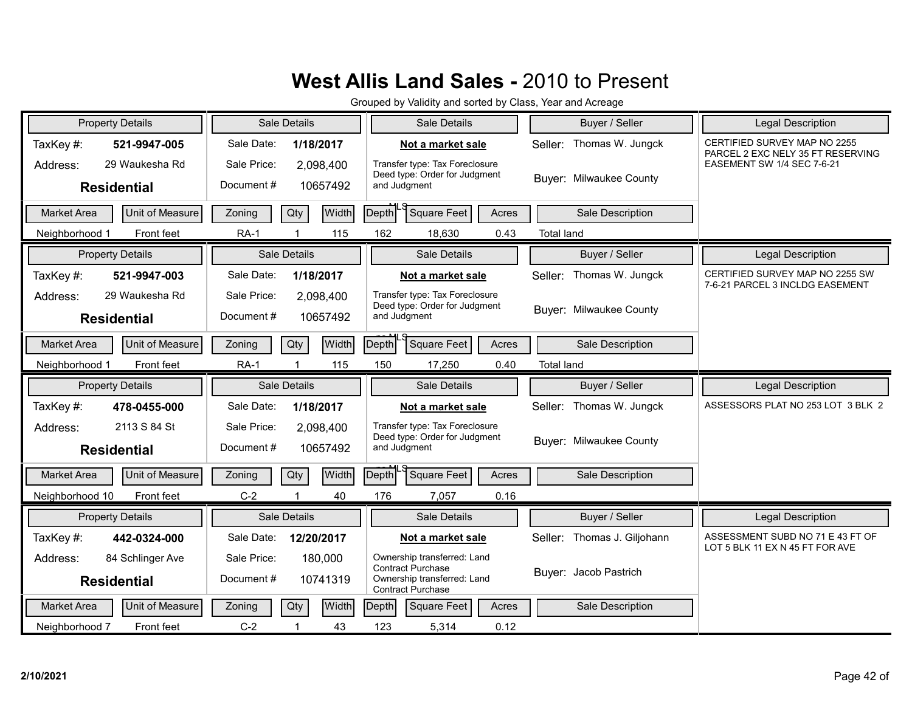| <b>Property Details</b>                            | Sale Details                                      | Sale Details                                                                                                | Buyer / Seller                 | Legal Description                                                  |
|----------------------------------------------------|---------------------------------------------------|-------------------------------------------------------------------------------------------------------------|--------------------------------|--------------------------------------------------------------------|
| TaxKey#:<br>521-9947-005                           | Sale Date:<br>1/18/2017                           | Not a market sale                                                                                           | Seller: Thomas W. Jungck       | CERTIFIED SURVEY MAP NO 2255<br>PARCEL 2 EXC NELY 35 FT RESERVING  |
| 29 Waukesha Rd<br>Address:<br><b>Residential</b>   | Sale Price:<br>2,098,400<br>Document#<br>10657492 | Transfer type: Tax Foreclosure<br>Deed type: Order for Judgment<br>and Judgment                             | <b>Buyer: Milwaukee County</b> | EASEMENT SW 1/4 SEC 7-6-21                                         |
| Unit of Measure<br><b>Market Area</b>              | Width<br>Qty<br>Zoning                            | Square Feet<br>Depth<br>Acres                                                                               | Sale Description               |                                                                    |
| Front feet<br>Neighborhood 1                       | 115<br><b>RA-1</b>                                | 162<br>18,630<br>0.43                                                                                       | <b>Total land</b>              |                                                                    |
| <b>Property Details</b>                            | Sale Details                                      | Sale Details                                                                                                | Buyer / Seller                 | <b>Legal Description</b>                                           |
| TaxKey#:<br>521-9947-003                           | Sale Date:<br>1/18/2017                           | Not a market sale                                                                                           | Thomas W. Jungck<br>Seller:    | CERTIFIED SURVEY MAP NO 2255 SW<br>7-6-21 PARCEL 3 INCLDG EASEMENT |
| 29 Waukesha Rd<br>Address:<br><b>Residential</b>   | Sale Price:<br>2,098,400<br>Document#<br>10657492 | Transfer type: Tax Foreclosure<br>Deed type: Order for Judgment<br>and Judgment                             | Buver: Milwaukee County        |                                                                    |
| Unit of Measure<br><b>Market Area</b>              | Width<br>Qty<br>Zoning                            | Depth Square Feet<br>Acres                                                                                  | Sale Description               |                                                                    |
| Front feet<br>Neighborhood 1                       | <b>RA-1</b><br>115                                | 150<br>17,250<br>0.40                                                                                       | <b>Total land</b>              |                                                                    |
|                                                    |                                                   |                                                                                                             |                                |                                                                    |
| <b>Property Details</b>                            | Sale Details                                      | Sale Details                                                                                                | Buyer / Seller                 | Legal Description                                                  |
| TaxKey#:<br>478-0455-000                           | Sale Date:<br>1/18/2017                           | Not a market sale                                                                                           | Seller: Thomas W. Jungck       | ASSESSORS PLAT NO 253 LOT 3 BLK 2                                  |
| 2113 S 84 St<br>Address:<br><b>Residential</b>     | Sale Price:<br>2,098,400<br>Document#<br>10657492 | Transfer type: Tax Foreclosure<br>Deed type: Order for Judgment<br>and Judgment                             | Buver: Milwaukee County        |                                                                    |
| <b>Unit of Measure</b><br><b>Market Area</b>       | Width<br>Zoning<br>Qty                            | Square Feet<br>Depth<br>Acres                                                                               | Sale Description               |                                                                    |
| Neighborhood 10<br>Front feet                      | $C-2$<br>40                                       | 176<br>0.16<br>7,057                                                                                        |                                |                                                                    |
| <b>Property Details</b>                            | Sale Details                                      | Sale Details                                                                                                | Buyer / Seller                 | Legal Description                                                  |
| TaxKey #:<br>442-0324-000                          | Sale Date:<br>12/20/2017                          | Not a market sale                                                                                           | Thomas J. Giljohann<br>Seller: | ASSESSMENT SUBD NO 71 E 43 FT OF                                   |
| 84 Schlinger Ave<br>Address:<br><b>Residential</b> | Sale Price:<br>180,000<br>Document#<br>10741319   | Ownership transferred: Land<br><b>Contract Purchase</b><br>Ownership transferred: Land<br>Contract Purchase | Buyer: Jacob Pastrich          | LOT 5 BLK 11 EX N 45 FT FOR AVE                                    |
| Unit of Measure<br><b>Market Area</b>              | Qty<br><b>Width</b><br>Zoning                     | Depth<br>Square Feet<br>Acres                                                                               | Sale Description               |                                                                    |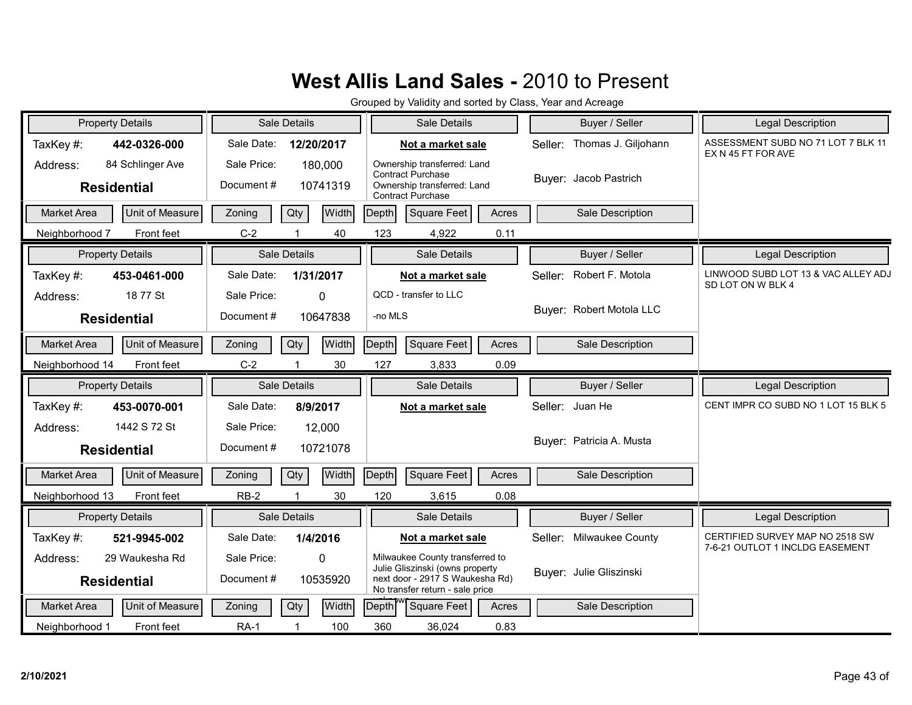| <b>Property Details</b>                            | Sale Details                                     | Sale Details                                                                                                                             | Buyer / Seller                 | <b>Legal Description</b>                                 |
|----------------------------------------------------|--------------------------------------------------|------------------------------------------------------------------------------------------------------------------------------------------|--------------------------------|----------------------------------------------------------|
| TaxKey#:<br>442-0326-000                           | Sale Date:<br>12/20/2017                         | Not a market sale                                                                                                                        | Thomas J. Giljohann<br>Seller: | ASSESSMENT SUBD NO 71 LOT 7 BLK 11<br>EX N 45 FT FOR AVE |
| 84 Schlinger Ave<br>Address:<br><b>Residential</b> | Sale Price:<br>180,000<br>Document#<br>10741319  | Ownership transferred: Land<br><b>Contract Purchase</b><br>Ownership transferred: Land<br><b>Contract Purchase</b>                       | Buyer: Jacob Pastrich          |                                                          |
| Unit of Measure<br><b>Market Area</b>              | Qty<br>Width<br>Zoning                           | Depth<br><b>Square Feet</b><br>Acres                                                                                                     | Sale Description               |                                                          |
| Front feet<br>Neighborhood 7                       | $C-2$<br>40                                      | 123<br>4,922<br>0.11                                                                                                                     |                                |                                                          |
| <b>Property Details</b>                            | Sale Details                                     | Sale Details                                                                                                                             | Buyer / Seller                 | <b>Legal Description</b>                                 |
| TaxKey#:<br>453-0461-000                           | Sale Date:<br>1/31/2017                          | Not a market sale                                                                                                                        | Robert F. Motola<br>Seller:    | LINWOOD SUBD LOT 13 & VAC ALLEY ADJ<br>SD LOT ON W BLK 4 |
| 18 77 St<br>Address:<br><b>Residential</b>         | Sale Price:<br>$\Omega$<br>Document#<br>10647838 | QCD - transfer to LLC<br>-no MLS                                                                                                         | Buyer: Robert Motola LLC       |                                                          |
| Unit of Measure<br><b>Market Area</b>              | Qty<br>Width<br>Zoning                           | Depth<br>Square Feet<br>Acres                                                                                                            | Sale Description               |                                                          |
| Neighborhood 14<br>Front feet                      | $C-2$<br>30                                      | 127<br>3,833<br>0.09                                                                                                                     |                                |                                                          |
|                                                    |                                                  |                                                                                                                                          |                                |                                                          |
| <b>Property Details</b>                            | Sale Details                                     | Sale Details                                                                                                                             | Buyer / Seller                 | Legal Description                                        |
| TaxKey#:<br>453-0070-001                           | Sale Date:<br>8/9/2017                           | Not a market sale                                                                                                                        | Seller: Juan He                | CENT IMPR CO SUBD NO 1 LOT 15 BLK 5                      |
| 1442 S 72 St<br>Address:<br><b>Residential</b>     | Sale Price:<br>12,000<br>Document #<br>10721078  |                                                                                                                                          | Buyer: Patricia A. Musta       |                                                          |
| Unit of Measure<br>Market Area                     | Width<br>Zoning<br>Qty                           | Depth<br><b>Square Feet</b><br>Acres                                                                                                     | Sale Description               |                                                          |
| Neighborhood 13<br>Front feet                      | $RB-2$<br>30<br>$\mathbf 1$                      | 0.08<br>120<br>3,615                                                                                                                     |                                |                                                          |
| <b>Property Details</b>                            | Sale Details                                     | Sale Details                                                                                                                             | Buyer / Seller                 | <b>Legal Description</b>                                 |
| TaxKey #:<br>521-9945-002                          | Sale Date:<br>1/4/2016                           | Not a market sale                                                                                                                        | Milwaukee County<br>Seller:    | CERTIFIED SURVEY MAP NO 2518 SW                          |
| 29 Waukesha Rd<br>Address:<br><b>Residential</b>   | Sale Price:<br>$\Omega$<br>Document#<br>10535920 | Milwaukee County transferred to<br>Julie Gliszinski (owns property<br>next door - 2917 S Waukesha Rd)<br>No transfer return - sale price | Buyer: Julie Gliszinski        | 7-6-21 OUTLOT 1 INCLDG EASEMENT                          |
| Unit of Measure<br><b>Market Area</b>              | Qty<br>Width<br>Zoning                           | Depth<br><b>Square Feet</b><br>Acres                                                                                                     | Sale Description               |                                                          |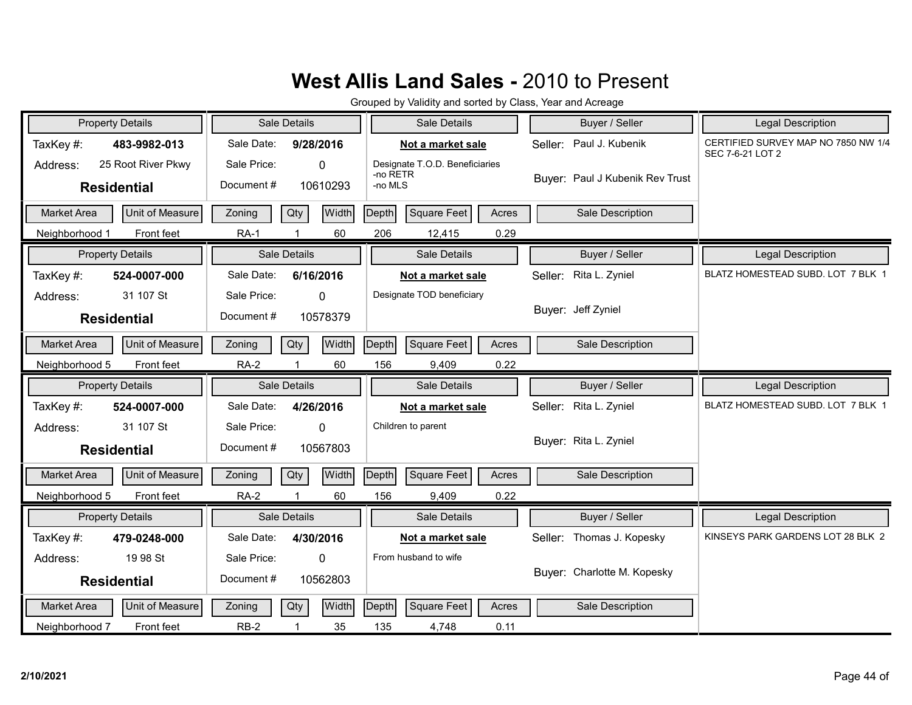| <b>Property Details</b>                              | Sale Details                                         | Sale Details                                          | Buyer / Seller                  | Legal Description                                       |
|------------------------------------------------------|------------------------------------------------------|-------------------------------------------------------|---------------------------------|---------------------------------------------------------|
| TaxKey#:<br>483-9982-013                             | Sale Date:<br>9/28/2016                              | Not a market sale                                     | Seller: Paul J. Kubenik         | CERTIFIED SURVEY MAP NO 7850 NW 1/4<br>SEC 7-6-21 LOT 2 |
| 25 Root River Pkwy<br>Address:<br><b>Residential</b> | Sale Price:<br>$\mathbf{0}$<br>Document#<br>10610293 | Designate T.O.D. Beneficiaries<br>-no RETR<br>-no MLS | Buyer: Paul J Kubenik Rev Trust |                                                         |
| Unit of Measure<br><b>Market Area</b>                | Width<br>Qty<br>Zoning                               | Depth<br>Square Feet<br>Acres                         | Sale Description                |                                                         |
| Front feet<br>Neighborhood 1                         | <b>RA-1</b><br>60                                    | 206<br>0.29<br>12,415                                 |                                 |                                                         |
|                                                      |                                                      |                                                       |                                 |                                                         |
| <b>Property Details</b>                              | Sale Details                                         | Sale Details                                          | Buyer / Seller                  | Legal Description                                       |
| TaxKey#:<br>524-0007-000                             | Sale Date:<br>6/16/2016                              | Not a market sale                                     | Seller: Rita L. Zyniel          | BLATZ HOMESTEAD SUBD. LOT 7 BLK 1                       |
| 31 107 St<br>Address:                                | Sale Price:<br>$\Omega$                              | Designate TOD beneficiary                             |                                 |                                                         |
| <b>Residential</b>                                   | Document#<br>10578379                                |                                                       | Buyer: Jeff Zyniel              |                                                         |
| Unit of Measure<br>Market Area                       | Width<br>Qty<br>Zoning                               | Square Feet<br>Depth<br>Acres                         | Sale Description                |                                                         |
| Front feet<br>Neighborhood 5                         | <b>RA-2</b><br>60                                    | 0.22<br>156<br>9,409                                  |                                 |                                                         |
| <b>Property Details</b>                              | Sale Details                                         | Sale Details                                          | Buyer / Seller                  | <b>Legal Description</b>                                |
| TaxKey#:<br>524-0007-000                             | Sale Date:<br>4/26/2016                              | Not a market sale                                     | Seller: Rita L. Zyniel          | BLATZ HOMESTEAD SUBD. LOT 7 BLK 1                       |
| 31 107 St<br>Address:                                | Sale Price:<br>$\mathbf 0$                           | Children to parent                                    |                                 |                                                         |
| <b>Residential</b>                                   | Document#<br>10567803                                |                                                       | Buyer: Rita L. Zyniel           |                                                         |
| <b>Unit of Measure</b><br><b>Market Area</b>         | Width<br>Qty<br>Zoning                               | Depth<br>Square Feet<br>Acres                         |                                 |                                                         |
| Front feet                                           |                                                      |                                                       | Sale Description                |                                                         |
| Neighborhood 5                                       | <b>RA-2</b><br>60                                    | 156<br>9,409<br>0.22                                  |                                 |                                                         |
| <b>Property Details</b>                              | Sale Details                                         | Sale Details                                          | Buyer / Seller                  | Legal Description                                       |
| TaxKey#:<br>479-0248-000                             | Sale Date:<br>4/30/2016                              | Not a market sale                                     | Seller: Thomas J. Kopesky       | KINSEYS PARK GARDENS LOT 28 BLK 2                       |
| 19 98 St<br>Address:                                 | Sale Price:<br>$\mathbf{0}$                          | From husband to wife                                  |                                 |                                                         |
| <b>Residential</b>                                   | Document#<br>10562803                                |                                                       | Buyer: Charlotte M. Kopesky     |                                                         |
| Unit of Measure<br><b>Market Area</b>                | Width<br>Qty<br>Zoning                               | <b>Depth</b><br>Square Feet<br>Acres                  | Sale Description                |                                                         |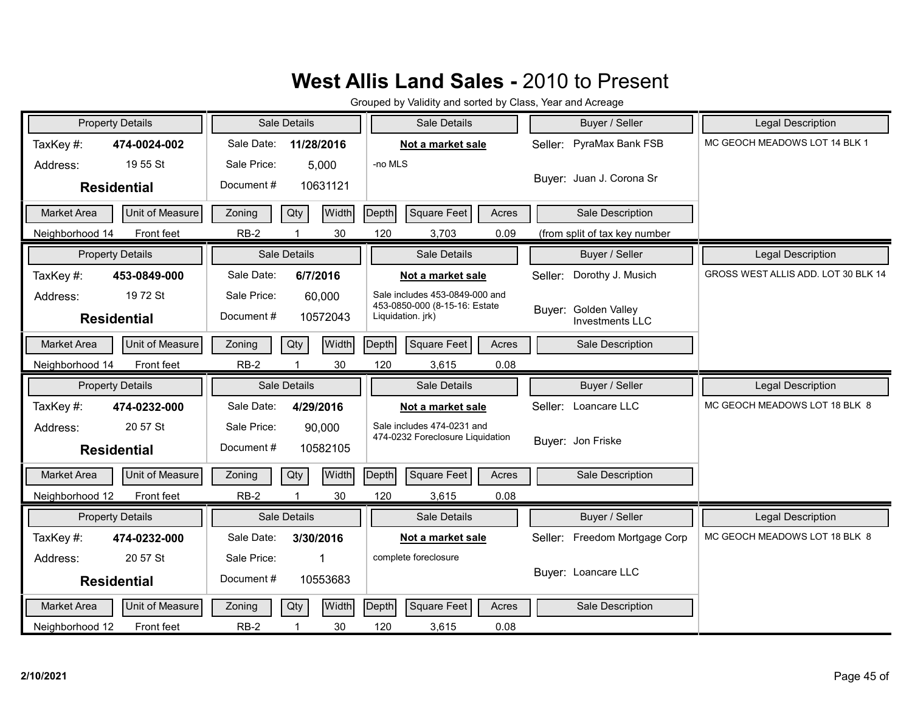| <b>Property Details</b>               | <b>Sale Details</b>      | Sale Details                                                    | Buyer / Seller                          | Legal Description                   |
|---------------------------------------|--------------------------|-----------------------------------------------------------------|-----------------------------------------|-------------------------------------|
| TaxKey#:<br>474-0024-002              | Sale Date:<br>11/28/2016 | Not a market sale                                               | Seller: PyraMax Bank FSB                | MC GEOCH MEADOWS LOT 14 BLK 1       |
| 19 55 St<br>Address:                  | Sale Price:<br>5,000     | -no MLS                                                         |                                         |                                     |
| <b>Residential</b>                    | Document#<br>10631121    |                                                                 | Buyer: Juan J. Corona Sr                |                                     |
| Unit of Measure<br><b>Market Area</b> | Qty<br>Width<br>Zoning   | Depth<br>Square Feet<br>Acres                                   | Sale Description                        |                                     |
| Front feet<br>Neighborhood 14         | $RB-2$<br>30             | 120<br>0.09<br>3,703                                            | (from split of tax key number           |                                     |
| <b>Property Details</b>               | <b>Sale Details</b>      | Sale Details                                                    | Buyer / Seller                          | Legal Description                   |
| TaxKey #:<br>453-0849-000             | Sale Date:<br>6/7/2016   | Not a market sale                                               | Dorothy J. Musich<br>Seller:            | GROSS WEST ALLIS ADD. LOT 30 BLK 14 |
| 19 72 St<br>Address:                  | Sale Price:<br>60,000    | Sale includes 453-0849-000 and<br>453-0850-000 (8-15-16: Estate |                                         |                                     |
| <b>Residential</b>                    | Document#<br>10572043    | Liquidation. jrk)                                               | Buyer: Golden Valley<br>Investments LLC |                                     |
| Unit of Measure<br><b>Market Area</b> | Width<br>Qty<br>Zoning   | Square Feet<br>Depth<br>Acres                                   | Sale Description                        |                                     |
| Neighborhood 14<br>Front feet         | $RB-2$<br>30             | 120<br>3,615<br>0.08                                            |                                         |                                     |
|                                       |                          |                                                                 |                                         |                                     |
| <b>Property Details</b>               | Sale Details             | Sale Details                                                    | Buyer / Seller                          | <b>Legal Description</b>            |
| TaxKey#:<br>474-0232-000              | Sale Date:<br>4/29/2016  | Not a market sale                                               | Seller: Loancare LLC                    | MC GEOCH MEADOWS LOT 18 BLK 8       |
| 20 57 St<br>Address:                  | Sale Price:<br>90,000    | Sale includes 474-0231 and                                      |                                         |                                     |
| <b>Residential</b>                    | Document#<br>10582105    | 474-0232 Foreclosure Liquidation                                | Buver: Jon Friske                       |                                     |
| Unit of Measure<br><b>Market Area</b> | Width<br>Qty<br>Zoning   | Square Feet<br>Depth<br>Acres                                   | Sale Description                        |                                     |
| Neighborhood 12<br>Front feet         | $RB-2$<br>30<br>1        | 120<br>0.08<br>3,615                                            |                                         |                                     |
| <b>Property Details</b>               | Sale Details             | Sale Details                                                    | Buyer / Seller                          | <b>Legal Description</b>            |
| TaxKey #:<br>474-0232-000             | Sale Date:<br>3/30/2016  | Not a market sale                                               | Seller: Freedom Mortgage Corp           | MC GEOCH MEADOWS LOT 18 BLK 8       |
| 20 57 St<br>Address:                  | Sale Price:<br>1         | complete foreclosure                                            |                                         |                                     |
| <b>Residential</b>                    | Document#<br>10553683    |                                                                 | Buyer: Loancare LLC                     |                                     |
| Unit of Measure<br><b>Market Area</b> | Width<br>Qty<br>Zoning   | Depth<br>Square Feet<br>Acres                                   | Sale Description                        |                                     |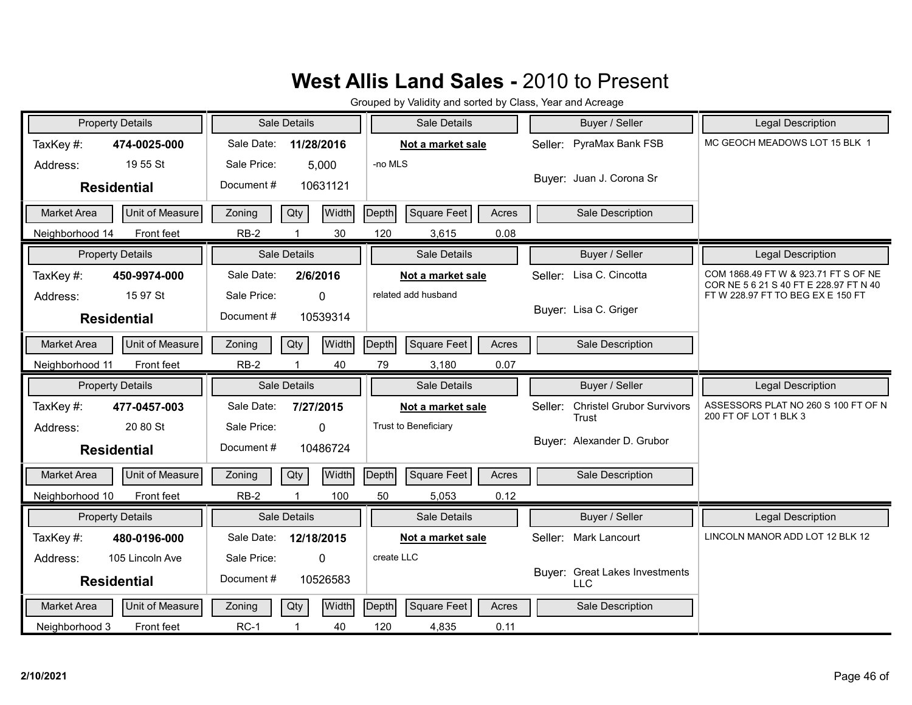| <b>Property Details</b>               | Sale Details                  | Sale Details                         | Buyer / Seller                               | Legal Description                                                              |
|---------------------------------------|-------------------------------|--------------------------------------|----------------------------------------------|--------------------------------------------------------------------------------|
| TaxKey#:<br>474-0025-000              | Sale Date:<br>11/28/2016      | Not a market sale                    | Seller: PyraMax Bank FSB                     | MC GEOCH MEADOWS LOT 15 BLK 1                                                  |
| 19 55 St<br>Address:                  | Sale Price:<br>5,000          | -no MLS                              |                                              |                                                                                |
| <b>Residential</b>                    | Document#<br>10631121         |                                      | Buyer: Juan J. Corona Sr                     |                                                                                |
| Unit of Measure<br><b>Market Area</b> | Width<br>Qty<br>Zoning        | Depth<br>Square Feet<br>Acres        | Sale Description                             |                                                                                |
| Neighborhood 14<br>Front feet         | $RB-2$<br>30                  | 120<br>0.08<br>3,615                 |                                              |                                                                                |
| <b>Property Details</b>               | Sale Details                  | Sale Details                         | Buyer / Seller                               | Legal Description                                                              |
| TaxKey#:<br>450-9974-000              | Sale Date:<br>2/6/2016        | Not a market sale                    | Seller: Lisa C. Cincotta                     | COM 1868.49 FT W & 923.71 FT S OF NE<br>COR NE 5 6 21 S 40 FT E 228.97 FT N 40 |
| 15 97 St<br>Address:                  | Sale Price:<br>0              | related add husband                  |                                              | FT W 228.97 FT TO BEG EX E 150 FT                                              |
| <b>Residential</b>                    | Document#<br>10539314         |                                      | Buyer: Lisa C. Griger                        |                                                                                |
| Unit of Measure<br><b>Market Area</b> | Width<br>Qty<br>Zoning        | Depth<br>Square Feet<br>Acres        | Sale Description                             |                                                                                |
| Front feet<br>Neighborhood 11         | $RB-2$<br>40                  | 79<br>0.07<br>3,180                  |                                              |                                                                                |
|                                       |                               |                                      |                                              |                                                                                |
| <b>Property Details</b>               | Sale Details                  | Sale Details                         | Buyer / Seller                               | Legal Description                                                              |
| TaxKey #:<br>477-0457-003             | Sale Date:<br>7/27/2015       | Not a market sale                    | <b>Christel Grubor Survivors</b><br>Seller:  | ASSESSORS PLAT NO 260 S 100 FT OF N                                            |
| 20 80 St<br>Address:                  | Sale Price:<br>$\Omega$       | Trust to Beneficiary                 | Trust                                        | 200 FT OF LOT 1 BLK 3                                                          |
| <b>Residential</b>                    | Document#<br>10486724         |                                      | Buyer: Alexander D. Grubor                   |                                                                                |
| <b>Market Area</b><br>Unit of Measure | <b>Width</b><br>Zoning<br>Qty | Depth<br><b>Square Feet</b><br>Acres | Sale Description                             |                                                                                |
| Neighborhood 10<br>Front feet         | $RB-2$<br>100                 | 0.12<br>50<br>5,053                  |                                              |                                                                                |
| <b>Property Details</b>               | <b>Sale Details</b>           | Sale Details                         | Buyer / Seller                               | <b>Legal Description</b>                                                       |
| TaxKey #:<br>480-0196-000             | Sale Date:<br>12/18/2015      | Not a market sale                    | Seller: Mark Lancourt                        | LINCOLN MANOR ADD LOT 12 BLK 12                                                |
| 105 Lincoln Ave<br>Address:           | Sale Price:<br>$\mathbf{0}$   | create LLC                           |                                              |                                                                                |
| <b>Residential</b>                    | Document#<br>10526583         |                                      | Buyer: Great Lakes Investments<br><b>LLC</b> |                                                                                |
| Unit of Measure<br>Market Area        | Width<br>Zoning<br>Qty        | Depth<br>Square Feet<br>Acres        | Sale Description                             |                                                                                |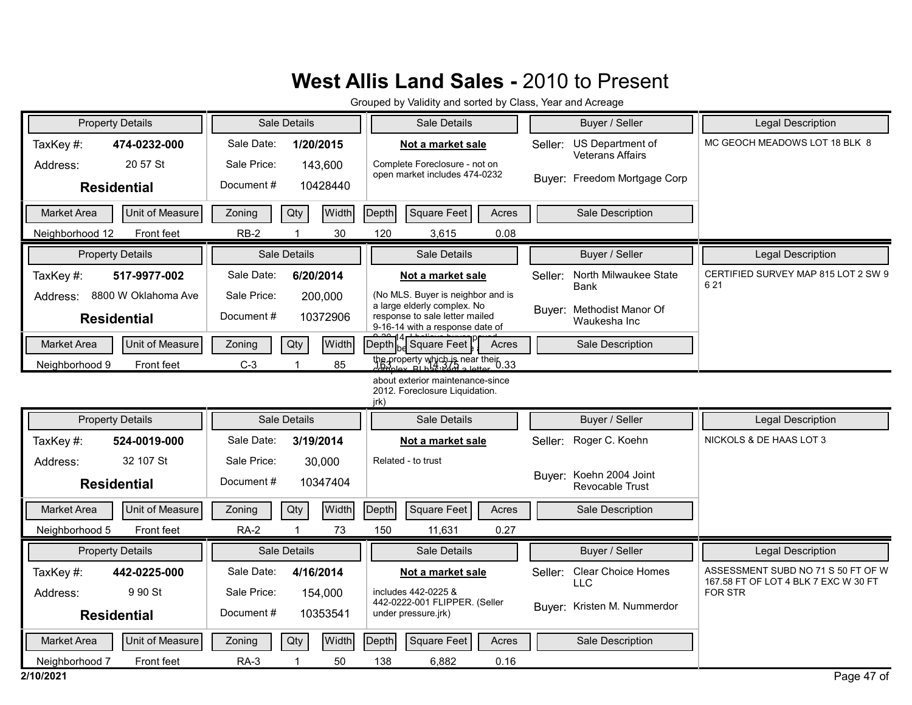|                    | <b>Property Details</b> |             | Sale Details        | Sale Details                                                                                     | Buyer / Seller                                         | <b>Legal Description</b>                                                   |
|--------------------|-------------------------|-------------|---------------------|--------------------------------------------------------------------------------------------------|--------------------------------------------------------|----------------------------------------------------------------------------|
| TaxKey#:           | 474-0232-000            | Sale Date:  | 1/20/2015           | Not a market sale                                                                                | US Department of<br>Seller:<br><b>Veterans Affairs</b> | MC GEOCH MEADOWS LOT 18 BLK 8                                              |
| Address:           | 20 57 St                | Sale Price: | 143,600             | Complete Foreclosure - not on<br>open market includes 474-0232                                   |                                                        |                                                                            |
|                    | <b>Residential</b>      | Document#   | 10428440            |                                                                                                  | Buyer: Freedom Mortgage Corp                           |                                                                            |
| Market Area        | Unit of Measure         | Zoning      | Width<br>Qty        | Depth<br>Square Feet<br>Acres                                                                    | Sale Description                                       |                                                                            |
| Neighborhood 12    | Front feet              | $RB-2$      | 30                  | 120<br>0.08<br>3,615                                                                             |                                                        |                                                                            |
|                    | <b>Property Details</b> |             | Sale Details        | Sale Details                                                                                     | Buyer / Seller                                         | <b>Legal Description</b>                                                   |
| TaxKey#:           | 517-9977-002            | Sale Date:  | 6/20/2014           | Not a market sale                                                                                | North Milwaukee State<br>Seller:                       | CERTIFIED SURVEY MAP 815 LOT 2 SW 9<br>6 2 1                               |
| Address:           | 8800 W Oklahoma Ave     | Sale Price: | 200,000             | (No MLS. Buyer is neighbor and is                                                                | <b>Bank</b>                                            |                                                                            |
|                    | <b>Residential</b>      | Document#   | 10372906            | a large elderly complex. No<br>response to sale letter mailed<br>9-16-14 with a response date of | Buyer: Methodist Manor Of<br>Waukesha Inc              |                                                                            |
| <b>Market Area</b> | Unit of Measure         | Zoning      | <b>Width</b><br>Qty | Depth H Square Feet<br>Acres                                                                     | Sale Description                                       |                                                                            |
| Neighborhood 9     | <b>Front feet</b>       | $C-3$       | 85                  | $\frac{1}{100}$ property which is near their 0.33                                                |                                                        |                                                                            |
|                    |                         |             |                     | about exterior maintenance-since<br>2012. Foreclosure Liquidation.<br>jrk)                       |                                                        |                                                                            |
|                    | <b>Property Details</b> |             | Sale Details        | Sale Details                                                                                     | Buyer / Seller                                         | <b>Legal Description</b>                                                   |
| TaxKey#:           | 524-0019-000            | Sale Date:  | 3/19/2014           | Not a market sale                                                                                | Roger C. Koehn<br>Seller:                              | NICKOLS & DE HAAS LOT 3                                                    |
| Address:           | 32 107 St               | Sale Price: | 30,000              | Related - to trust                                                                               |                                                        |                                                                            |
|                    | <b>Residential</b>      | Document#   | 10347404            |                                                                                                  | Buyer: Koehn 2004 Joint<br>Revocable Trust             |                                                                            |
| <b>Market Area</b> | Unit of Measure         | Zoning      | Width<br>Qty        | Depth<br>Square Feet<br>Acres                                                                    | Sale Description                                       |                                                                            |
| Neighborhood 5     | Front feet              | <b>RA-2</b> | 73                  | 150<br>11,631<br>0.27                                                                            |                                                        |                                                                            |
|                    | <b>Property Details</b> |             | Sale Details        | Sale Details                                                                                     | Buyer / Seller                                         | <b>Legal Description</b>                                                   |
| TaxKey#:           | 442-0225-000            | Sale Date:  | 4/16/2014           | Not a market sale                                                                                | <b>Clear Choice Homes</b><br>Seller:                   | ASSESSMENT SUBD NO 71 S 50 FT OF W<br>167.58 FT OF LOT 4 BLK 7 EXC W 30 FT |
| Address:           | 9 90 St                 | Sale Price: | 154,000             | includes 442-0225 &<br>442-0222-001 FLIPPER. (Seller                                             | <b>LLC</b>                                             | <b>FOR STR</b>                                                             |
|                    | <b>Residential</b>      | Document#   | 10353541            | under pressure.jrk)                                                                              | Buyer: Kristen M. Nummerdor                            |                                                                            |
| <b>Market Area</b> | Unit of Measure         | Zoning      | Width<br>Qty        | Depth<br>Square Feet<br>Acres                                                                    | Sale Description                                       |                                                                            |
| Neighborhood 7     | Front feet              | $RA-3$      | 50                  | 138<br>6,882<br>0.16                                                                             |                                                        |                                                                            |
| 2/10/2021          |                         |             |                     |                                                                                                  |                                                        | Page 47 of                                                                 |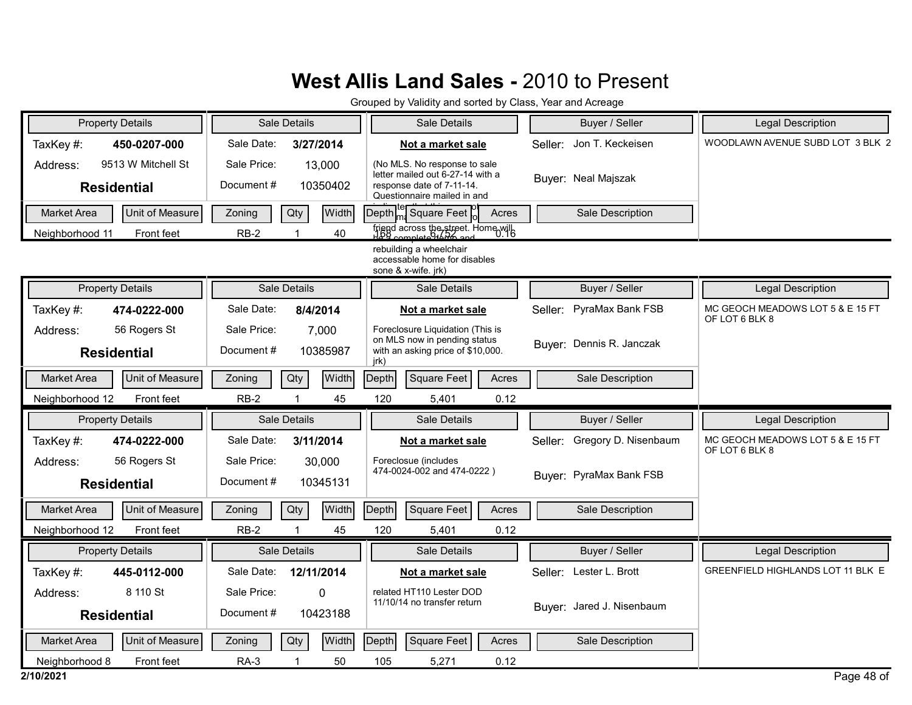| <b>Property Details</b>               |                               |                          | Sale Details         | Sale Details                                                                                                                  | Buyer / Seller                  | <b>Legal Description</b>                           |
|---------------------------------------|-------------------------------|--------------------------|----------------------|-------------------------------------------------------------------------------------------------------------------------------|---------------------------------|----------------------------------------------------|
| TaxKey#:                              | 450-0207-000                  | Sale Date:               | 3/27/2014            | Not a market sale                                                                                                             | Jon T. Keckeisen<br>Seller:     | WOODLAWN AVENUE SUBD LOT 3 BLK 2                   |
| Address:<br><b>Residential</b>        | 9513 W Mitchell St            | Sale Price:<br>Document# | 13,000<br>10350402   | (No MLS. No response to sale)<br>letter mailed out 6-27-14 with a<br>response date of 7-11-14.<br>Questionnaire mailed in and | Buyer: Neal Majszak             |                                                    |
| <b>Market Area</b><br>Neighborhood 11 | Unit of Measure<br>Front feet | Zoning<br>$RB-2$         | Qty<br>Width<br>40   | Depth   Square Feet<br>Acres<br>friend across the street. Home will                                                           | Sale Description                |                                                    |
|                                       |                               |                          |                      | rebuilding a wheelchair<br>accessable home for disables<br>sone & x-wife. jrk)                                                |                                 |                                                    |
| <b>Property Details</b>               |                               |                          | Sale Details         | Sale Details                                                                                                                  | Buyer / Seller                  | Legal Description                                  |
| TaxKey#:                              | 474-0222-000                  | Sale Date:               | 8/4/2014             | Not a market sale                                                                                                             | Seller: PyraMax Bank FSB        | MC GEOCH MEADOWS LOT 5 & E 15 FT<br>OF LOT 6 BLK 8 |
| Address:<br><b>Residential</b>        | 56 Rogers St                  | Sale Price:<br>Document# | 7,000<br>10385987    | Foreclosure Liquidation (This is<br>on MLS now in pending status<br>with an asking price of \$10,000.<br>jrk)                 | Buyer: Dennis R. Janczak        |                                                    |
| <b>Market Area</b>                    | Unit of Measure               | Zoning                   | Qty<br>Width         | Depth<br>Square Feet<br>Acres                                                                                                 | Sale Description                |                                                    |
| Neighborhood 12                       | Front feet                    | $RB-2$                   | $\overline{1}$<br>45 | 120<br>0.12<br>5,401                                                                                                          |                                 |                                                    |
| <b>Property Details</b>               |                               |                          | Sale Details         | Sale Details                                                                                                                  | Buyer / Seller                  | Legal Description                                  |
| TaxKey#:                              | 474-0222-000                  | Sale Date:               | 3/11/2014            | Not a market sale                                                                                                             | Gregory D. Nisenbaum<br>Seller: | MC GEOCH MEADOWS LOT 5 & E 15 FT<br>OF LOT 6 BLK 8 |
| Address:<br><b>Residential</b>        | 56 Rogers St                  | Sale Price:<br>Document# | 30,000<br>10345131   | Foreclosue (includes<br>474-0024-002 and 474-0222)                                                                            | Buyer: PyraMax Bank FSB         |                                                    |
| <b>Market Area</b>                    | Unit of Measure               | Zoning                   | Qty<br>Width         | <b>Square Feet</b><br>Acres<br>Depth                                                                                          | Sale Description                |                                                    |
| Neighborhood 12                       | Front feet                    | $RB-2$                   | 45                   | 120<br>0.12<br>5,401                                                                                                          |                                 |                                                    |
| <b>Property Details</b>               |                               |                          | Sale Details         | Sale Details                                                                                                                  | Buyer / Seller                  | <b>Legal Description</b>                           |
| TaxKey#:                              | 445-0112-000                  | Sale Date:               | 12/11/2014           | Not a market sale                                                                                                             | Seller:<br>Lester L. Brott      | GREENFIELD HIGHLANDS LOT 11 BLK E                  |
| Address:                              | 8 110 St                      | Sale Price:              | 0                    | related HT110 Lester DOD<br>11/10/14 no transfer return                                                                       |                                 |                                                    |
| <b>Residential</b>                    |                               | Document#                | 10423188             |                                                                                                                               | Buyer: Jared J. Nisenbaum       |                                                    |
| <b>Market Area</b>                    | Unit of Measure               | Zoning                   | Qty<br>Width         | <b>Square Feet</b><br>Depth<br>Acres                                                                                          | Sale Description                |                                                    |
| Neighborhood 8<br>2/10/2021           | Front feet                    | <b>RA-3</b>              | 50                   | 0.12<br>105<br>5,271                                                                                                          |                                 | Page 48 of                                         |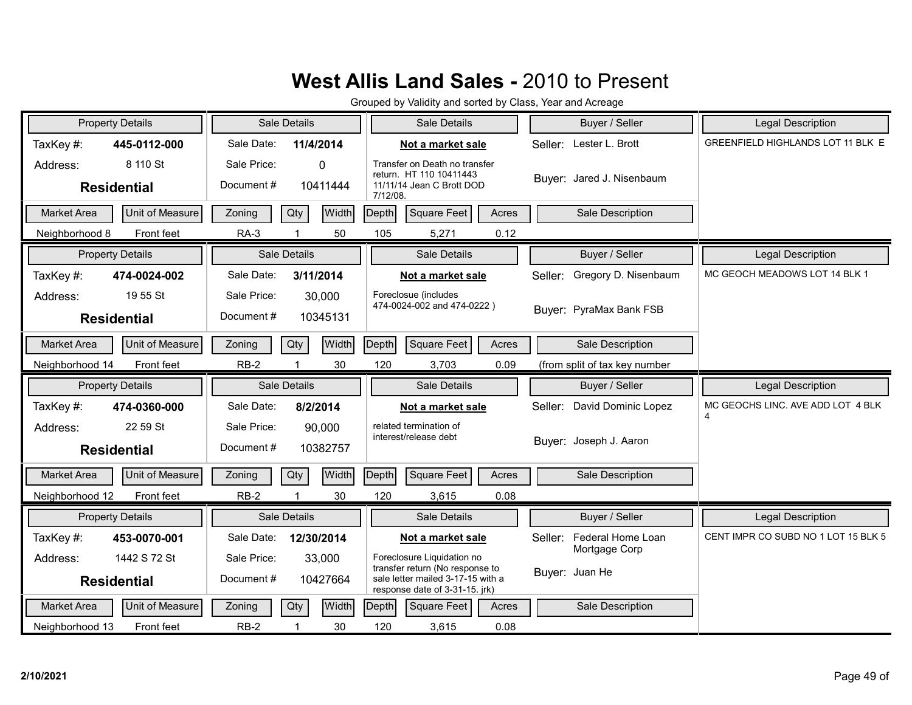| <b>Property Details</b>        |                 |                           | Sale Details        |          | Sale Details                                                                                           |       | Buyer / Seller                  | <b>Legal Description</b>            |
|--------------------------------|-----------------|---------------------------|---------------------|----------|--------------------------------------------------------------------------------------------------------|-------|---------------------------------|-------------------------------------|
| TaxKey#:                       | 445-0112-000    | Sale Date:                | 11/4/2014           |          | Not a market sale                                                                                      |       | Seller: Lester L. Brott         | GREENFIELD HIGHLANDS LOT 11 BLK E   |
| Address:<br><b>Residential</b> | 8 110 St        | Sale Price:<br>Document#  | 0<br>10411444       | 7/12/08. | Transfer on Death no transfer<br>return. HT 110 10411443<br>11/11/14 Jean C Brott DOD                  |       | Buyer: Jared J. Nisenbaum       |                                     |
| Market Area                    | Unit of Measure | Zoning                    | Qty<br><b>Width</b> | Depth    | Square Feet                                                                                            | Acres | Sale Description                |                                     |
| Neighborhood 8                 | Front feet      | <b>RA-3</b>               | 50<br>-1            | 105      | 5,271                                                                                                  | 0.12  |                                 |                                     |
| <b>Property Details</b>        |                 |                           | <b>Sale Details</b> |          | Sale Details                                                                                           |       | Buyer / Seller                  | Legal Description                   |
| TaxKey#:                       | 474-0024-002    | Sale Date:                | 3/11/2014           |          | Not a market sale                                                                                      |       | Gregory D. Nisenbaum<br>Seller: | MC GEOCH MEADOWS LOT 14 BLK 1       |
| Address:<br><b>Residential</b> | 19 55 St        | Sale Price:<br>Document#  | 30,000<br>10345131  |          | Foreclosue (includes<br>474-0024-002 and 474-0222)                                                     |       | Buver: PyraMax Bank FSB         |                                     |
| Market Area                    | Unit of Measure | Zoning                    | Width<br>Qty        | Depth    | Square Feet                                                                                            | Acres | Sale Description                |                                     |
| Neighborhood 14                | Front feet      | $RB-2$                    | 30                  | 120      | 3,703                                                                                                  | 0.09  | (from split of tax key number   |                                     |
|                                |                 |                           |                     |          |                                                                                                        |       |                                 |                                     |
| <b>Property Details</b>        |                 |                           | Sale Details        |          | Sale Details                                                                                           |       | Buyer / Seller                  | <b>Legal Description</b>            |
| TaxKey#:                       | 474-0360-000    | Sale Date:                | 8/2/2014            |          | Not a market sale                                                                                      |       | David Dominic Lopez<br>Seller:  | MC GEOCHS LINC. AVE ADD LOT 4 BLK   |
| Address:<br><b>Residential</b> | 22 59 St        | Sale Price:<br>Document # | 90,000<br>10382757  |          | related termination of<br>interest/release debt                                                        |       | Buyer: Joseph J. Aaron          | 4                                   |
| <b>Market Area</b>             | Unit of Measure | Zoning                    | Width<br>Qty        | Depth    | Square Feet                                                                                            | Acres | Sale Description                |                                     |
| Neighborhood 12                | Front feet      | $RB-2$                    | $\mathbf{1}$<br>30  | 120      | 3,615                                                                                                  | 0.08  |                                 |                                     |
| <b>Property Details</b>        |                 |                           | Sale Details        |          | Sale Details                                                                                           |       | Buyer / Seller                  | <b>Legal Description</b>            |
| TaxKey#:                       | 453-0070-001    | Sale Date:                | 12/30/2014          |          | Not a market sale                                                                                      |       | Federal Home Loan<br>Seller:    | CENT IMPR CO SUBD NO 1 LOT 15 BLK 5 |
| Address:                       | 1442 S 72 St    | Sale Price:               | 33,000              |          | Foreclosure Liquidation no                                                                             |       | Mortgage Corp                   |                                     |
| <b>Residential</b>             |                 | Document#                 | 10427664            |          | transfer return (No response to<br>sale letter mailed 3-17-15 with a<br>response date of 3-31-15. jrk) |       | Buyer: Juan He                  |                                     |
| <b>Market Area</b>             | Unit of Measure | Zoning                    | Width<br>Qty        | Depth    | Square Feet                                                                                            | Acres | Sale Description                |                                     |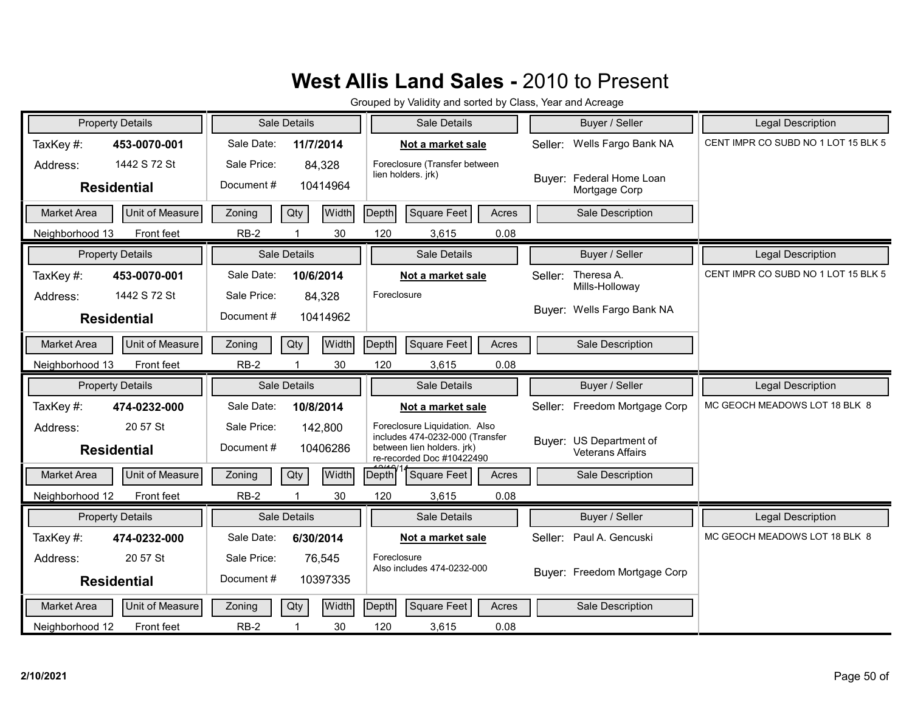| <b>Property Details</b> |                 |             | Sale Details               | Sale Details                                                                               | Buyer / Seller                                     | <b>Legal Description</b>            |
|-------------------------|-----------------|-------------|----------------------------|--------------------------------------------------------------------------------------------|----------------------------------------------------|-------------------------------------|
| TaxKey#:                | 453-0070-001    | Sale Date:  | 11/7/2014                  | Not a market sale                                                                          | Wells Fargo Bank NA<br>Seller:                     | CENT IMPR CO SUBD NO 1 LOT 15 BLK 5 |
| Address:                | 1442 S 72 St    | Sale Price: | 84,328                     | Foreclosure (Transfer between<br>lien holders. jrk)                                        | Buyer: Federal Home Loan                           |                                     |
| <b>Residential</b>      |                 | Document #  | 10414964                   |                                                                                            | Mortgage Corp                                      |                                     |
| <b>Market Area</b>      | Unit of Measure | Zoning      | Qty<br>Width               | Depth<br><b>Square Feet</b><br>Acres                                                       | Sale Description                                   |                                     |
| Neighborhood 13         | Front feet      | $RB-2$      | 30<br>-1                   | 120<br>0.08<br>3,615                                                                       |                                                    |                                     |
| <b>Property Details</b> |                 |             | Sale Details               | Sale Details                                                                               | Buyer / Seller                                     | Legal Description                   |
| TaxKey#:                | 453-0070-001    | Sale Date:  | 10/6/2014                  | Not a market sale                                                                          | Theresa A.<br>Seller:<br>Mills-Holloway            | CENT IMPR CO SUBD NO 1 LOT 15 BLK 5 |
| Address:                | 1442 S 72 St    | Sale Price: | 84,328                     | Foreclosure                                                                                |                                                    |                                     |
| <b>Residential</b>      |                 | Document#   | 10414962                   |                                                                                            | Buver: Wells Fargo Bank NA                         |                                     |
| <b>Market Area</b>      | Unit of Measure | Zoning      | Width<br>Qty               | Depth<br>Square Feet<br>Acres                                                              | Sale Description                                   |                                     |
| Neighborhood 13         | Front feet      | $RB-2$      | 30                         | 120<br>3,615<br>0.08                                                                       |                                                    |                                     |
| <b>Property Details</b> |                 |             | Sale Details               | Sale Details                                                                               | Buyer / Seller                                     | <b>Legal Description</b>            |
| TaxKey #:               | 474-0232-000    | Sale Date:  | 10/8/2014                  | Not a market sale                                                                          | Freedom Mortgage Corp<br>Seller:                   | MC GEOCH MEADOWS LOT 18 BLK 8       |
| Address:                | 20 57 St        |             |                            |                                                                                            |                                                    |                                     |
|                         |                 | Sale Price: | 142,800                    | Foreclosure Liquidation. Also                                                              |                                                    |                                     |
| <b>Residential</b>      |                 | Document #  | 10406286                   | includes 474-0232-000 (Transfer<br>between lien holders. jrk)<br>re-recorded Doc #10422490 | Buyer: US Department of<br><b>Veterans Affairs</b> |                                     |
| <b>Market Area</b>      | Unit of Measure | Zoning      | Width<br>Qty               | Square Feet<br>Depth<br>Acres                                                              | Sale Description                                   |                                     |
| Neighborhood 12         | Front feet      | $RB-2$      | $\blacktriangleleft$<br>30 | 120<br>3,615<br>0.08                                                                       |                                                    |                                     |
| <b>Property Details</b> |                 |             | Sale Details               | Sale Details                                                                               | Buyer / Seller                                     | Legal Description                   |
| TaxKey#:                | 474-0232-000    | Sale Date:  | 6/30/2014                  | Not a market sale                                                                          | Seller: Paul A. Gencuski                           | MC GEOCH MEADOWS LOT 18 BLK 8       |
| Address:                | 20 57 St        | Sale Price: | 76,545                     | Foreclosure                                                                                |                                                    |                                     |
| <b>Residential</b>      |                 | Document #  | 10397335                   | Also includes 474-0232-000                                                                 | Buyer: Freedom Mortgage Corp                       |                                     |
| <b>Market Area</b>      | Unit of Measure | Zoning      | Qty<br>Width               | Depth<br><b>Square Feet</b><br>Acres                                                       | Sale Description                                   |                                     |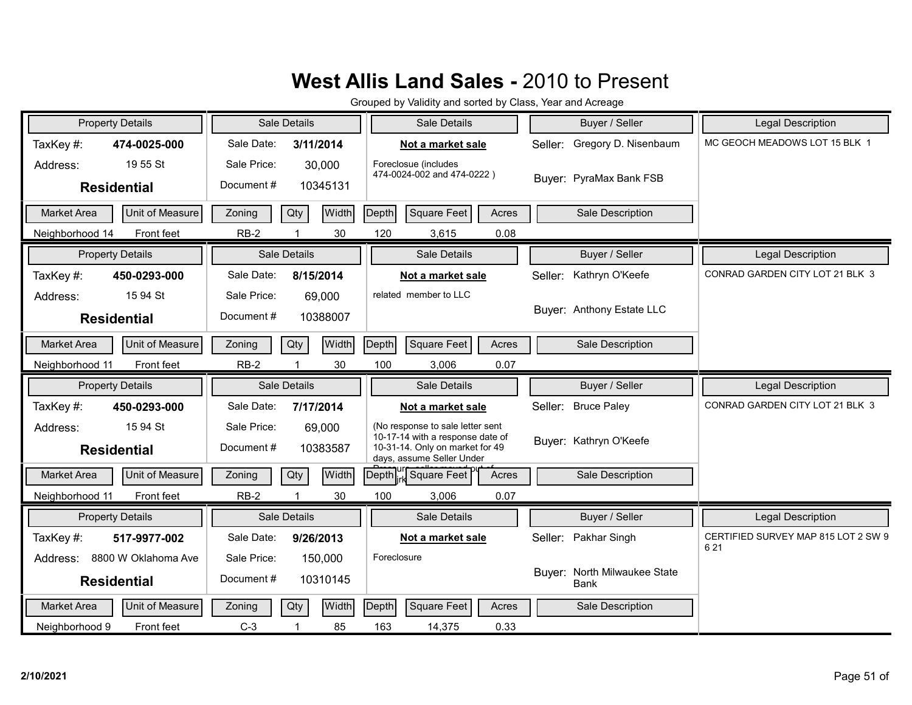| <b>Property Details</b>                    | Sale Details                                    | Sale Details                                                                                                                         | Buyer / Seller                              | <b>Legal Description</b>            |
|--------------------------------------------|-------------------------------------------------|--------------------------------------------------------------------------------------------------------------------------------------|---------------------------------------------|-------------------------------------|
| TaxKey#:<br>474-0025-000                   | Sale Date:<br>3/11/2014                         | Not a market sale                                                                                                                    | Gregory D. Nisenbaum<br>Seller:             | MC GEOCH MEADOWS LOT 15 BLK 1       |
| 19 55 St<br>Address:<br><b>Residential</b> | Sale Price:<br>30,000<br>Document #<br>10345131 | Foreclosue (includes<br>474-0024-002 and 474-0222)                                                                                   | Buyer: PyraMax Bank FSB                     |                                     |
| Unit of Measure<br><b>Market Area</b>      | Qty<br>Width<br>Zoning                          | Depth<br><b>Square Feet</b><br>Acres                                                                                                 | Sale Description                            |                                     |
| Neighborhood 14<br>Front feet              | $RB-2$<br>30                                    | 120<br>0.08<br>3,615                                                                                                                 |                                             |                                     |
| <b>Property Details</b>                    | Sale Details                                    | Sale Details                                                                                                                         | Buyer / Seller                              | <b>Legal Description</b>            |
| TaxKey#:<br>450-0293-000                   | Sale Date:<br>8/15/2014                         | Not a market sale                                                                                                                    | Kathryn O'Keefe<br>Seller:                  | CONRAD GARDEN CITY LOT 21 BLK 3     |
| 15 94 St<br>Address:<br><b>Residential</b> | Sale Price:<br>69,000<br>Document#<br>10388007  | related member to LLC                                                                                                                | Buyer: Anthony Estate LLC                   |                                     |
| Unit of Measure<br>Market Area             | Width<br>Qty<br>Zoning                          | Depth<br>Square Feet<br>Acres                                                                                                        | Sale Description                            |                                     |
| Front feet<br>Neighborhood 11              | $RB-2$<br>30                                    | 100<br>3,006<br>0.07                                                                                                                 |                                             |                                     |
|                                            |                                                 |                                                                                                                                      |                                             |                                     |
| <b>Property Details</b>                    | Sale Details                                    | Sale Details                                                                                                                         | Buyer / Seller                              | <b>Legal Description</b>            |
| TaxKey#:<br>450-0293-000                   | Sale Date:<br>7/17/2014                         | Not a market sale                                                                                                                    | Seller: Bruce Paley                         | CONRAD GARDEN CITY LOT 21 BLK 3     |
| 15 94 St<br>Address:<br><b>Residential</b> | Sale Price:<br>69,000<br>Document #<br>10383587 | (No response to sale letter sent<br>10-17-14 with a response date of<br>10-31-14. Only on market for 49<br>days, assume Seller Under | Buver: Kathryn O'Keefe                      |                                     |
| Unit of Measure<br><b>Market Area</b>      | Qty<br>Width<br>Zoning                          | ur Square Feet<br>Acres<br>Depth                                                                                                     | Sale Description                            |                                     |
| Neighborhood 11<br>Front feet              | $RB-2$<br>$\mathbf{1}$<br>30                    | 0.07<br>100<br>3,006                                                                                                                 |                                             |                                     |
| <b>Property Details</b>                    | Sale Details                                    | Sale Details                                                                                                                         | Buyer / Seller                              | Legal Description                   |
| TaxKey#:<br>517-9977-002                   | Sale Date:<br>9/26/2013                         | Not a market sale                                                                                                                    | Seller: Pakhar Singh                        | CERTIFIED SURVEY MAP 815 LOT 2 SW 9 |
| 8800 W Oklahoma Ave<br>Address:            | Sale Price:<br>150,000                          | Foreclosure                                                                                                                          |                                             | 621                                 |
| <b>Residential</b>                         | Document #<br>10310145                          |                                                                                                                                      | Buyer: North Milwaukee State<br><b>Bank</b> |                                     |
| Unit of Measure<br><b>Market Area</b>      | Width<br>Qty<br>Zoning                          | Depth<br>Square Feet<br>Acres                                                                                                        | Sale Description                            |                                     |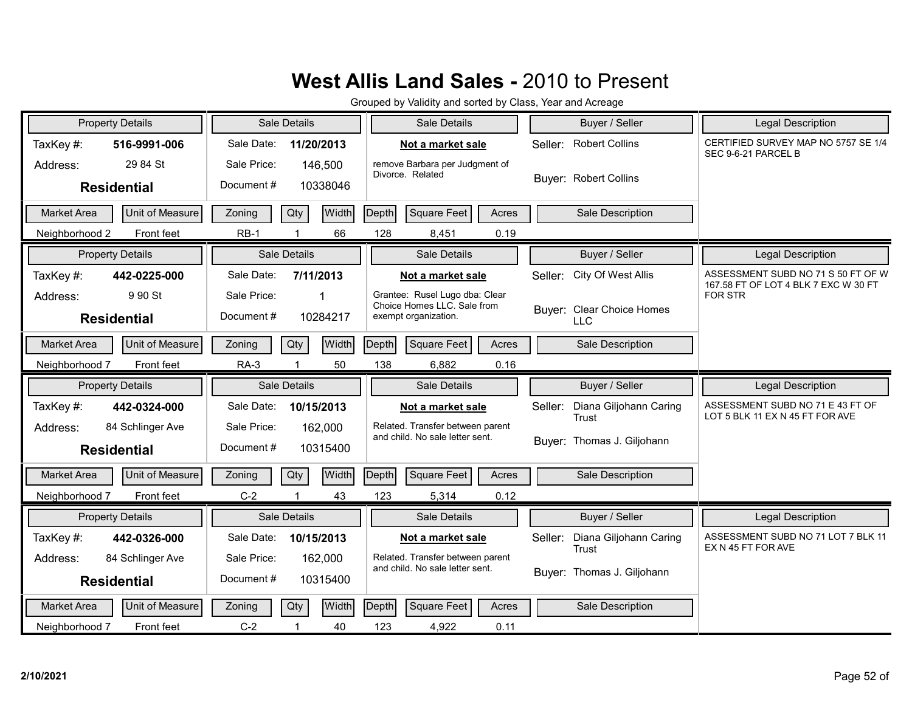| <b>Property Details</b>               | <b>Sale Details</b>      | Sale Details                                                  | Buyer / Seller                          | <b>Legal Description</b>                                                   |
|---------------------------------------|--------------------------|---------------------------------------------------------------|-----------------------------------------|----------------------------------------------------------------------------|
| TaxKey#:<br>516-9991-006              | Sale Date:<br>11/20/2013 | Not a market sale                                             | Seller: Robert Collins                  | CERTIFIED SURVEY MAP NO 5757 SE 1/4<br>SEC 9-6-21 PARCEL B                 |
| 29 84 St<br>Address:                  | Sale Price:<br>146,500   | remove Barbara per Judgment of<br>Divorce. Related            |                                         |                                                                            |
| <b>Residential</b>                    | Document#<br>10338046    |                                                               | <b>Buyer: Robert Collins</b>            |                                                                            |
| Unit of Measure<br><b>Market Area</b> | Width<br>Qty<br>Zoning   | Depth<br>Square Feet<br>Acres                                 | Sale Description                        |                                                                            |
| Neighborhood 2<br>Front feet          | $RB-1$<br>66             | 128<br>0.19<br>8,451                                          |                                         |                                                                            |
| <b>Property Details</b>               | Sale Details             | Sale Details                                                  | Buyer / Seller                          | Legal Description                                                          |
| TaxKey#:<br>442-0225-000              | Sale Date:<br>7/11/2013  | Not a market sale                                             | City Of West Allis<br>Seller:           | ASSESSMENT SUBD NO 71 S 50 FT OF W<br>167.58 FT OF LOT 4 BLK 7 EXC W 30 FT |
| 9 90 St<br>Address:                   | Sale Price:              | Grantee: Rusel Lugo dba: Clear<br>Choice Homes LLC. Sale from |                                         | <b>FOR STR</b>                                                             |
| <b>Residential</b>                    | Document #<br>10284217   | exempt organization.                                          | Buyer: Clear Choice Homes<br><b>LLC</b> |                                                                            |
| Unit of Measure<br>Market Area        | Width<br>Qty<br>Zoning   | Square Feet<br>Depth<br>Acres                                 | Sale Description                        |                                                                            |
| Neighborhood 7<br>Front feet          | 50<br><b>RA-3</b>        | 138<br>6,882<br>0.16                                          |                                         |                                                                            |
|                                       |                          |                                                               |                                         |                                                                            |
| <b>Property Details</b>               | Sale Details             | Sale Details                                                  | Buyer / Seller                          | Legal Description                                                          |
| TaxKey#:<br>442-0324-000              | Sale Date:<br>10/15/2013 | Not a market sale                                             | Diana Giljohann Caring<br>Seller:       | ASSESSMENT SUBD NO 71 E 43 FT OF                                           |
| 84 Schlinger Ave<br>Address:          | Sale Price:<br>162,000   | Related. Transfer between parent                              | Trust                                   | LOT 5 BLK 11 EX N 45 FT FOR AVE                                            |
| <b>Residential</b>                    | Document#<br>10315400    | and child. No sale letter sent.                               | Buyer: Thomas J. Giljohann              |                                                                            |
| Unit of Measure<br><b>Market Area</b> | Width<br>Zoning<br>Qty   | Depth<br>Square Feet<br>Acres                                 | Sale Description                        |                                                                            |
| Neighborhood 7<br>Front feet          | $C-2$<br>43              | 123<br>0.12<br>5,314                                          |                                         |                                                                            |
| <b>Property Details</b>               | <b>Sale Details</b>      | Sale Details                                                  | Buyer / Seller                          | <b>Legal Description</b>                                                   |
| TaxKey#:<br>442-0326-000              | Sale Date:<br>10/15/2013 | Not a market sale                                             | Diana Giljohann Caring<br>Seller:       | ASSESSMENT SUBD NO 71 LOT 7 BLK 11                                         |
| 84 Schlinger Ave<br>Address:          | Sale Price:<br>162,000   | Related. Transfer between parent                              | Trust                                   | EX N 45 FT FOR AVE                                                         |
| <b>Residential</b>                    | Document#<br>10315400    | and child. No sale letter sent.                               | Buyer: Thomas J. Giljohann              |                                                                            |
| Unit of Measure<br>Market Area        | Width<br>Qty<br>Zoning   | Depth<br>Square Feet<br>Acres                                 | Sale Description                        |                                                                            |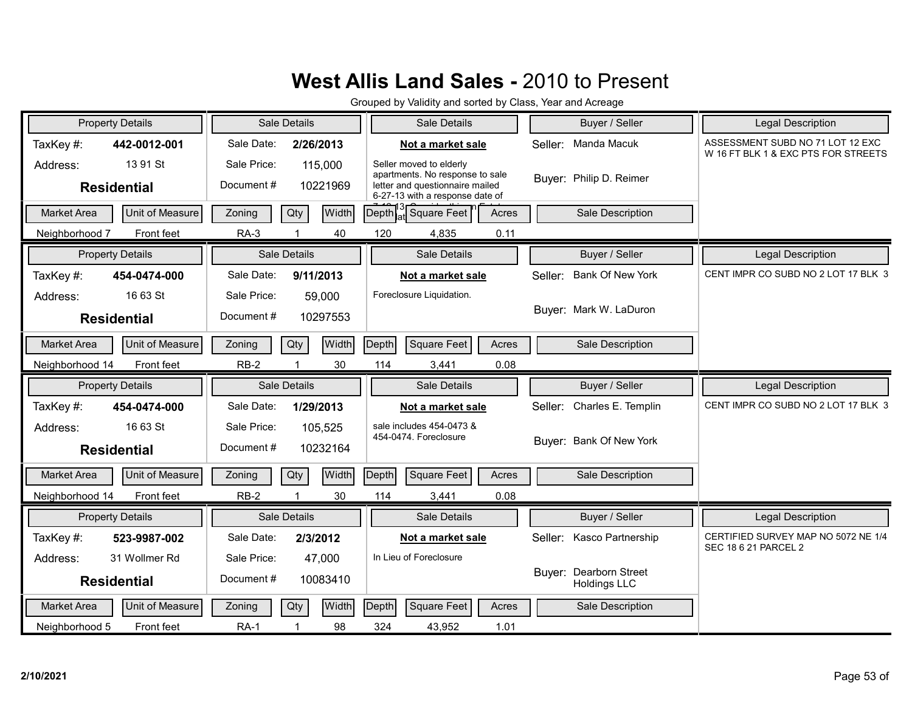| <b>Property Details</b>                    |                        |                          | Sale Details        | Sale Details                                                                                                                     |         | Buyer / Seller                                | <b>Legal Description</b>                                                |
|--------------------------------------------|------------------------|--------------------------|---------------------|----------------------------------------------------------------------------------------------------------------------------------|---------|-----------------------------------------------|-------------------------------------------------------------------------|
| TaxKey#:<br>442-0012-001                   |                        | Sale Date:               | 2/26/2013           | Not a market sale                                                                                                                | Seller: | Manda Macuk                                   | ASSESSMENT SUBD NO 71 LOT 12 EXC<br>W 16 FT BLK 1 & EXC PTS FOR STREETS |
| 13 91 St<br>Address:<br><b>Residential</b> |                        | Sale Price:<br>Document# | 115.000<br>10221969 | Seller moved to elderly<br>apartments. No response to sale<br>letter and questionnaire mailed<br>6-27-13 with a response date of |         | Buyer: Philip D. Reimer                       |                                                                         |
| <b>Market Area</b>                         | Unit of Measure        | Zoning                   | Qty<br><b>Width</b> | Square Feet<br>Depth<br>Acres                                                                                                    |         | Sale Description                              |                                                                         |
| Neighborhood 7                             | Front feet             | $RA-3$                   | 40                  | 120<br>0.11<br>4,835                                                                                                             |         |                                               |                                                                         |
| <b>Property Details</b>                    |                        |                          | Sale Details        | Sale Details                                                                                                                     |         | Buyer / Seller                                | <b>Legal Description</b>                                                |
| TaxKey#:<br>454-0474-000                   |                        | Sale Date:               | 9/11/2013           | Not a market sale                                                                                                                | Seller: | Bank Of New York                              | CENT IMPR CO SUBD NO 2 LOT 17 BLK 3                                     |
| 16 63 St<br>Address:<br><b>Residential</b> |                        | Sale Price:<br>Document# | 59,000<br>10297553  | Foreclosure Liquidation.                                                                                                         |         | Buyer: Mark W. LaDuron                        |                                                                         |
| <b>Market Area</b>                         | Unit of Measure        | Zoning                   | Width<br>Qty        | Depth<br>Square Feet<br>Acres                                                                                                    |         | Sale Description                              |                                                                         |
| Neighborhood 14                            | Front feet             | $RB-2$                   | 30                  | 114<br>0.08<br>3,441                                                                                                             |         |                                               |                                                                         |
|                                            |                        |                          |                     |                                                                                                                                  |         |                                               |                                                                         |
| <b>Property Details</b>                    |                        |                          | <b>Sale Details</b> | Sale Details                                                                                                                     |         | Buyer / Seller                                | <b>Legal Description</b>                                                |
| TaxKey#:<br>454-0474-000                   |                        | Sale Date:               | 1/29/2013           | Not a market sale                                                                                                                | Seller: | Charles E. Templin                            | CENT IMPR CO SUBD NO 2 LOT 17 BLK 3                                     |
| 16 63 St<br>Address:<br><b>Residential</b> |                        | Sale Price:<br>Document# | 105,525<br>10232164 | sale includes 454-0473 &<br>454-0474. Foreclosure                                                                                |         | Buyer: Bank Of New York                       |                                                                         |
| <b>Market Area</b>                         | <b>Unit of Measure</b> | Zoning                   | Width<br>Qty        | Square Feet<br>Depth<br>Acres                                                                                                    |         | Sale Description                              |                                                                         |
| Neighborhood 14                            | Front feet             | $RB-2$                   | 30                  | 114<br>3,441<br>0.08                                                                                                             |         |                                               |                                                                         |
| <b>Property Details</b>                    |                        |                          | Sale Details        | Sale Details                                                                                                                     |         | Buyer / Seller                                | <b>Legal Description</b>                                                |
| TaxKey#:<br>523-9987-002                   |                        | Sale Date:               | 2/3/2012            | Not a market sale                                                                                                                |         | Seller: Kasco Partnership                     | CERTIFIED SURVEY MAP NO 5072 NE 1/4                                     |
| 31 Wollmer Rd<br>Address:                  |                        | Sale Price:              | 47,000              | In Lieu of Foreclosure                                                                                                           |         |                                               | <b>SEC 18 6 21 PARCEL 2</b>                                             |
| <b>Residential</b>                         |                        | Document#                | 10083410            |                                                                                                                                  |         | Buyer: Dearborn Street<br><b>Holdings LLC</b> |                                                                         |
| <b>Market Area</b>                         | Unit of Measure        | Zoning                   | Width<br>Qty        | Depth<br>Square Feet<br>Acres                                                                                                    |         | Sale Description                              |                                                                         |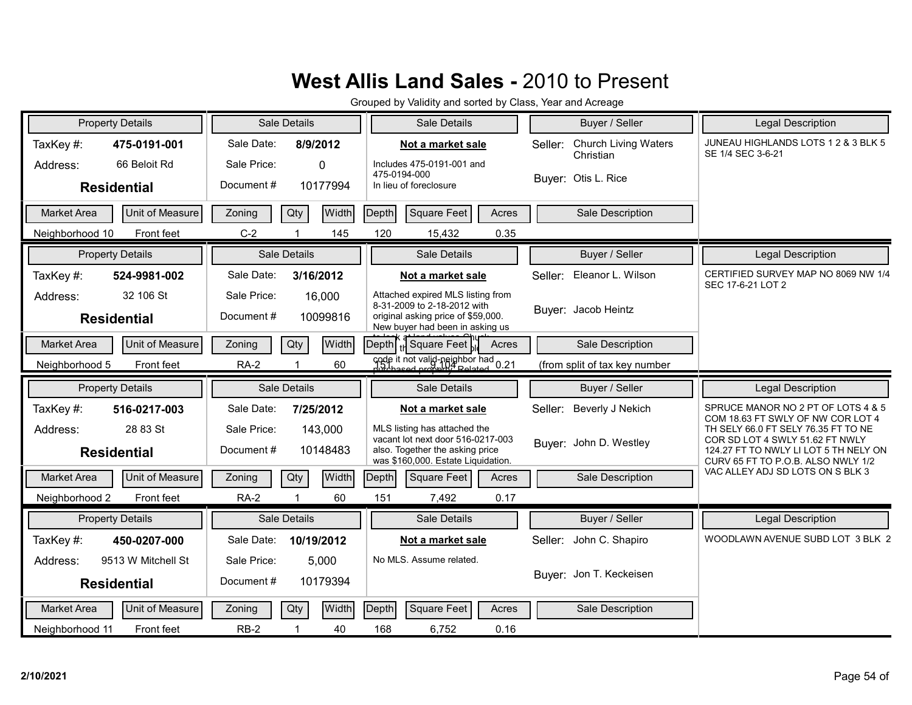| <b>Property Details</b>               | Sale Details                  | Sale Details                                                               | Buyer / Seller                                      | Legal Description                                                        |
|---------------------------------------|-------------------------------|----------------------------------------------------------------------------|-----------------------------------------------------|--------------------------------------------------------------------------|
| TaxKey#:<br>475-0191-001              | Sale Date:<br>8/9/2012        | Not a market sale                                                          | <b>Church Living Waters</b><br>Seller:<br>Christian | JUNEAU HIGHLANDS LOTS 1 2 & 3 BLK 5<br>SE 1/4 SEC 3-6-21                 |
| 66 Beloit Rd<br>Address:              | Sale Price:<br>0              | Includes 475-0191-001 and<br>475-0194-000                                  |                                                     |                                                                          |
| <b>Residential</b>                    | Document#<br>10177994         | In lieu of foreclosure                                                     | Buyer: Otis L. Rice                                 |                                                                          |
| Market Area<br>Unit of Measure        | Qty<br><b>Width</b><br>Zoning | <b>Square Feet</b><br>Depth<br>Acres                                       | Sale Description                                    |                                                                          |
| Neighborhood 10<br>Front feet         | 145<br>$C-2$                  | 120<br>15,432<br>0.35                                                      |                                                     |                                                                          |
| <b>Property Details</b>               | Sale Details                  | Sale Details                                                               | Buyer / Seller                                      | Legal Description                                                        |
| TaxKey#:<br>524-9981-002              | Sale Date:<br>3/16/2012       | Not a market sale                                                          | Seller: Eleanor L. Wilson                           | CERTIFIED SURVEY MAP NO 8069 NW 1/4<br>SEC 17-6-21 LOT 2                 |
| 32 106 St<br>Address:                 | Sale Price:<br>16,000         | Attached expired MLS listing from<br>8-31-2009 to 2-18-2012 with           |                                                     |                                                                          |
| <b>Residential</b>                    | Document#<br>10099816         | original asking price of \$59,000.<br>New buyer had been in asking us      | Buyer: Jacob Heintz                                 |                                                                          |
| Unit of Measure<br><b>Market Area</b> | Width<br>Qty<br>Zoning        | Depth   H Square Feet<br>Acres                                             | Sale Description                                    |                                                                          |
| Neighborhood 5<br>Front feet          | <b>RA-2</b><br>60             | code it not valid-neighbor had 0.21                                        | (from split of tax key number                       |                                                                          |
|                                       |                               |                                                                            |                                                     |                                                                          |
| <b>Property Details</b>               | Sale Details                  | Sale Details                                                               | Buyer / Seller                                      | Legal Description                                                        |
| TaxKey#:<br>516-0217-003              | Sale Date:<br>7/25/2012       | Not a market sale                                                          | Beverly J Nekich<br>Seller:                         | SPRUCE MANOR NO 2 PT OF LOTS 4 & 5                                       |
| 28 83 St<br>Address:                  | Sale Price:<br>143,000        | MLS listing has attached the                                               |                                                     | COM 18.63 FT SWLY OF NW COR LOT 4<br>TH SELY 66.0 FT SELY 76.35 FT TO NE |
| <b>Residential</b>                    | Document#<br>10148483         | vacant lot next door 516-0217-003<br>also. Together the asking price       | Buyer: John D. Westley                              | COR SD LOT 4 SWLY 51.62 FT NWLY<br>124.27 FT TO NWLY LI LOT 5 TH NELY ON |
| Unit of Measure<br>Market Area        | Width<br>Zoning<br>Qty        | was \$160,000. Estate Liquidation.<br>Depth<br><b>Square Feet</b><br>Acres | Sale Description                                    | CURV 65 FT TO P.O.B. ALSO NWLY 1/2<br>VAC ALLEY ADJ SD LOTS ON S BLK 3   |
| Neighborhood 2<br>Front feet          | $RA-2$<br>60                  | 151<br>7,492<br>0.17                                                       |                                                     |                                                                          |
| <b>Property Details</b>               | Sale Details                  | Sale Details                                                               | Buyer / Seller                                      | <b>Legal Description</b>                                                 |
| TaxKey#:<br>450-0207-000              | Sale Date:<br>10/19/2012      | Not a market sale                                                          | Seller: John C. Shapiro                             | WOODLAWN AVENUE SUBD LOT 3 BLK 2                                         |
| 9513 W Mitchell St<br>Address:        | Sale Price:<br>5,000          | No MLS. Assume related.                                                    |                                                     |                                                                          |
| <b>Residential</b>                    | Document#<br>10179394         |                                                                            | Buyer: Jon T. Keckeisen                             |                                                                          |
| Unit of Measure<br><b>Market Area</b> | Width<br>Qty<br>Zoning        | Depth<br><b>Square Feet</b><br>Acres                                       | Sale Description                                    |                                                                          |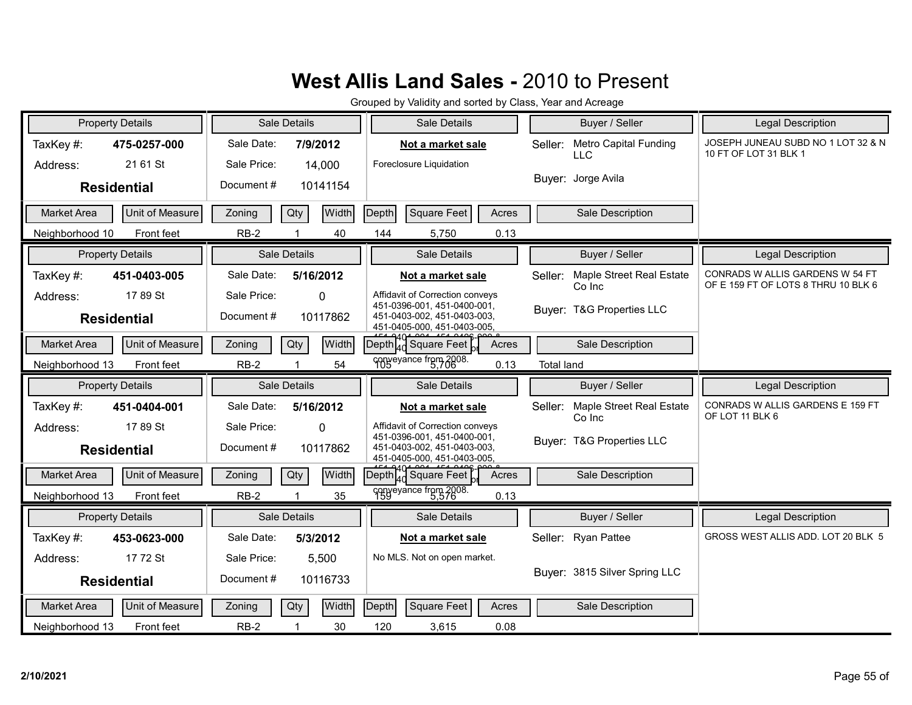| <b>Property Details</b>               | Sale Details               | Sale Details                                                                              | Buyer / Seller                                       | Legal Description                                                      |
|---------------------------------------|----------------------------|-------------------------------------------------------------------------------------------|------------------------------------------------------|------------------------------------------------------------------------|
| TaxKey#:<br>475-0257-000              | Sale Date:<br>7/9/2012     | Not a market sale                                                                         | <b>Metro Capital Funding</b><br>Seller:              | JOSEPH JUNEAU SUBD NO 1 LOT 32 & N<br>10 FT OF LOT 31 BLK 1            |
| 21 61 St<br>Address:                  | Sale Price:<br>14,000      | Foreclosure Liquidation                                                                   | <b>LLC</b>                                           |                                                                        |
| <b>Residential</b>                    | Document#<br>10141154      |                                                                                           | Buyer: Jorge Avila                                   |                                                                        |
| Unit of Measure<br><b>Market Area</b> | Qty<br>Width<br>Zoning     | Square Feet<br>Depth<br>Acres                                                             | Sale Description                                     |                                                                        |
| Neighborhood 10<br>Front feet         | $RB-2$<br>40               | 144<br>5,750<br>0.13                                                                      |                                                      |                                                                        |
| <b>Property Details</b>               | Sale Details               | Sale Details                                                                              | Buyer / Seller                                       | Legal Description                                                      |
| TaxKey#:<br>451-0403-005              | Sale Date:<br>5/16/2012    | Not a market sale                                                                         | <b>Maple Street Real Estate</b><br>Seller:<br>Co Inc | CONRADS W ALLIS GARDENS W 54 FT<br>OF E 159 FT OF LOTS 8 THRU 10 BLK 6 |
| 17 89 St<br>Address:                  | Sale Price:<br>$\mathbf 0$ | Affidavit of Correction conveys<br>451-0396-001, 451-0400-001,                            | Buver: T&G Properties LLC                            |                                                                        |
| <b>Residential</b>                    | Document#<br>10117862      | 451-0403-002, 451-0403-003,<br>451-0405-000, 451-0403-005.                                |                                                      |                                                                        |
| Unit of Measure<br><b>Market Area</b> | Width<br>Qty<br>Zoning     | $\overline{[Depth]}_{4d}^{40}$ Square Feet<br>Acres                                       | Sale Description                                     |                                                                        |
| Neighborhood 13<br>Front feet         | 54<br>$RB-2$               | conveyance from 2008.<br>0.13                                                             | <b>Total land</b>                                    |                                                                        |
|                                       |                            |                                                                                           |                                                      |                                                                        |
| <b>Property Details</b>               | Sale Details               | Sale Details                                                                              | Buyer / Seller                                       | <b>Legal Description</b>                                               |
| TaxKey#:<br>451-0404-001              | Sale Date:<br>5/16/2012    | Not a market sale                                                                         | Maple Street Real Estate<br>Seller:                  | CONRADS W ALLIS GARDENS E 159 FT<br>OF LOT 11 BLK 6                    |
| 1789 St<br>Address:                   | Sale Price:<br>$\Omega$    | Affidavit of Correction conveys                                                           | Co Inc                                               |                                                                        |
| <b>Residential</b>                    | Document#<br>10117862      | 451-0396-001, 451-0400-001,<br>451-0403-002, 451-0403-003,<br>451-0405-000, 451-0403-005, | Buyer: T&G Properties LLC                            |                                                                        |
| Unit of Measure<br>Market Area        | Width<br>Zoning<br>Qty     | $\frac{1}{2}$ Depth $\frac{1}{4}$ Square Feet<br>Acres                                    | Sale Description                                     |                                                                        |
| Neighborhood 13<br>Front feet         | $RB-2$<br>35               | conveyance from 2008.<br>0.13                                                             |                                                      |                                                                        |
| <b>Property Details</b>               | Sale Details               | Sale Details                                                                              | Buyer / Seller                                       | <b>Legal Description</b>                                               |
| TaxKey#:<br>453-0623-000              | Sale Date:<br>5/3/2012     | Not a market sale                                                                         | Seller: Ryan Pattee                                  | GROSS WEST ALLIS ADD. LOT 20 BLK 5                                     |
| 17 72 St<br>Address:                  | Sale Price:<br>5,500       | No MLS. Not on open market.                                                               |                                                      |                                                                        |
| <b>Residential</b>                    | Document#<br>10116733      |                                                                                           | Buyer: 3815 Silver Spring LLC                        |                                                                        |
| Unit of Measure<br><b>Market Area</b> | Width<br>Qty<br>Zoning     | <b>Square Feet</b><br>Depth<br>Acres                                                      | Sale Description                                     |                                                                        |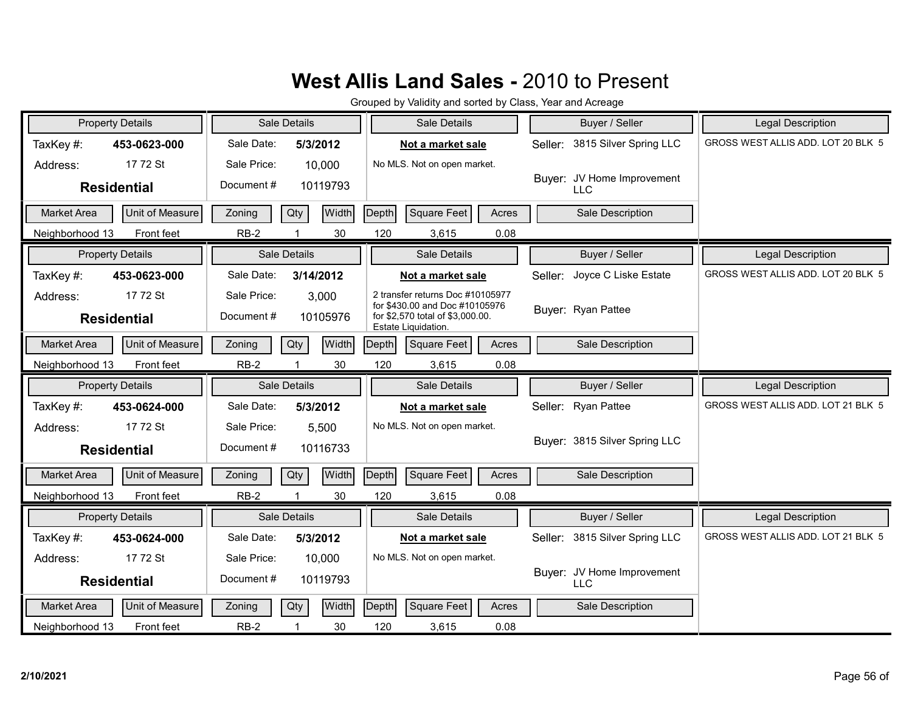| <b>Property Details</b>                      | Sale Details            | Sale Details                                                       | Buyer / Seller                           | <b>Legal Description</b>           |
|----------------------------------------------|-------------------------|--------------------------------------------------------------------|------------------------------------------|------------------------------------|
| TaxKey#:<br>453-0623-000                     | Sale Date:<br>5/3/2012  | Not a market sale                                                  | 3815 Silver Spring LLC<br>Seller:        | GROSS WEST ALLIS ADD. LOT 20 BLK 5 |
| 17 72 St<br>Address:                         | Sale Price:<br>10,000   | No MLS. Not on open market.                                        |                                          |                                    |
| <b>Residential</b>                           | Document #<br>10119793  |                                                                    | Buyer: JV Home Improvement<br><b>LLC</b> |                                    |
| Unit of Measure<br><b>Market Area</b>        | Width<br>Qty<br>Zoning  | Square Feet<br>Depth<br>Acres                                      | Sale Description                         |                                    |
| Neighborhood 13<br>Front feet                | $RB-2$<br>30            | 120<br>0.08<br>3,615                                               |                                          |                                    |
| <b>Property Details</b>                      | Sale Details            | Sale Details                                                       | Buyer / Seller                           | <b>Legal Description</b>           |
| TaxKey#:<br>453-0623-000                     | Sale Date:<br>3/14/2012 | Not a market sale                                                  | Joyce C Liske Estate<br>Seller:          | GROSS WEST ALLIS ADD. LOT 20 BLK 5 |
| 17 72 St<br>Address:                         | Sale Price:<br>3,000    | 2 transfer returns Doc #10105977<br>for \$430.00 and Doc #10105976 | Buyer: Ryan Pattee                       |                                    |
| <b>Residential</b>                           | Document#<br>10105976   | for \$2,570 total of \$3,000.00.<br>Estate Liquidation.            |                                          |                                    |
| Unit of Measure<br>Market Area               | Width<br>Qty<br>Zoning  | Depth<br>Square Feet<br>Acres                                      | Sale Description                         |                                    |
| Front feet<br>Neighborhood 13                | $RB-2$<br>30            | 120<br>3,615<br>0.08                                               |                                          |                                    |
|                                              |                         |                                                                    |                                          |                                    |
| <b>Property Details</b>                      | Sale Details            | Sale Details                                                       | Buyer / Seller                           | Legal Description                  |
| TaxKey#:<br>453-0624-000                     | Sale Date:<br>5/3/2012  | Not a market sale                                                  | <b>Ryan Pattee</b><br>Seller:            | GROSS WEST ALLIS ADD. LOT 21 BLK 5 |
| 17 72 St<br>Address:                         | Sale Price:<br>5,500    | No MLS. Not on open market.                                        |                                          |                                    |
| <b>Residential</b>                           | Document#<br>10116733   |                                                                    | Buver: 3815 Silver Spring LLC            |                                    |
| Unit of Measure<br>Market Area               | Width<br>Qty<br>Zoning  | Depth<br>Square Feet<br>Acres                                      | Sale Description                         |                                    |
| Neighborhood 13<br>Front feet                | $RB-2$<br>30<br>1       | 120<br>3,615<br>0.08                                               |                                          |                                    |
| <b>Property Details</b>                      | Sale Details            | Sale Details                                                       | Buyer / Seller                           | <b>Legal Description</b>           |
| TaxKey#:<br>453-0624-000                     | Sale Date:<br>5/3/2012  | Not a market sale                                                  | Seller: 3815 Silver Spring LLC           | GROSS WEST ALLIS ADD. LOT 21 BLK 5 |
| 17 72 St<br>Address:                         | Sale Price:<br>10,000   | No MLS. Not on open market.                                        |                                          |                                    |
| <b>Residential</b>                           | Document#<br>10119793   |                                                                    | Buyer: JV Home Improvement<br><b>LLC</b> |                                    |
| <b>Unit of Measure</b><br><b>Market Area</b> | Width<br>Qty<br>Zoning  | Depth<br>Square Feet<br>Acres                                      | Sale Description                         |                                    |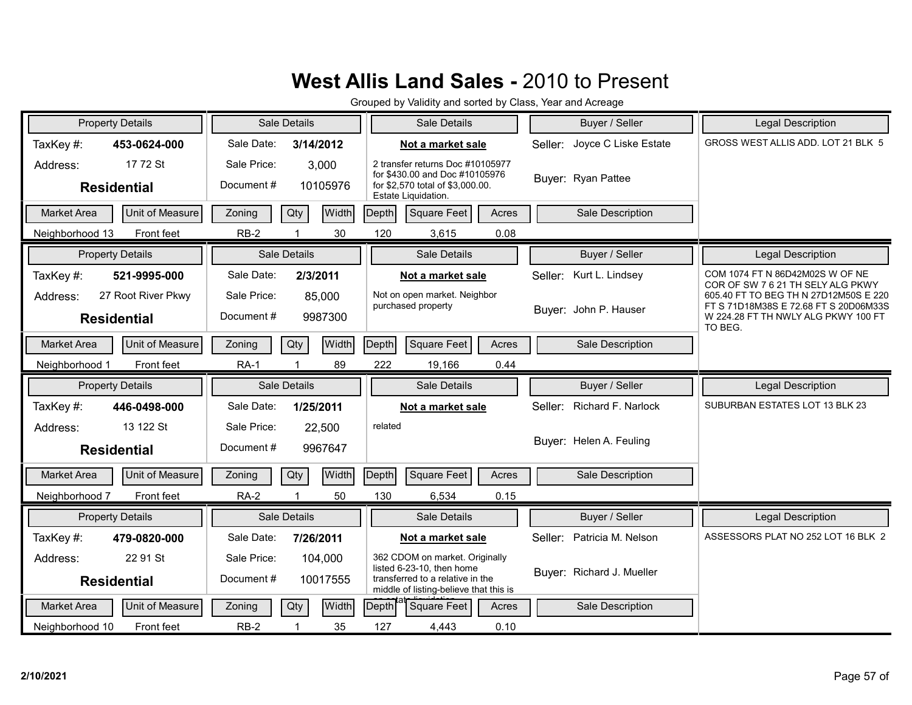| <b>Property Details</b>                              | <b>Sale Details</b>                             | Sale Details                                                                                                                              | Buyer / Seller                       | <b>Legal Description</b>                                                                                                         |
|------------------------------------------------------|-------------------------------------------------|-------------------------------------------------------------------------------------------------------------------------------------------|--------------------------------------|----------------------------------------------------------------------------------------------------------------------------------|
| TaxKey#:<br>453-0624-000                             | Sale Date:<br>3/14/2012                         | Not a market sale                                                                                                                         | Seller: Joyce C Liske Estate         | GROSS WEST ALLIS ADD. LOT 21 BLK 5                                                                                               |
| 17 72 St<br>Address:<br><b>Residential</b>           | Sale Price:<br>3,000<br>Document#<br>10105976   | 2 transfer returns Doc #10105977<br>for \$430.00 and Doc #10105976<br>for \$2,570 total of \$3,000.00.<br>Estate Liquidation.             | Buyer: Ryan Pattee                   |                                                                                                                                  |
| Unit of Measure<br><b>Market Area</b>                | Width<br>Qty<br>Zoning                          | Square Feet<br>Depth<br>Acres                                                                                                             | Sale Description                     |                                                                                                                                  |
| Neighborhood 13<br>Front feet                        | $RB-2$<br>30                                    | 120<br>0.08<br>3,615                                                                                                                      |                                      |                                                                                                                                  |
| <b>Property Details</b>                              | Sale Details                                    | Sale Details                                                                                                                              | Buyer / Seller                       | Legal Description                                                                                                                |
| TaxKey#:<br>521-9995-000                             | Sale Date:<br>2/3/2011                          | Not a market sale                                                                                                                         | Kurt L. Lindsey<br>Seller:           | COM 1074 FT N 86D42M02S W OF NE<br>COR OF SW 7 6 21 TH SELY ALG PKWY                                                             |
| 27 Root River Pkwy<br>Address:<br><b>Residential</b> | Sale Price:<br>85,000<br>Document #<br>9987300  | Not on open market. Neighbor<br>purchased property                                                                                        | Buyer: John P. Hauser                | 605.40 FT TO BEG TH N 27D12M50S E 220<br>FT S 71D18M38S E 72.68 FT S 20D06M33S<br>W 224.28 FT TH NWLY ALG PKWY 100 FT<br>TO BEG. |
| Unit of Measure<br>Market Area                       | Width<br>Qty<br>Zoning                          | Square Feet<br>Depth<br>Acres                                                                                                             | Sale Description                     |                                                                                                                                  |
| Front feet<br>Neighborhood 1                         | 89<br><b>RA-1</b>                               | 222<br>19,166<br>0.44                                                                                                                     |                                      |                                                                                                                                  |
|                                                      |                                                 |                                                                                                                                           |                                      |                                                                                                                                  |
| <b>Property Details</b>                              | Sale Details                                    | Sale Details                                                                                                                              | Buyer / Seller                       | Legal Description                                                                                                                |
| TaxKey#:<br>446-0498-000                             | Sale Date:<br>1/25/2011                         | Not a market sale                                                                                                                         | <b>Richard F. Narlock</b><br>Seller: | SUBURBAN ESTATES LOT 13 BLK 23                                                                                                   |
| 13 122 St<br>Address:<br><b>Residential</b>          | Sale Price:<br>22,500<br>Document#<br>9967647   | related                                                                                                                                   | Buyer: Helen A. Feuling              |                                                                                                                                  |
| Unit of Measure<br><b>Market Area</b>                | Width<br>Zoning<br>Qty                          | Depth<br>Square Feet<br>Acres                                                                                                             | Sale Description                     |                                                                                                                                  |
| Neighborhood 7<br>Front feet                         | <b>RA-2</b><br>50<br>1                          | 130<br>0.15<br>6,534                                                                                                                      |                                      |                                                                                                                                  |
| <b>Property Details</b>                              | <b>Sale Details</b>                             | Sale Details                                                                                                                              | Buyer / Seller                       | <b>Legal Description</b>                                                                                                         |
| TaxKey#:<br>479-0820-000                             | Sale Date:<br>7/26/2011                         | Not a market sale                                                                                                                         | Seller: Patricia M. Nelson           | ASSESSORS PLAT NO 252 LOT 16 BLK 2                                                                                               |
| 22 91 St<br>Address:<br><b>Residential</b>           | Sale Price:<br>104,000<br>Document#<br>10017555 | 362 CDOM on market. Originally<br>listed 6-23-10, then home<br>transferred to a relative in the<br>middle of listing-believe that this is | Buyer: Richard J. Mueller            |                                                                                                                                  |
| Unit of Measure<br><b>Market Area</b>                | Width<br>Qty<br>Zoning                          | <b>Depth</b><br><b>Square Feet</b><br>Acres                                                                                               | Sale Description                     |                                                                                                                                  |